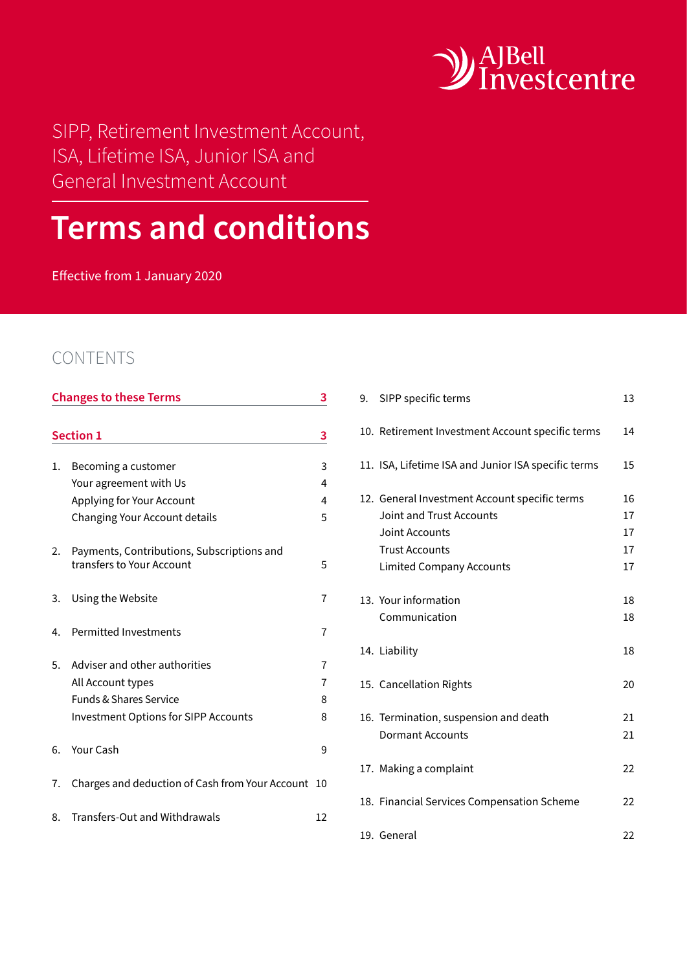

SIPP, Retirement Investment Account, ISA, Lifetime ISA, Junior ISA and General Investment Account

# **Terms and conditions**

Effective from 1 January 2020

# CONTENTS

| <b>Changes to these Terms</b> |                                                 |    |
|-------------------------------|-------------------------------------------------|----|
|                               |                                                 |    |
|                               | <b>Section 1</b>                                | 3  |
| 1.                            | Becoming a customer                             | 3  |
|                               | Your agreement with Us                          | 4  |
|                               | Applying for Your Account                       | 4  |
|                               | Changing Your Account details                   | 5  |
| 2.                            | Payments, Contributions, Subscriptions and      |    |
|                               | transfers to Your Account                       | 5  |
| 3.                            | Using the Website                               | 7  |
| 4.                            | <b>Permitted Investments</b>                    | 7  |
| 5.                            | Adviser and other authorities                   | 7  |
|                               | All Account types                               | 7  |
|                               | <b>Funds &amp; Shares Service</b>               | 8  |
|                               | <b>Investment Options for SIPP Accounts</b>     | 8  |
| 6.                            | <b>Your Cash</b>                                | 9  |
| 7.                            | Charges and deduction of Cash from Your Account | 10 |
| 8.                            | Transfers-Out and Withdrawals                   | 12 |

| 10. Retirement Investment Account specific terms<br>14    |  |
|-----------------------------------------------------------|--|
|                                                           |  |
| 11. ISA, Lifetime ISA and Junior ISA specific terms<br>15 |  |
| 12. General Investment Account specific terms<br>16       |  |
| Joint and Trust Accounts<br>17                            |  |
| Joint Accounts<br>17                                      |  |
| <b>Trust Accounts</b><br>17                               |  |
| 17<br><b>Limited Company Accounts</b>                     |  |
|                                                           |  |
| 13. Your information<br>18                                |  |
| Communication<br>18                                       |  |
|                                                           |  |
| 14. Liability<br>18                                       |  |
|                                                           |  |
| 15. Cancellation Rights<br>20                             |  |
|                                                           |  |
| 16. Termination, suspension and death<br>21               |  |
| <b>Dormant Accounts</b><br>21                             |  |
|                                                           |  |
| 17. Making a complaint<br>22                              |  |
|                                                           |  |
| 18. Financial Services Compensation Scheme<br>22          |  |
|                                                           |  |
| 19. General<br>22                                         |  |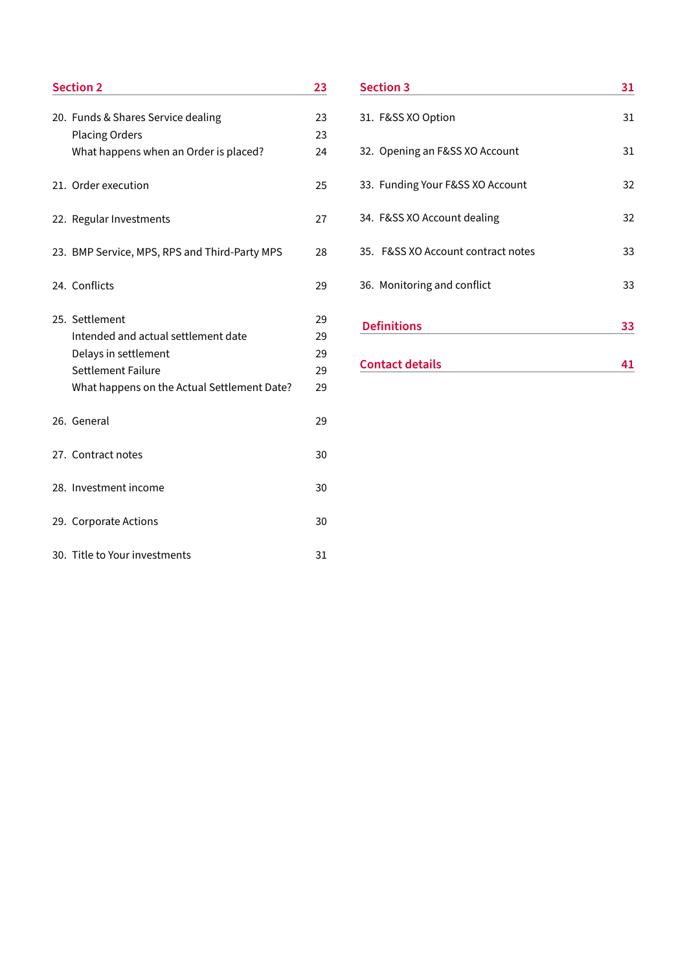| <b>Section 2</b>                              |    |
|-----------------------------------------------|----|
| 20. Funds & Shares Service dealing            | 23 |
| <b>Placing Orders</b>                         | 23 |
| What happens when an Order is placed?         | 24 |
| 21. Order execution                           | 25 |
| 22. Regular Investments                       | 27 |
| 23. BMP Service, MPS, RPS and Third-Party MPS | 28 |
| 24. Conflicts                                 | 29 |
| 25. Settlement                                | 29 |
| Intended and actual settlement date           | 29 |
| Delays in settlement                          | 29 |
| <b>Settlement Failure</b>                     | 29 |
| What happens on the Actual Settlement Date?   | 29 |
| 26. General                                   | 29 |
| 27. Contract notes                            | 30 |
| 28. Investment income                         | 30 |
| 29. Corporate Actions                         | 30 |
| 30. Title to Your investments                 | 31 |

| <b>Section 3</b>                   | 31 |  |
|------------------------------------|----|--|
| 31. F&SS XO Option                 | 31 |  |
| 32. Opening an F&SS XO Account     | 31 |  |
| 33. Funding Your F&SS XO Account   | 32 |  |
| 34. F&SS XO Account dealing        | 32 |  |
| 35. F&SS XO Account contract notes | 33 |  |
| 36. Monitoring and conflict        | 33 |  |
| <b>Definitions</b>                 | 33 |  |
| <b>Contact details</b>             |    |  |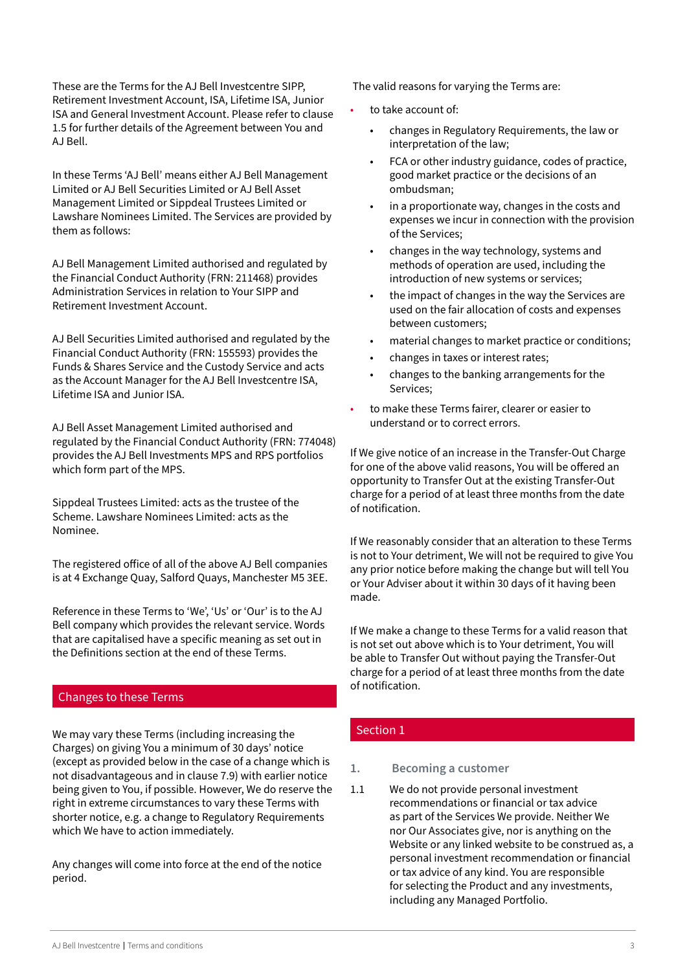<span id="page-2-0"></span>These are the Terms for the AJ Bell Investcentre SIPP, Retirement Investment Account, ISA, Lifetime ISA, Junior ISA and General Investment Account. Please refer to clause 1.5 for further details of the Agreement between You and AJ Bell.

In these Terms 'AJ Bell' means either AJ Bell Management Limited or AJ Bell Securities Limited or AJ Bell Asset Management Limited or Sippdeal Trustees Limited or Lawshare Nominees Limited. The Services are provided by them as follows:

AJ Bell Management Limited authorised and regulated by the Financial Conduct Authority (FRN: 211468) provides Administration Services in relation to Your SIPP and Retirement Investment Account.

AJ Bell Securities Limited authorised and regulated by the Financial Conduct Authority (FRN: 155593) provides the Funds & Shares Service and the Custody Service and acts as the Account Manager for the AJ Bell Investcentre ISA, Lifetime ISA and Junior ISA.

AJ Bell Asset Management Limited authorised and regulated by the Financial Conduct Authority (FRN: 774048) provides the AJ Bell Investments MPS and RPS portfolios which form part of the MPS.

Sippdeal Trustees Limited: acts as the trustee of the Scheme. Lawshare Nominees Limited: acts as the Nominee.

The registered office of all of the above AJ Bell companies is at 4 Exchange Quay, Salford Quays, Manchester M5 3EE.

Reference in these Terms to 'We', 'Us' or 'Our' is to the AJ Bell company which provides the relevant service. Words that are capitalised have a specific meaning as set out in the Definitions section at the end of these Terms.

#### Changes to these Terms

We may vary these Terms (including increasing the Charges) on giving You a minimum of 30 days' notice (except as provided below in the case of a change which is not disadvantageous and in clause 7.9) with earlier notice being given to You, if possible. However, We do reserve the right in extreme circumstances to vary these Terms with shorter notice, e.g. a change to Regulatory Requirements which We have to action immediately.

Any changes will come into force at the end of the notice period.

The valid reasons for varying the Terms are:

- to take account of:
	- changes in Regulatory Requirements, the law or interpretation of the law;
	- FCA or other industry guidance, codes of practice, good market practice or the decisions of an ombudsman;
	- in a proportionate way, changes in the costs and expenses we incur in connection with the provision of the Services;
	- changes in the way technology, systems and methods of operation are used, including the introduction of new systems or services;
	- the impact of changes in the way the Services are used on the fair allocation of costs and expenses between customers;
	- material changes to market practice or conditions;
	- changes in taxes or interest rates;
	- changes to the banking arrangements for the Services;
- to make these Terms fairer, clearer or easier to understand or to correct errors.

If We give notice of an increase in the Transfer-Out Charge for one of the above valid reasons, You will be offered an opportunity to Transfer Out at the existing Transfer-Out charge for a period of at least three months from the date of notification.

If We reasonably consider that an alteration to these Terms is not to Your detriment, We will not be required to give You any prior notice before making the change but will tell You or Your Adviser about it within 30 days of it having been made.

If We make a change to these Terms for a valid reason that is not set out above which is to Your detriment, You will be able to Transfer Out without paying the Transfer-Out charge for a period of at least three months from the date of notification.

#### Section 1

#### **1. Becoming a customer**

1.1 We do not provide personal investment recommendations or financial or tax advice as part of the Services We provide. Neither We nor Our Associates give, nor is anything on the Website or any linked website to be construed as, a personal investment recommendation or financial or tax advice of any kind. You are responsible for selecting the Product and any investments, including any Managed Portfolio.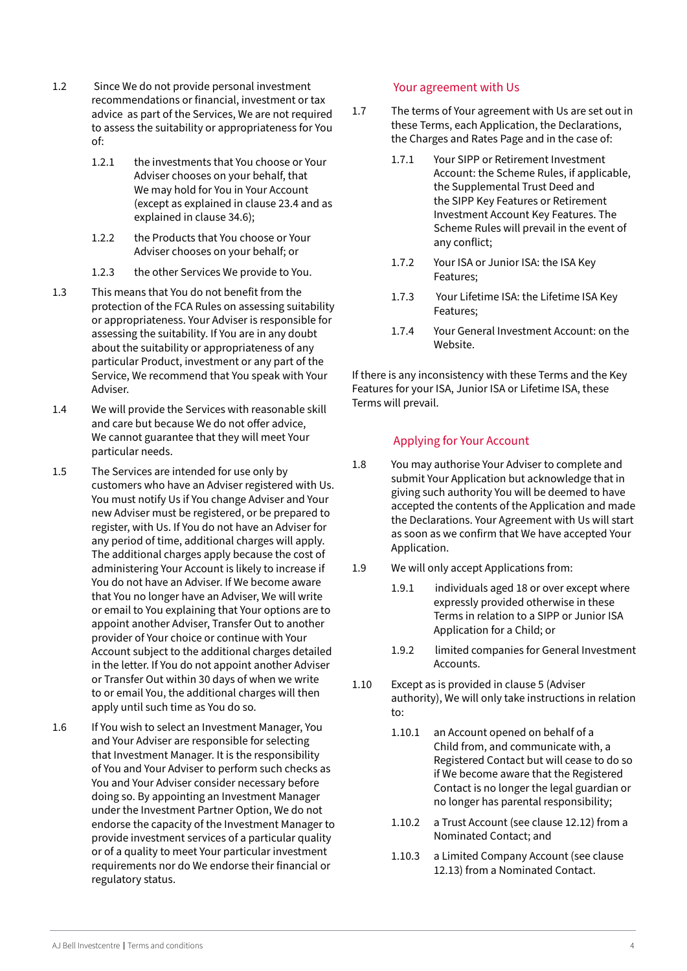- <span id="page-3-0"></span>1.2 Since We do not provide personal investment recommendations or financial, investment or tax advice as part of the Services, We are not required to assess the suitability or appropriateness for You of:
	- 1.2.1 the investments that You choose or Your Adviser chooses on your behalf, that We may hold for You in Your Account (except as explained in clause 23.4 and as explained in clause 34.6);
	- 1.2.2 the Products that You choose or Your Adviser chooses on your behalf; or
	- 1.2.3 the other Services We provide to You.
- 1.3 This means that You do not benefit from the protection of the FCA Rules on assessing suitability or appropriateness. Your Adviser is responsible for assessing the suitability. If You are in any doubt about the suitability or appropriateness of any particular Product, investment or any part of the Service, We recommend that You speak with Your Adviser.
- 1.4 We will provide the Services with reasonable skill and care but because We do not offer advice, We cannot guarantee that they will meet Your particular needs.
- 1.5 The Services are intended for use only by customers who have an Adviser registered with Us. You must notify Us if You change Adviser and Your new Adviser must be registered, or be prepared to register, with Us. If You do not have an Adviser for any period of time, additional charges will apply. The additional charges apply because the cost of administering Your Account is likely to increase if You do not have an Adviser. If We become aware that You no longer have an Adviser, We will write or email to You explaining that Your options are to appoint another Adviser, Transfer Out to another provider of Your choice or continue with Your Account subject to the additional charges detailed in the letter. If You do not appoint another Adviser or Transfer Out within 30 days of when we write to or email You, the additional charges will then apply until such time as You do so.
- 1.6 If You wish to select an Investment Manager, You and Your Adviser are responsible for selecting that Investment Manager. It is the responsibility of You and Your Adviser to perform such checks as You and Your Adviser consider necessary before doing so. By appointing an Investment Manager under the Investment Partner Option, We do not endorse the capacity of the Investment Manager to provide investment services of a particular quality or of a quality to meet Your particular investment requirements nor do We endorse their financial or regulatory status.

# Your agreement with Us

- 1.7 The terms of Your agreement with Us are set out in these Terms, each Application, the Declarations, the Charges and Rates Page and in the case of:
	- 1.7.1 Your SIPP or Retirement Investment Account: the Scheme Rules, if applicable, the Supplemental Trust Deed and the SIPP Key Features or Retirement Investment Account Key Features. The Scheme Rules will prevail in the event of any conflict;
	- 1.7.2 Your ISA or Junior ISA: the ISA Key Features;
	- 1.7.3 Your Lifetime ISA: the Lifetime ISA Key Features;
	- 1.7.4 Your General Investment Account: on the Website.

If there is any inconsistency with these Terms and the Key Features for your ISA, Junior ISA or Lifetime ISA, these Terms will prevail.

# Applying for Your Account

- 1.8 You may authorise Your Adviser to complete and submit Your Application but acknowledge that in giving such authority You will be deemed to have accepted the contents of the Application and made the Declarations. Your Agreement with Us will start as soon as we confirm that We have accepted Your Application.
- 1.9 We will only accept Applications from:
	- 1.9.1 individuals aged 18 or over except where expressly provided otherwise in these Terms in relation to a SIPP or Junior ISA Application for a Child; or
	- 1.9.2 limited companies for General Investment Accounts.
- 1.10 Except as is provided in clause 5 (Adviser authority), We will only take instructions in relation to:
	- 1.10.1 an Account opened on behalf of a Child from, and communicate with, a Registered Contact but will cease to do so if We become aware that the Registered Contact is no longer the legal guardian or no longer has parental responsibility;
	- 1.10.2 a Trust Account (see clause 12.12) from a Nominated Contact; and
	- 1.10.3 a Limited Company Account (see clause 12.13) from a Nominated Contact.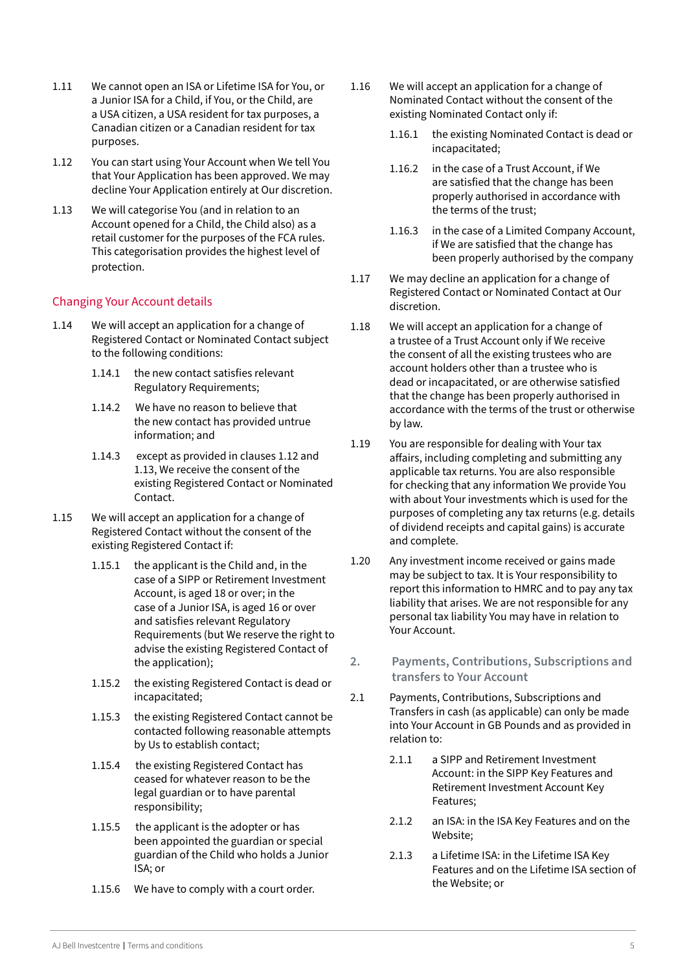- <span id="page-4-0"></span>1.11 We cannot open an ISA or Lifetime ISA for You, or a Junior ISA for a Child, if You, or the Child, are a USA citizen, a USA resident for tax purposes, a Canadian citizen or a Canadian resident for tax purposes.
- 1.12 You can start using Your Account when We tell You that Your Application has been approved. We may decline Your Application entirely at Our discretion.
- 1.13 We will categorise You (and in relation to an Account opened for a Child, the Child also) as a retail customer for the purposes of the FCA rules. This categorisation provides the highest level of protection.

#### Changing Your Account details

- 1.14 We will accept an application for a change of Registered Contact or Nominated Contact subject to the following conditions:
	- 1.14.1 the new contact satisfies relevant Regulatory Requirements;
	- 1.14.2 We have no reason to believe that the new contact has provided untrue information; and
	- 1.14.3 except as provided in clauses 1.12 and 1.13, We receive the consent of the existing Registered Contact or Nominated Contact.
- 1.15 We will accept an application for a change of Registered Contact without the consent of the existing Registered Contact if:
	- 1.15.1 the applicant is the Child and, in the case of a SIPP or Retirement Investment Account, is aged 18 or over; in the case of a Junior ISA, is aged 16 or over and satisfies relevant Regulatory Requirements (but We reserve the right to advise the existing Registered Contact of the application);
	- 1.15.2 the existing Registered Contact is dead or incapacitated;
	- 1.15.3 the existing Registered Contact cannot be contacted following reasonable attempts by Us to establish contact;
	- 1.15.4 the existing Registered Contact has ceased for whatever reason to be the legal guardian or to have parental responsibility;
	- 1.15.5 the applicant is the adopter or has been appointed the guardian or special guardian of the Child who holds a Junior ISA; or
	- 1.15.6 We have to comply with a court order.
- 1.16 We will accept an application for a change of Nominated Contact without the consent of the existing Nominated Contact only if:
	- 1.16.1 the existing Nominated Contact is dead or incapacitated;
	- 1.16.2 in the case of a Trust Account, if We are satisfied that the change has been properly authorised in accordance with the terms of the trust;
	- 1.16.3 in the case of a Limited Company Account, if We are satisfied that the change has been properly authorised by the company
- 1.17 We may decline an application for a change of Registered Contact or Nominated Contact at Our discretion.
- 1.18 We will accept an application for a change of a trustee of a Trust Account only if We receive the consent of all the existing trustees who are account holders other than a trustee who is dead or incapacitated, or are otherwise satisfied that the change has been properly authorised in accordance with the terms of the trust or otherwise by law.
- 1.19 You are responsible for dealing with Your tax affairs, including completing and submitting any applicable tax returns. You are also responsible for checking that any information We provide You with about Your investments which is used for the purposes of completing any tax returns (e.g. details of dividend receipts and capital gains) is accurate and complete.
- 1.20 Any investment income received or gains made may be subject to tax. It is Your responsibility to report this information to HMRC and to pay any tax liability that arises. We are not responsible for any personal tax liability You may have in relation to Your Account.
- **2. Payments, Contributions, Subscriptions and transfers to Your Account**
- 2.1 Payments, Contributions, Subscriptions and Transfers in cash (as applicable) can only be made into Your Account in GB Pounds and as provided in relation to:
	- 2.1.1 a SIPP and Retirement Investment Account: in the SIPP Key Features and Retirement Investment Account Key Features;
	- 2.1.2 an ISA: in the ISA Key Features and on the Website;
	- 2.1.3 a Lifetime ISA: in the Lifetime ISA Key Features and on the Lifetime ISA section of the Website; or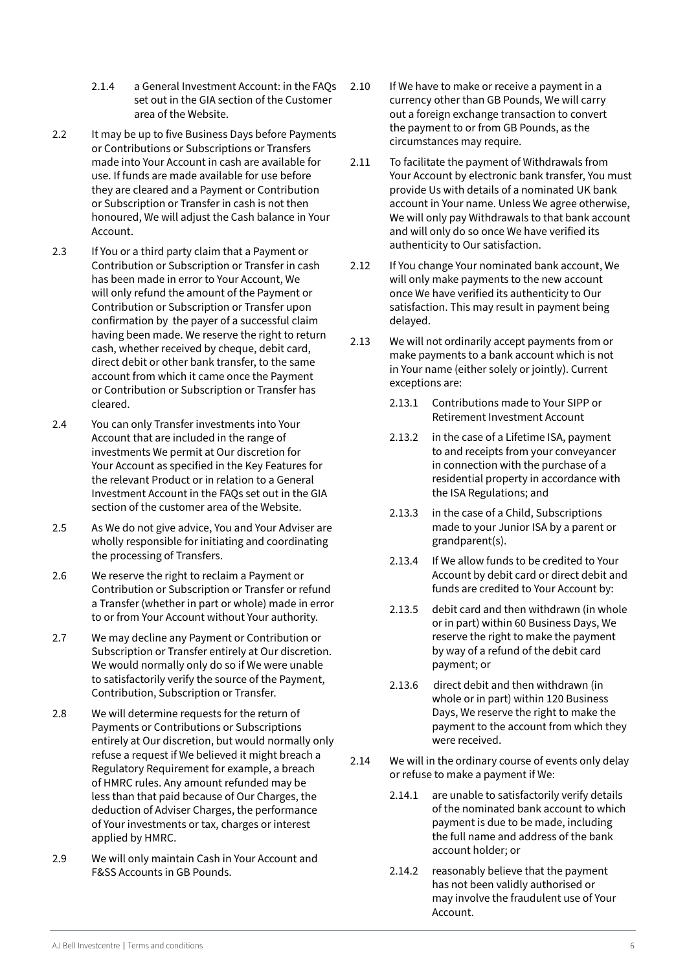- 2.1.4 a General Investment Account: in the FAQs set out in the GIA section of the Customer area of the Website.
- 2.2 It may be up to five Business Days before Payments or Contributions or Subscriptions or Transfers made into Your Account in cash are available for use. If funds are made available for use before they are cleared and a Payment or Contribution or Subscription or Transfer in cash is not then honoured, We will adjust the Cash balance in Your Account.
- 2.3 If You or a third party claim that a Payment or Contribution or Subscription or Transfer in cash has been made in error to Your Account, We will only refund the amount of the Payment or Contribution or Subscription or Transfer upon confirmation by the payer of a successful claim having been made. We reserve the right to return cash, whether received by cheque, debit card, direct debit or other bank transfer, to the same account from which it came once the Payment or Contribution or Subscription or Transfer has cleared.
- 2.4 You can only Transfer investments into Your Account that are included in the range of investments We permit at Our discretion for Your Account as specified in the Key Features for the relevant Product or in relation to a General Investment Account in the FAQs set out in the GIA section of the customer area of the Website.
- 2.5 As We do not give advice, You and Your Adviser are wholly responsible for initiating and coordinating the processing of Transfers.
- 2.6 We reserve the right to reclaim a Payment or Contribution or Subscription or Transfer or refund a Transfer (whether in part or whole) made in error to or from Your Account without Your authority.
- 2.7 We may decline any Payment or Contribution or Subscription or Transfer entirely at Our discretion. We would normally only do so if We were unable to satisfactorily verify the source of the Payment, Contribution, Subscription or Transfer.
- 2.8 We will determine requests for the return of Payments or Contributions or Subscriptions entirely at Our discretion, but would normally only refuse a request if We believed it might breach a Regulatory Requirement for example, a breach of HMRC rules. Any amount refunded may be less than that paid because of Our Charges, the deduction of Adviser Charges, the performance of Your investments or tax, charges or interest applied by HMRC.
- 2.9 We will only maintain Cash in Your Account and F&SS Accounts in GB Pounds.
- 2.10 If We have to make or receive a payment in a currency other than GB Pounds, We will carry out a foreign exchange transaction to convert the payment to or from GB Pounds, as the circumstances may require.
- 2.11 To facilitate the payment of Withdrawals from Your Account by electronic bank transfer, You must provide Us with details of a nominated UK bank account in Your name. Unless We agree otherwise, We will only pay Withdrawals to that bank account and will only do so once We have verified its authenticity to Our satisfaction.
- 2.12 If You change Your nominated bank account, We will only make payments to the new account once We have verified its authenticity to Our satisfaction. This may result in payment being delayed.
- 2.13 We will not ordinarily accept payments from or make payments to a bank account which is not in Your name (either solely or jointly). Current exceptions are:
	- 2.13.1 Contributions made to Your SIPP or Retirement Investment Account
	- 2.13.2 in the case of a Lifetime ISA, payment to and receipts from your conveyancer in connection with the purchase of a residential property in accordance with the ISA Regulations; and
	- 2.13.3 in the case of a Child, Subscriptions made to your Junior ISA by a parent or grandparent(s).
	- 2.13.4 If We allow funds to be credited to Your Account by debit card or direct debit and funds are credited to Your Account by:
	- 2.13.5 debit card and then withdrawn (in whole or in part) within 60 Business Days, We reserve the right to make the payment by way of a refund of the debit card payment; or
	- 2.13.6 direct debit and then withdrawn (in whole or in part) within 120 Business Days, We reserve the right to make the payment to the account from which they were received.
- 2.14 We will in the ordinary course of events only delay or refuse to make a payment if We:
	- 2.14.1 are unable to satisfactorily verify details of the nominated bank account to which payment is due to be made, including the full name and address of the bank account holder; or
	- 2.14.2 reasonably believe that the payment has not been validly authorised or may involve the fraudulent use of Your Account.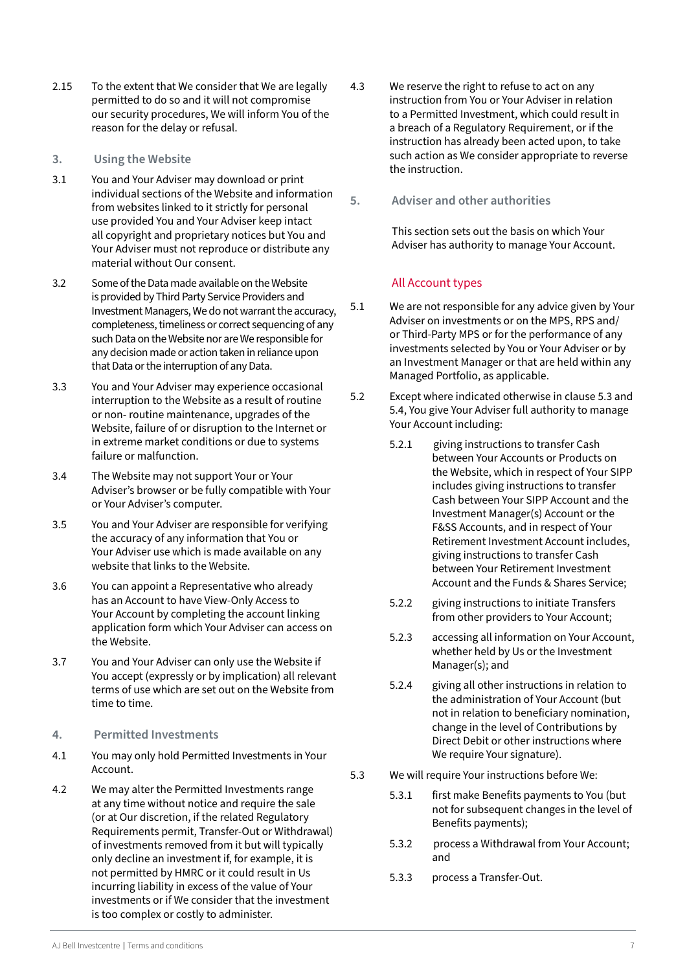- <span id="page-6-0"></span>2.15 To the extent that We consider that We are legally permitted to do so and it will not compromise our security procedures, We will inform You of the reason for the delay or refusal.
- **3. Using the Website**
- 3.1 You and Your Adviser may download or print individual sections of the Website and information from websites linked to it strictly for personal use provided You and Your Adviser keep intact all copyright and proprietary notices but You and Your Adviser must not reproduce or distribute any material without Our consent.
- 3.2 Some of the Data made available on the Website is provided by Third Party Service Providers and Investment Managers, We do not warrant the accuracy, completeness, timeliness or correct sequencing of any such Data on the Website nor are We responsible for any decision made or action taken in reliance upon that Data or the interruption of any Data.
- 3.3 You and Your Adviser may experience occasional interruption to the Website as a result of routine or non- routine maintenance, upgrades of the Website, failure of or disruption to the Internet or in extreme market conditions or due to systems failure or malfunction.
- 3.4 The Website may not support Your or Your Adviser's browser or be fully compatible with Your or Your Adviser's computer.
- 3.5 You and Your Adviser are responsible for verifying the accuracy of any information that You or Your Adviser use which is made available on any website that links to the Website.
- 3.6 You can appoint a Representative who already has an Account to have View-Only Access to Your Account by completing the account linking application form which Your Adviser can access on the Website.
- 3.7 You and Your Adviser can only use the Website if You accept (expressly or by implication) all relevant terms of use which are set out on the Website from time to time.
- **4. Permitted Investments**
- 4.1 You may only hold Permitted Investments in Your Account.
- 4.2 We may alter the Permitted Investments range at any time without notice and require the sale (or at Our discretion, if the related Regulatory Requirements permit, Transfer-Out or Withdrawal) of investments removed from it but will typically only decline an investment if, for example, it is not permitted by HMRC or it could result in Us incurring liability in excess of the value of Your investments or if We consider that the investment is too complex or costly to administer.
- 4.3 We reserve the right to refuse to act on any instruction from You or Your Adviser in relation to a Permitted Investment, which could result in a breach of a Regulatory Requirement, or if the instruction has already been acted upon, to take such action as We consider appropriate to reverse the instruction.
- **5. Adviser and other authorities**

This section sets out the basis on which Your Adviser has authority to manage Your Account.

# All Account types

- 5.1 We are not responsible for any advice given by Your Adviser on investments or on the MPS, RPS and/ or Third-Party MPS or for the performance of any investments selected by You or Your Adviser or by an Investment Manager or that are held within any Managed Portfolio, as applicable.
- 5.2 Except where indicated otherwise in clause 5.3 and 5.4, You give Your Adviser full authority to manage Your Account including:
	- 5.2.1 giving instructions to transfer Cash between Your Accounts or Products on the Website, which in respect of Your SIPP includes giving instructions to transfer Cash between Your SIPP Account and the Investment Manager(s) Account or the F&SS Accounts, and in respect of Your Retirement Investment Account includes, giving instructions to transfer Cash between Your Retirement Investment Account and the Funds & Shares Service;
	- 5.2.2 giving instructions to initiate Transfers from other providers to Your Account;
	- 5.2.3 accessing all information on Your Account, whether held by Us or the Investment Manager(s); and
	- 5.2.4 giving all other instructions in relation to the administration of Your Account (but not in relation to beneficiary nomination, change in the level of Contributions by Direct Debit or other instructions where We require Your signature).
- 5.3 We will require Your instructions before We:
	- 5.3.1 first make Benefits payments to You (but not for subsequent changes in the level of Benefits payments);
	- 5.3.2 process a Withdrawal from Your Account; and
	- 5.3.3 process a Transfer-Out.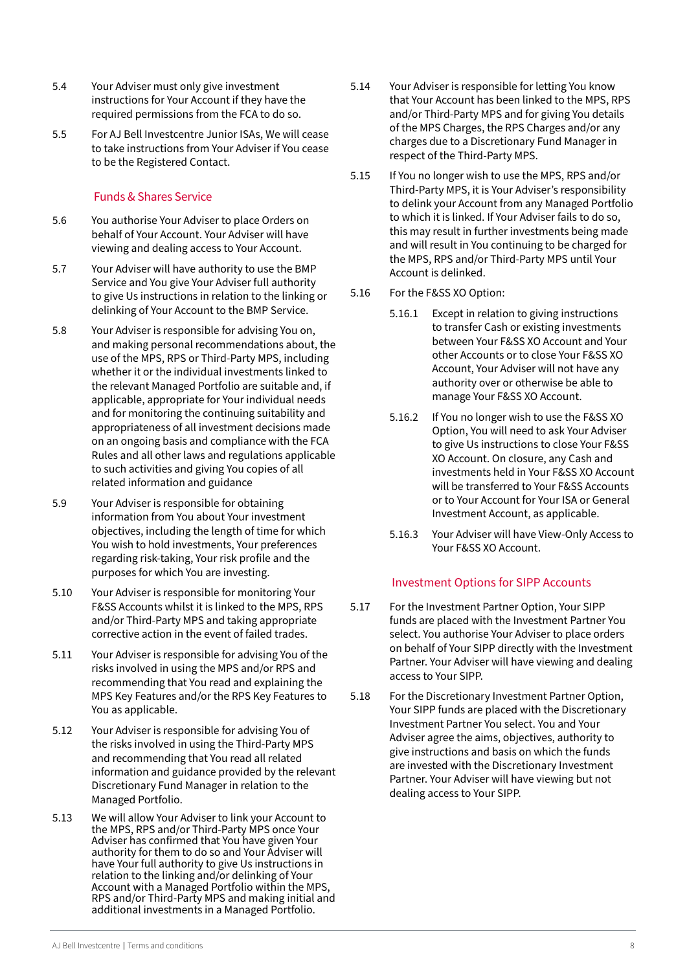- <span id="page-7-0"></span>5.4 Your Adviser must only give investment instructions for Your Account if they have the required permissions from the FCA to do so.
- 5.5 For AJ Bell Investcentre Junior ISAs, We will cease to take instructions from Your Adviser if You cease to be the Registered Contact.

# Funds & Shares Service

- 5.6 You authorise Your Adviser to place Orders on behalf of Your Account. Your Adviser will have viewing and dealing access to Your Account.
- 5.7 Your Adviser will have authority to use the BMP Service and You give Your Adviser full authority to give Us instructions in relation to the linking or delinking of Your Account to the BMP Service.
- 5.8 Your Adviser is responsible for advising You on, and making personal recommendations about, the use of the MPS, RPS or Third-Party MPS, including whether it or the individual investments linked to the relevant Managed Portfolio are suitable and, if applicable, appropriate for Your individual needs and for monitoring the continuing suitability and appropriateness of all investment decisions made on an ongoing basis and compliance with the FCA Rules and all other laws and regulations applicable to such activities and giving You copies of all related information and guidance
- 5.9 Your Adviser is responsible for obtaining information from You about Your investment objectives, including the length of time for which You wish to hold investments, Your preferences regarding risk-taking, Your risk profile and the purposes for which You are investing.
- 5.10 Your Adviser is responsible for monitoring Your F&SS Accounts whilst it is linked to the MPS, RPS and/or Third-Party MPS and taking appropriate corrective action in the event of failed trades.
- 5.11 Your Adviser is responsible for advising You of the risks involved in using the MPS and/or RPS and recommending that You read and explaining the MPS Key Features and/or the RPS Key Features to You as applicable.
- 5.12 Your Adviser is responsible for advising You of the risks involved in using the Third-Party MPS and recommending that You read all related information and guidance provided by the relevant Discretionary Fund Manager in relation to the Managed Portfolio.
- 5.13 We will allow Your Adviser to link your Account to the MPS, RPS and/or Third-Party MPS once Your Adviser has confirmed that You have given Your authority for them to do so and Your Adviser will have Your full authority to give Us instructions in relation to the linking and/or delinking of Your Account with a Managed Portfolio within the MPS, RPS and/or Third-Party MPS and making initial and additional investments in a Managed Portfolio.
- 5.14 Your Adviser is responsible for letting You know that Your Account has been linked to the MPS, RPS and/or Third-Party MPS and for giving You details of the MPS Charges, the RPS Charges and/or any charges due to a Discretionary Fund Manager in respect of the Third-Party MPS.
- 5.15 If You no longer wish to use the MPS, RPS and/or Third-Party MPS, it is Your Adviser's responsibility to delink your Account from any Managed Portfolio to which it is linked. If Your Adviser fails to do so, this may result in further investments being made and will result in You continuing to be charged for the MPS, RPS and/or Third-Party MPS until Your Account is delinked.
- 5.16 For the F&SS XO Option:
	- 5.16.1 Except in relation to giving instructions to transfer Cash or existing investments between Your F&SS XO Account and Your other Accounts or to close Your F&SS XO Account, Your Adviser will not have any authority over or otherwise be able to manage Your F&SS XO Account.
	- 5.16.2 If You no longer wish to use the F&SS XO Option, You will need to ask Your Adviser to give Us instructions to close Your F&SS XO Account. On closure, any Cash and investments held in Your F&SS XO Account will be transferred to Your F&SS Accounts or to Your Account for Your ISA or General Investment Account, as applicable.
	- 5.16.3 Your Adviser will have View-Only Access to Your F&SS XO Account.

# Investment Options for SIPP Accounts

- 5.17 For the Investment Partner Option, Your SIPP funds are placed with the Investment Partner You select. You authorise Your Adviser to place orders on behalf of Your SIPP directly with the Investment Partner. Your Adviser will have viewing and dealing access to Your SIPP.
- 5.18 For the Discretionary Investment Partner Option, Your SIPP funds are placed with the Discretionary Investment Partner You select. You and Your Adviser agree the aims, objectives, authority to give instructions and basis on which the funds are invested with the Discretionary Investment Partner. Your Adviser will have viewing but not dealing access to Your SIPP.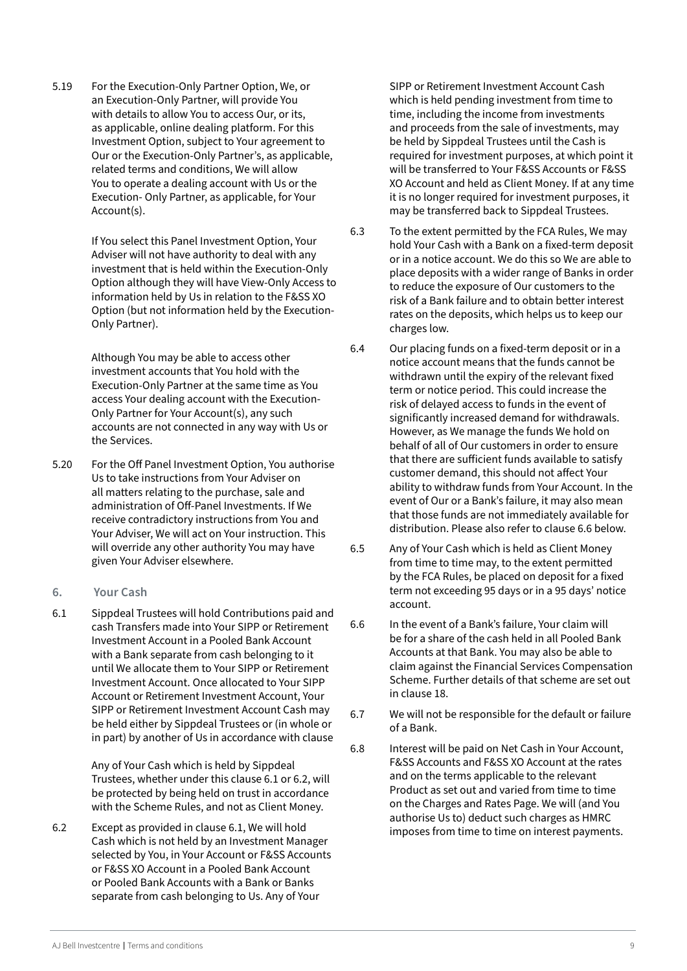<span id="page-8-0"></span>5.19 For the Execution-Only Partner Option, We, or an Execution-Only Partner, will provide You with details to allow You to access Our, or its, as applicable, online dealing platform. For this Investment Option, subject to Your agreement to Our or the Execution-Only Partner's, as applicable, related terms and conditions, We will allow You to operate a dealing account with Us or the Execution- Only Partner, as applicable, for Your Account(s).

> If You select this Panel Investment Option, Your Adviser will not have authority to deal with any investment that is held within the Execution-Only Option although they will have View-Only Access to information held by Us in relation to the F&SS XO Option (but not information held by the Execution-Only Partner).

Although You may be able to access other investment accounts that You hold with the Execution-Only Partner at the same time as You access Your dealing account with the Execution-Only Partner for Your Account(s), any such accounts are not connected in any way with Us or the Services.

- 5.20 For the Off Panel Investment Option, You authorise Us to take instructions from Your Adviser on all matters relating to the purchase, sale and administration of Off-Panel Investments. If We receive contradictory instructions from You and Your Adviser, We will act on Your instruction. This will override any other authority You may have given Your Adviser elsewhere.
- **6. Your Cash**
- 6.1 Sippdeal Trustees will hold Contributions paid and cash Transfers made into Your SIPP or Retirement Investment Account in a Pooled Bank Account with a Bank separate from cash belonging to it until We allocate them to Your SIPP or Retirement Investment Account. Once allocated to Your SIPP Account or Retirement Investment Account, Your SIPP or Retirement Investment Account Cash may be held either by Sippdeal Trustees or (in whole or in part) by another of Us in accordance with clause

Any of Your Cash which is held by Sippdeal Trustees, whether under this clause 6.1 or 6.2, will be protected by being held on trust in accordance with the Scheme Rules, and not as Client Money.

6.2 Except as provided in clause 6.1, We will hold Cash which is not held by an Investment Manager selected by You, in Your Account or F&SS Accounts or F&SS XO Account in a Pooled Bank Account or Pooled Bank Accounts with a Bank or Banks separate from cash belonging to Us. Any of Your

SIPP or Retirement Investment Account Cash which is held pending investment from time to time, including the income from investments and proceeds from the sale of investments, may be held by Sippdeal Trustees until the Cash is required for investment purposes, at which point it will be transferred to Your F&SS Accounts or F&SS XO Account and held as Client Money. If at any time it is no longer required for investment purposes, it may be transferred back to Sippdeal Trustees.

- 6.3 To the extent permitted by the FCA Rules, We may hold Your Cash with a Bank on a fixed-term deposit or in a notice account. We do this so We are able to place deposits with a wider range of Banks in order to reduce the exposure of Our customers to the risk of a Bank failure and to obtain better interest rates on the deposits, which helps us to keep our charges low.
- 6.4 Our placing funds on a fixed-term deposit or in a notice account means that the funds cannot be withdrawn until the expiry of the relevant fixed term or notice period. This could increase the risk of delayed access to funds in the event of significantly increased demand for withdrawals. However, as We manage the funds We hold on behalf of all of Our customers in order to ensure that there are sufficient funds available to satisfy customer demand, this should not affect Your ability to withdraw funds from Your Account. In the event of Our or a Bank's failure, it may also mean that those funds are not immediately available for distribution. Please also refer to clause 6.6 below.
- 6.5 Any of Your Cash which is held as Client Money from time to time may, to the extent permitted by the FCA Rules, be placed on deposit for a fixed term not exceeding 95 days or in a 95 days' notice account.
- 6.6 In the event of a Bank's failure, Your claim will be for a share of the cash held in all Pooled Bank Accounts at that Bank. You may also be able to claim against the Financial Services Compensation Scheme. Further details of that scheme are set out in clause 18.
- 6.7 We will not be responsible for the default or failure of a Bank.
- 6.8 Interest will be paid on Net Cash in Your Account, F&SS Accounts and F&SS XO Account at the rates and on the terms applicable to the relevant Product as set out and varied from time to time on the Charges and Rates Page. We will (and You authorise Us to) deduct such charges as HMRC imposes from time to time on interest payments.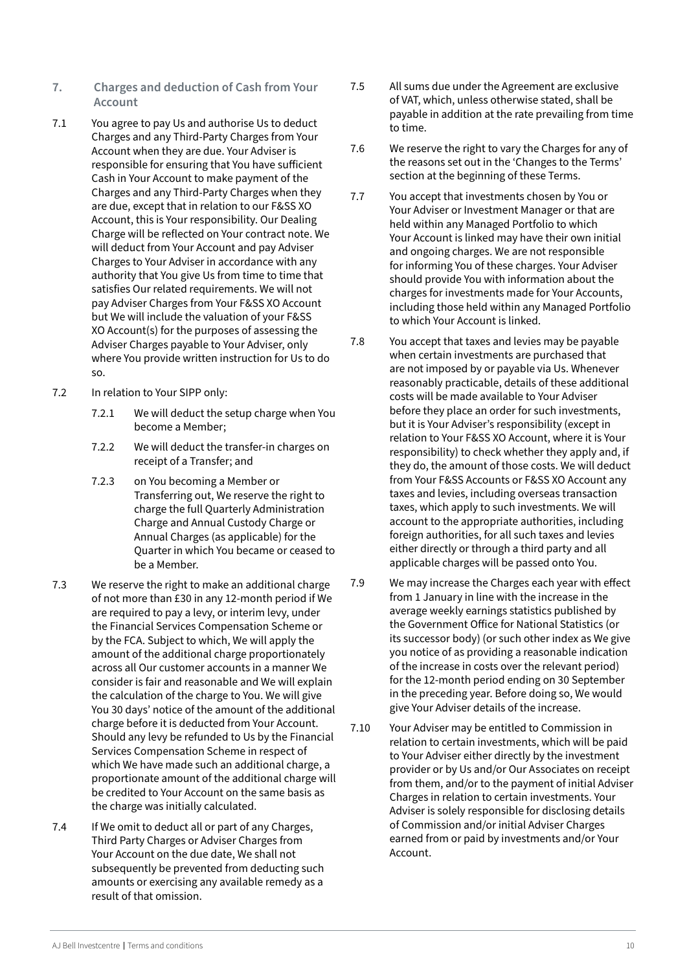- <span id="page-9-0"></span>**7. Charges and deduction of Cash from Your Account**
- 7.1 You agree to pay Us and authorise Us to deduct Charges and any Third-Party Charges from Your Account when they are due. Your Adviser is responsible for ensuring that You have sufficient Cash in Your Account to make payment of the Charges and any Third-Party Charges when they are due, except that in relation to our F&SS XO Account, this is Your responsibility. Our Dealing Charge will be reflected on Your contract note. We will deduct from Your Account and pay Adviser Charges to Your Adviser in accordance with any authority that You give Us from time to time that satisfies Our related requirements. We will not pay Adviser Charges from Your F&SS XO Account but We will include the valuation of your F&SS XO Account(s) for the purposes of assessing the Adviser Charges payable to Your Adviser, only where You provide written instruction for Us to do so.
- 7.2 In relation to Your SIPP only:
	- 7.2.1 We will deduct the setup charge when You become a Member;
	- 7.2.2 We will deduct the transfer-in charges on receipt of a Transfer; and
	- 7.2.3 on You becoming a Member or Transferring out, We reserve the right to charge the full Quarterly Administration Charge and Annual Custody Charge or Annual Charges (as applicable) for the Quarter in which You became or ceased to be a Member.
- 7.3 We reserve the right to make an additional charge of not more than £30 in any 12-month period if We are required to pay a levy, or interim levy, under the Financial Services Compensation Scheme or by the FCA. Subject to which, We will apply the amount of the additional charge proportionately across all Our customer accounts in a manner We consider is fair and reasonable and We will explain the calculation of the charge to You. We will give You 30 days' notice of the amount of the additional charge before it is deducted from Your Account. Should any levy be refunded to Us by the Financial Services Compensation Scheme in respect of which We have made such an additional charge, a proportionate amount of the additional charge will be credited to Your Account on the same basis as the charge was initially calculated.
- 7.4 If We omit to deduct all or part of any Charges, Third Party Charges or Adviser Charges from Your Account on the due date, We shall not subsequently be prevented from deducting such amounts or exercising any available remedy as a result of that omission.
- 7.5 All sums due under the Agreement are exclusive of VAT, which, unless otherwise stated, shall be payable in addition at the rate prevailing from time to time.
- 7.6 We reserve the right to vary the Charges for any of the reasons set out in the 'Changes to the Terms' section at the beginning of these Terms.
- 7.7 You accept that investments chosen by You or Your Adviser or Investment Manager or that are held within any Managed Portfolio to which Your Account is linked may have their own initial and ongoing charges. We are not responsible for informing You of these charges. Your Adviser should provide You with information about the charges for investments made for Your Accounts, including those held within any Managed Portfolio to which Your Account is linked.
- 7.8 You accept that taxes and levies may be payable when certain investments are purchased that are not imposed by or payable via Us. Whenever reasonably practicable, details of these additional costs will be made available to Your Adviser before they place an order for such investments, but it is Your Adviser's responsibility (except in relation to Your F&SS XO Account, where it is Your responsibility) to check whether they apply and, if they do, the amount of those costs. We will deduct from Your F&SS Accounts or F&SS XO Account any taxes and levies, including overseas transaction taxes, which apply to such investments. We will account to the appropriate authorities, including foreign authorities, for all such taxes and levies either directly or through a third party and all applicable charges will be passed onto You.
- 7.9 We may increase the Charges each year with effect from 1 January in line with the increase in the average weekly earnings statistics published by the Government Office for National Statistics (or its successor body) (or such other index as We give you notice of as providing a reasonable indication of the increase in costs over the relevant period) for the 12-month period ending on 30 September in the preceding year. Before doing so, We would give Your Adviser details of the increase.
- 7.10 Your Adviser may be entitled to Commission in relation to certain investments, which will be paid to Your Adviser either directly by the investment provider or by Us and/or Our Associates on receipt from them, and/or to the payment of initial Adviser Charges in relation to certain investments. Your Adviser is solely responsible for disclosing details of Commission and/or initial Adviser Charges earned from or paid by investments and/or Your Account.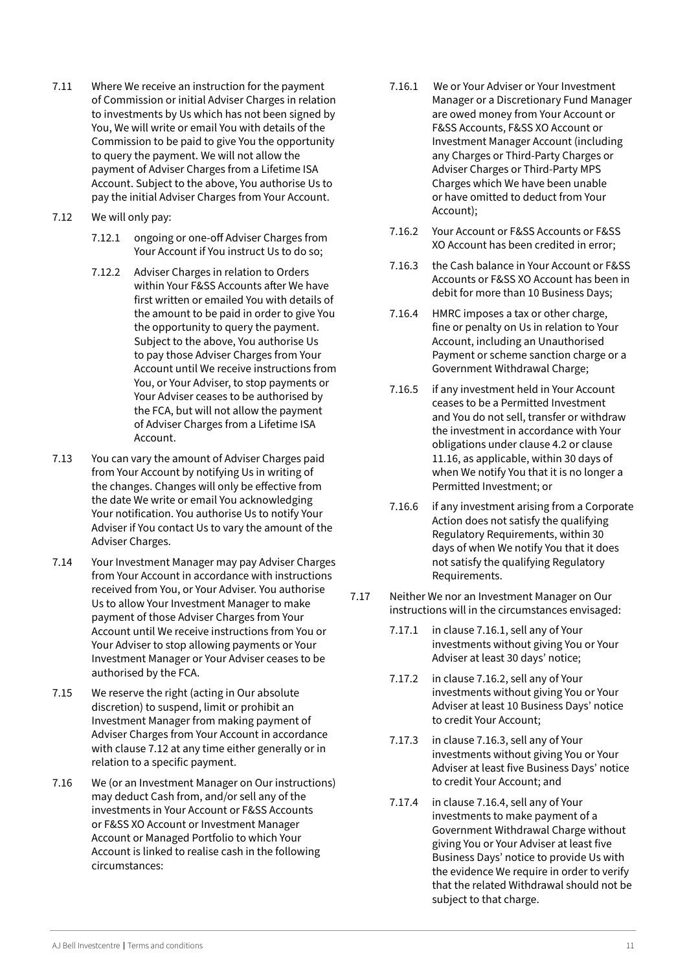- 7.11 Where We receive an instruction for the payment of Commission or initial Adviser Charges in relation to investments by Us which has not been signed by You, We will write or email You with details of the Commission to be paid to give You the opportunity to query the payment. We will not allow the payment of Adviser Charges from a Lifetime ISA Account. Subject to the above, You authorise Us to pay the initial Adviser Charges from Your Account.
- 7.12 We will only pay:
	- 7.12.1 ongoing or one-off Adviser Charges from Your Account if You instruct Us to do so;
	- 7.12.2 Adviser Charges in relation to Orders within Your F&SS Accounts after We have first written or emailed You with details of the amount to be paid in order to give You the opportunity to query the payment. Subject to the above, You authorise Us to pay those Adviser Charges from Your Account until We receive instructions from You, or Your Adviser, to stop payments or Your Adviser ceases to be authorised by the FCA, but will not allow the payment of Adviser Charges from a Lifetime ISA Account.
- 7.13 You can vary the amount of Adviser Charges paid from Your Account by notifying Us in writing of the changes. Changes will only be effective from the date We write or email You acknowledging Your notification. You authorise Us to notify Your Adviser if You contact Us to vary the amount of the Adviser Charges.
- 7.14 Your Investment Manager may pay Adviser Charges from Your Account in accordance with instructions received from You, or Your Adviser. You authorise Us to allow Your Investment Manager to make payment of those Adviser Charges from Your Account until We receive instructions from You or Your Adviser to stop allowing payments or Your Investment Manager or Your Adviser ceases to be authorised by the FCA.
- 7.15 We reserve the right (acting in Our absolute discretion) to suspend, limit or prohibit an Investment Manager from making payment of Adviser Charges from Your Account in accordance with clause 7.12 at any time either generally or in relation to a specific payment.
- 7.16 We (or an Investment Manager on Our instructions) may deduct Cash from, and/or sell any of the investments in Your Account or F&SS Accounts or F&SS XO Account or Investment Manager Account or Managed Portfolio to which Your Account is linked to realise cash in the following circumstances:
- 7.16.1 We or Your Adviser or Your Investment Manager or a Discretionary Fund Manager are owed money from Your Account or F&SS Accounts, F&SS XO Account or Investment Manager Account (including any Charges or Third-Party Charges or Adviser Charges or Third-Party MPS Charges which We have been unable or have omitted to deduct from Your Account);
- 7.16.2 Your Account or F&SS Accounts or F&SS XO Account has been credited in error;
- 7.16.3 the Cash balance in Your Account or F&SS Accounts or F&SS XO Account has been in debit for more than 10 Business Days;
- 7.16.4 HMRC imposes a tax or other charge, fine or penalty on Us in relation to Your Account, including an Unauthorised Payment or scheme sanction charge or a Government Withdrawal Charge;
- 7.16.5 if any investment held in Your Account ceases to be a Permitted Investment and You do not sell, transfer or withdraw the investment in accordance with Your obligations under clause 4.2 or clause 11.16, as applicable, within 30 days of when We notify You that it is no longer a Permitted Investment; or
- 7.16.6 if any investment arising from a Corporate Action does not satisfy the qualifying Regulatory Requirements, within 30 days of when We notify You that it does not satisfy the qualifying Regulatory Requirements.
- 7.17 Neither We nor an Investment Manager on Our instructions will in the circumstances envisaged:
	- 7.17.1 in clause 7.16.1, sell any of Your investments without giving You or Your Adviser at least 30 days' notice;
	- 7.17.2 in clause 7.16.2, sell any of Your investments without giving You or Your Adviser at least 10 Business Days' notice to credit Your Account;
	- 7.17.3 in clause 7.16.3, sell any of Your investments without giving You or Your Adviser at least five Business Days' notice to credit Your Account; and
	- 7.17.4 in clause 7.16.4, sell any of Your investments to make payment of a Government Withdrawal Charge without giving You or Your Adviser at least five Business Days' notice to provide Us with the evidence We require in order to verify that the related Withdrawal should not be subject to that charge.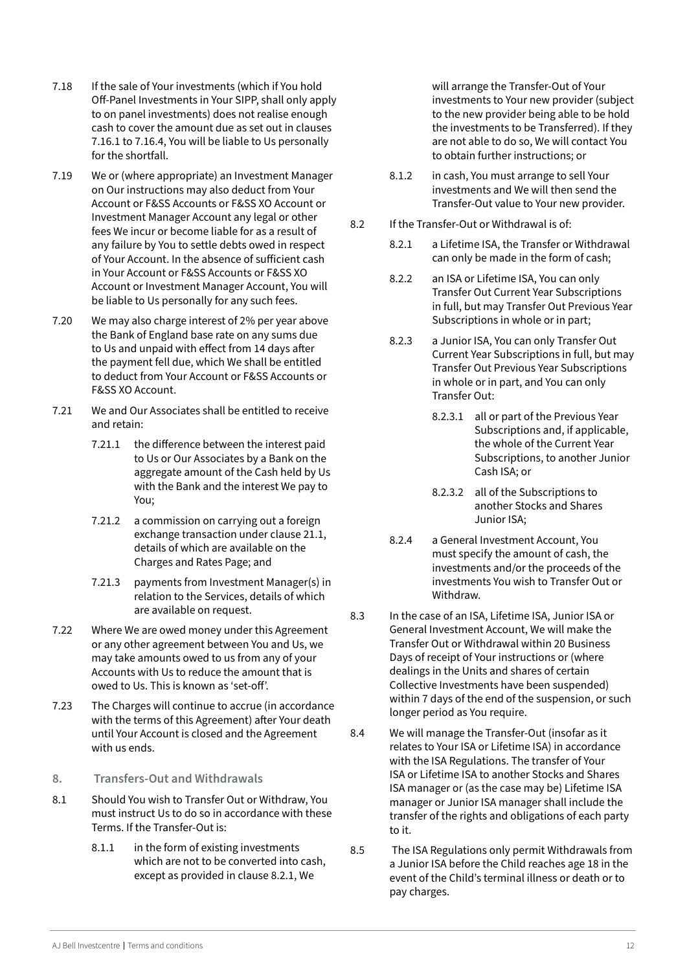- <span id="page-11-0"></span>7.18 If the sale of Your investments (which if You hold Off-Panel Investments in Your SIPP, shall only apply to on panel investments) does not realise enough cash to cover the amount due as set out in clauses 7.16.1 to 7.16.4, You will be liable to Us personally for the shortfall.
- 7.19 We or (where appropriate) an Investment Manager on Our instructions may also deduct from Your Account or F&SS Accounts or F&SS XO Account or Investment Manager Account any legal or other fees We incur or become liable for as a result of any failure by You to settle debts owed in respect of Your Account. In the absence of sufficient cash in Your Account or F&SS Accounts or F&SS XO Account or Investment Manager Account, You will be liable to Us personally for any such fees.
- 7.20 We may also charge interest of 2% per year above the Bank of England base rate on any sums due to Us and unpaid with effect from 14 days after the payment fell due, which We shall be entitled to deduct from Your Account or F&SS Accounts or F&SS XO Account.
- 7.21 We and Our Associates shall be entitled to receive and retain:
	- 7.21.1 the difference between the interest paid to Us or Our Associates by a Bank on the aggregate amount of the Cash held by Us with the Bank and the interest We pay to You;
	- 7.21.2 a commission on carrying out a foreign exchange transaction under clause 21.1, details of which are available on the Charges and Rates Page; and
	- 7.21.3 payments from Investment Manager(s) in relation to the Services, details of which are available on request.
- 7.22 Where We are owed money under this Agreement or any other agreement between You and Us, we may take amounts owed to us from any of your Accounts with Us to reduce the amount that is owed to Us. This is known as 'set-off'.
- 7.23 The Charges will continue to accrue (in accordance with the terms of this Agreement) after Your death until Your Account is closed and the Agreement with us ends.
- **8. Transfers-Out and Withdrawals**
- 8.1 Should You wish to Transfer Out or Withdraw, You must instruct Us to do so in accordance with these Terms. If the Transfer-Out is:
	- 8.1.1 in the form of existing investments which are not to be converted into cash, except as provided in clause 8.2.1, We

will arrange the Transfer-Out of Your investments to Your new provider (subject to the new provider being able to be hold the investments to be Transferred). If they are not able to do so, We will contact You to obtain further instructions; or

- 8.1.2 in cash, You must arrange to sell Your investments and We will then send the Transfer-Out value to Your new provider.
- 8.2 If the Transfer-Out or Withdrawal is of:
	- 8.2.1 a Lifetime ISA, the Transfer or Withdrawal can only be made in the form of cash;
	- 8.2.2 an ISA or Lifetime ISA, You can only Transfer Out Current Year Subscriptions in full, but may Transfer Out Previous Year Subscriptions in whole or in part;
	- 8.2.3 a Junior ISA, You can only Transfer Out Current Year Subscriptions in full, but may Transfer Out Previous Year Subscriptions in whole or in part, and You can only Transfer Out:
		- 8.2.3.1 all or part of the Previous Year Subscriptions and, if applicable, the whole of the Current Year Subscriptions, to another Junior Cash ISA; or
		- 8.2.3.2 all of the Subscriptions to another Stocks and Shares Junior ISA;
	- 8.2.4 a General Investment Account, You must specify the amount of cash, the investments and/or the proceeds of the investments You wish to Transfer Out or Withdraw.
- 8.3 In the case of an ISA, Lifetime ISA, Junior ISA or General Investment Account, We will make the Transfer Out or Withdrawal within 20 Business Days of receipt of Your instructions or (where dealings in the Units and shares of certain Collective Investments have been suspended) within 7 days of the end of the suspension, or such longer period as You require.
- 8.4 We will manage the Transfer-Out (insofar as it relates to Your ISA or Lifetime ISA) in accordance with the ISA Regulations. The transfer of Your ISA or Lifetime ISA to another Stocks and Shares ISA manager or (as the case may be) Lifetime ISA manager or Junior ISA manager shall include the transfer of the rights and obligations of each party to it.
- 8.5 The ISA Regulations only permit Withdrawals from a Junior ISA before the Child reaches age 18 in the event of the Child's terminal illness or death or to pay charges.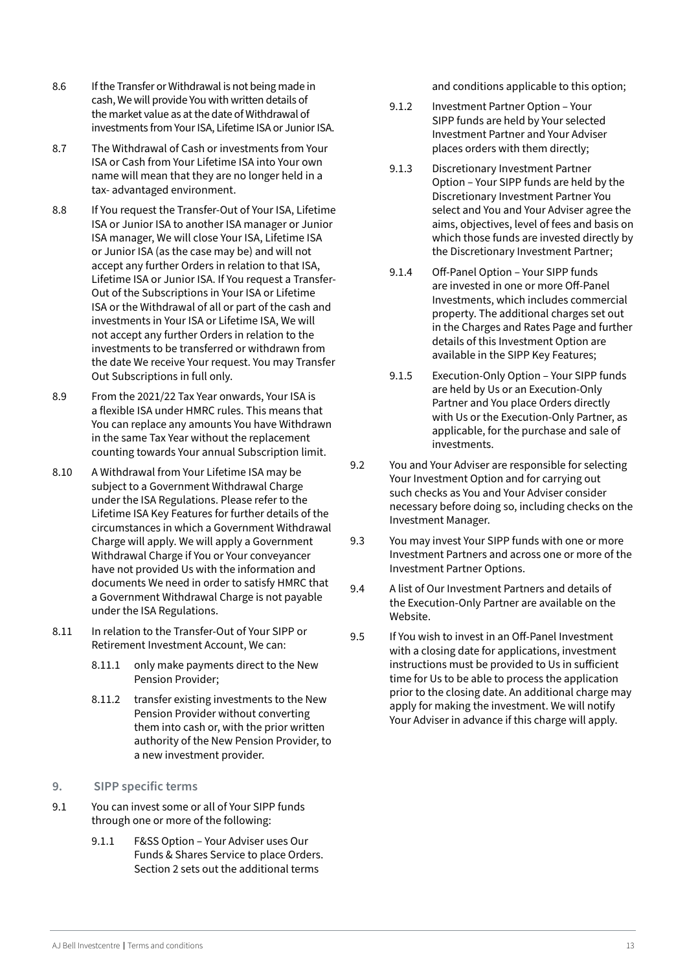- <span id="page-12-0"></span>8.6 If the Transfer or Withdrawal is not being made in cash, We will provide You with written details of the market value as at the date of Withdrawal of investments from Your ISA, Lifetime ISA or Junior ISA.
- 8.7 The Withdrawal of Cash or investments from Your ISA or Cash from Your Lifetime ISA into Your own name will mean that they are no longer held in a tax- advantaged environment.
- 8.8 If You request the Transfer-Out of Your ISA, Lifetime ISA or Junior ISA to another ISA manager or Junior ISA manager, We will close Your ISA, Lifetime ISA or Junior ISA (as the case may be) and will not accept any further Orders in relation to that ISA, Lifetime ISA or Junior ISA. If You request a Transfer-Out of the Subscriptions in Your ISA or Lifetime ISA or the Withdrawal of all or part of the cash and investments in Your ISA or Lifetime ISA, We will not accept any further Orders in relation to the investments to be transferred or withdrawn from the date We receive Your request. You may Transfer Out Subscriptions in full only.
- 8.9 From the 2021/22 Tax Year onwards, Your ISA is a flexible ISA under HMRC rules. This means that You can replace any amounts You have Withdrawn in the same Tax Year without the replacement counting towards Your annual Subscription limit.
- 8.10 A Withdrawal from Your Lifetime ISA may be subject to a Government Withdrawal Charge under the ISA Regulations. Please refer to the Lifetime ISA Key Features for further details of the circumstances in which a Government Withdrawal Charge will apply. We will apply a Government Withdrawal Charge if You or Your conveyancer have not provided Us with the information and documents We need in order to satisfy HMRC that a Government Withdrawal Charge is not payable under the ISA Regulations.
- 8.11 In relation to the Transfer-Out of Your SIPP or Retirement Investment Account, We can:
	- 8.11.1 only make payments direct to the New Pension Provider;
	- 8.11.2 transfer existing investments to the New Pension Provider without converting them into cash or, with the prior written authority of the New Pension Provider, to a new investment provider.
- **9. SIPP specific terms**
- 9.1 You can invest some or all of Your SIPP funds through one or more of the following:
	- 9.1.1 F&SS Option Your Adviser uses Our Funds & Shares Service to place Orders. Section 2 sets out the additional terms

and conditions applicable to this option;

- 9.1.2 Investment Partner Option Your SIPP funds are held by Your selected Investment Partner and Your Adviser places orders with them directly;
- 9.1.3 Discretionary Investment Partner Option – Your SIPP funds are held by the Discretionary Investment Partner You select and You and Your Adviser agree the aims, objectives, level of fees and basis on which those funds are invested directly by the Discretionary Investment Partner;
- 9.1.4 Off-Panel Option Your SIPP funds are invested in one or more Off-Panel Investments, which includes commercial property. The additional charges set out in the Charges and Rates Page and further details of this Investment Option are available in the SIPP Key Features;
- 9.1.5 Execution-Only Option Your SIPP funds are held by Us or an Execution-Only Partner and You place Orders directly with Us or the Execution-Only Partner, as applicable, for the purchase and sale of investments.
- 9.2 You and Your Adviser are responsible for selecting Your Investment Option and for carrying out such checks as You and Your Adviser consider necessary before doing so, including checks on the Investment Manager.
- 9.3 You may invest Your SIPP funds with one or more Investment Partners and across one or more of the Investment Partner Options.
- 9.4 A list of Our Investment Partners and details of the Execution-Only Partner are available on the Website.
- 9.5 If You wish to invest in an Off-Panel Investment with a closing date for applications, investment instructions must be provided to Us in sufficient time for Us to be able to process the application prior to the closing date. An additional charge may apply for making the investment. We will notify Your Adviser in advance if this charge will apply.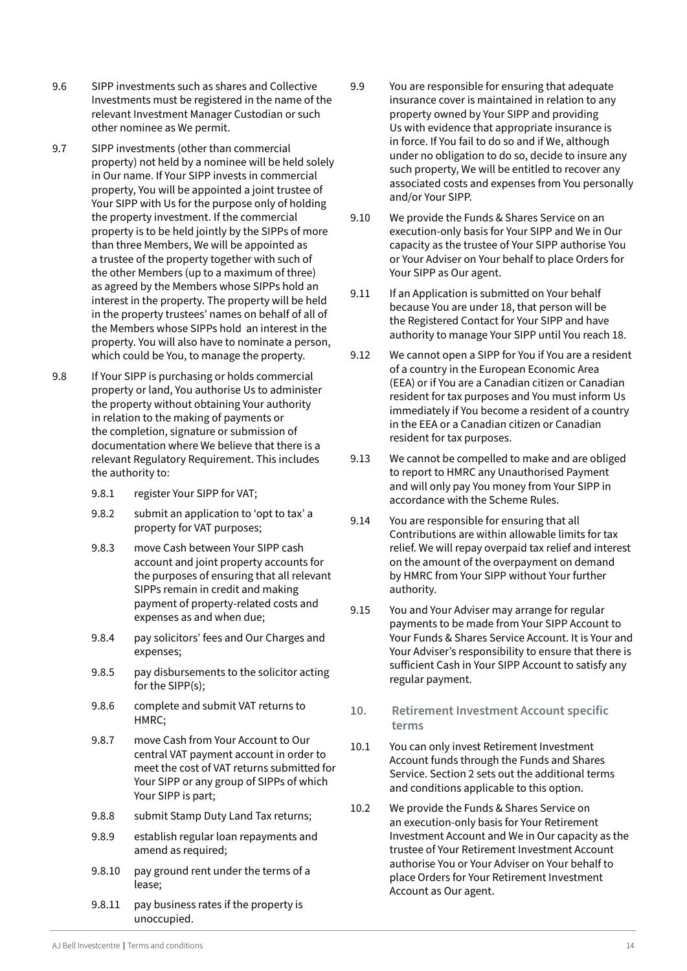- <span id="page-13-0"></span>9.6 SIPP investments such as shares and Collective Investments must be registered in the name of the relevant Investment Manager Custodian or such other nominee as We permit.
- 9.7 SIPP investments (other than commercial property) not held by a nominee will be held solely in Our name. If Your SIPP invests in commercial property, You will be appointed a joint trustee of Your SIPP with Us for the purpose only of holding the property investment. If the commercial property is to be held jointly by the SIPPs of more than three Members, We will be appointed as a trustee of the property together with such of the other Members (up to a maximum of three) as agreed by the Members whose SIPPs hold an interest in the property. The property will be held in the property trustees' names on behalf of all of the Members whose SIPPs hold an interest in the property. You will also have to nominate a person, which could be You, to manage the property.
- 9.8 If Your SIPP is purchasing or holds commercial property or land, You authorise Us to administer the property without obtaining Your authority in relation to the making of payments or the completion, signature or submission of documentation where We believe that there is a relevant Regulatory Requirement. This includes the authority to:
	- 9.8.1 register Your SIPP for VAT;
	- 9.8.2 submit an application to 'opt to tax' a property for VAT purposes;
	- 9.8.3 move Cash between Your SIPP cash account and joint property accounts for the purposes of ensuring that all relevant SIPPs remain in credit and making payment of property-related costs and expenses as and when due;
	- 9.8.4 pay solicitors' fees and Our Charges and expenses;
	- 9.8.5 pay disbursements to the solicitor acting for the SIPP(s);
	- 9.8.6 complete and submit VAT returns to HMRC;
	- 9.8.7 move Cash from Your Account to Our central VAT payment account in order to meet the cost of VAT returns submitted for Your SIPP or any group of SIPPs of which Your SIPP is part;
	- 9.8.8 submit Stamp Duty Land Tax returns;
	- 9.8.9 establish regular loan repayments and amend as required;
	- 9.8.10 pay ground rent under the terms of a lease;
	- 9.8.11 pay business rates if the property is unoccupied.
- 9.9 You are responsible for ensuring that adequate insurance cover is maintained in relation to any property owned by Your SIPP and providing Us with evidence that appropriate insurance is in force. If You fail to do so and if We, although under no obligation to do so, decide to insure any such property, We will be entitled to recover any associated costs and expenses from You personally and/or Your SIPP.
- 9.10 We provide the Funds & Shares Service on an execution-only basis for Your SIPP and We in Our capacity as the trustee of Your SIPP authorise You or Your Adviser on Your behalf to place Orders for Your SIPP as Our agent.
- 9.11 If an Application is submitted on Your behalf because You are under 18, that person will be the Registered Contact for Your SIPP and have authority to manage Your SIPP until You reach 18.
- 9.12 We cannot open a SIPP for You if You are a resident of a country in the European Economic Area (EEA) or if You are a Canadian citizen or Canadian resident for tax purposes and You must inform Us immediately if You become a resident of a country in the EEA or a Canadian citizen or Canadian resident for tax purposes.
- 9.13 We cannot be compelled to make and are obliged to report to HMRC any Unauthorised Payment and will only pay You money from Your SIPP in accordance with the Scheme Rules.
- 9.14 You are responsible for ensuring that all Contributions are within allowable limits for tax relief. We will repay overpaid tax relief and interest on the amount of the overpayment on demand by HMRC from Your SIPP without Your further authority.
- 9.15 You and Your Adviser may arrange for regular payments to be made from Your SIPP Account to Your Funds & Shares Service Account. It is Your and Your Adviser's responsibility to ensure that there is sufficient Cash in Your SIPP Account to satisfy any regular payment.
- **10. Retirement Investment Account specific terms**
- 10.1 You can only invest Retirement Investment Account funds through the Funds and Shares Service. Section 2 sets out the additional terms and conditions applicable to this option.
- 10.2 We provide the Funds & Shares Service on an execution-only basis for Your Retirement Investment Account and We in Our capacity as the trustee of Your Retirement Investment Account authorise You or Your Adviser on Your behalf to place Orders for Your Retirement Investment Account as Our agent.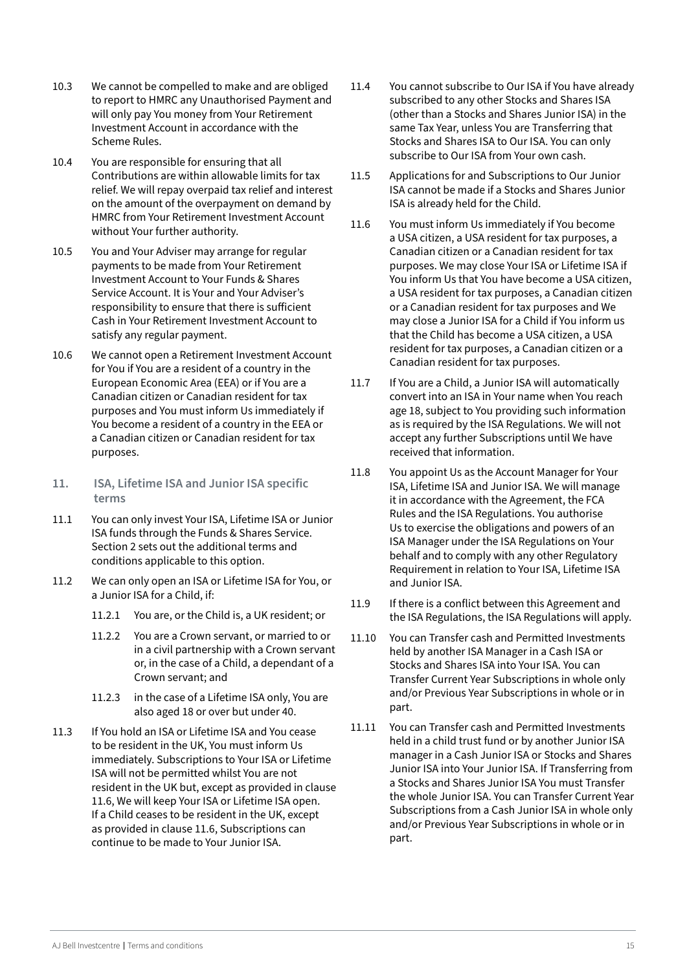- <span id="page-14-0"></span>10.3 We cannot be compelled to make and are obliged to report to HMRC any Unauthorised Payment and will only pay You money from Your Retirement Investment Account in accordance with the Scheme Rules.
- 10.4 You are responsible for ensuring that all Contributions are within allowable limits for tax relief. We will repay overpaid tax relief and interest on the amount of the overpayment on demand by HMRC from Your Retirement Investment Account without Your further authority.
- 10.5 You and Your Adviser may arrange for regular payments to be made from Your Retirement Investment Account to Your Funds & Shares Service Account. It is Your and Your Adviser's responsibility to ensure that there is sufficient Cash in Your Retirement Investment Account to satisfy any regular payment.
- 10.6 We cannot open a Retirement Investment Account for You if You are a resident of a country in the European Economic Area (EEA) or if You are a Canadian citizen or Canadian resident for tax purposes and You must inform Us immediately if You become a resident of a country in the EEA or a Canadian citizen or Canadian resident for tax purposes.
- **11. ISA, Lifetime ISA and Junior ISA specific terms**
- 11.1 You can only invest Your ISA, Lifetime ISA or Junior ISA funds through the Funds & Shares Service. Section 2 sets out the additional terms and conditions applicable to this option.
- 11.2 We can only open an ISA or Lifetime ISA for You, or a Junior ISA for a Child, if:
	- 11.2.1 You are, or the Child is, a UK resident; or
	- 11.2.2 You are a Crown servant, or married to or in a civil partnership with a Crown servant or, in the case of a Child, a dependant of a Crown servant; and
	- 11.2.3 in the case of a Lifetime ISA only, You are also aged 18 or over but under 40.
- 11.3 If You hold an ISA or Lifetime ISA and You cease to be resident in the UK, You must inform Us immediately. Subscriptions to Your ISA or Lifetime ISA will not be permitted whilst You are not resident in the UK but, except as provided in clause 11.6, We will keep Your ISA or Lifetime ISA open. If a Child ceases to be resident in the UK, except as provided in clause 11.6, Subscriptions can continue to be made to Your Junior ISA.
- 11.4 You cannot subscribe to Our ISA if You have already subscribed to any other Stocks and Shares ISA (other than a Stocks and Shares Junior ISA) in the same Tax Year, unless You are Transferring that Stocks and Shares ISA to Our ISA. You can only subscribe to Our ISA from Your own cash.
- 11.5 Applications for and Subscriptions to Our Junior ISA cannot be made if a Stocks and Shares Junior ISA is already held for the Child.
- 11.6 You must inform Us immediately if You become a USA citizen, a USA resident for tax purposes, a Canadian citizen or a Canadian resident for tax purposes. We may close Your ISA or Lifetime ISA if You inform Us that You have become a USA citizen, a USA resident for tax purposes, a Canadian citizen or a Canadian resident for tax purposes and We may close a Junior ISA for a Child if You inform us that the Child has become a USA citizen, a USA resident for tax purposes, a Canadian citizen or a Canadian resident for tax purposes.
- 11.7 If You are a Child, a Junior ISA will automatically convert into an ISA in Your name when You reach age 18, subject to You providing such information as is required by the ISA Regulations. We will not accept any further Subscriptions until We have received that information.
- 11.8 You appoint Us as the Account Manager for Your ISA, Lifetime ISA and Junior ISA. We will manage it in accordance with the Agreement, the FCA Rules and the ISA Regulations. You authorise Us to exercise the obligations and powers of an ISA Manager under the ISA Regulations on Your behalf and to comply with any other Regulatory Requirement in relation to Your ISA, Lifetime ISA and Junior ISA.
- 11.9 If there is a conflict between this Agreement and the ISA Regulations, the ISA Regulations will apply.
- 11.10 You can Transfer cash and Permitted Investments held by another ISA Manager in a Cash ISA or Stocks and Shares ISA into Your ISA. You can Transfer Current Year Subscriptions in whole only and/or Previous Year Subscriptions in whole or in part.
- 11.11 You can Transfer cash and Permitted Investments held in a child trust fund or by another Junior ISA manager in a Cash Junior ISA or Stocks and Shares Junior ISA into Your Junior ISA. If Transferring from a Stocks and Shares Junior ISA You must Transfer the whole Junior ISA. You can Transfer Current Year Subscriptions from a Cash Junior ISA in whole only and/or Previous Year Subscriptions in whole or in part.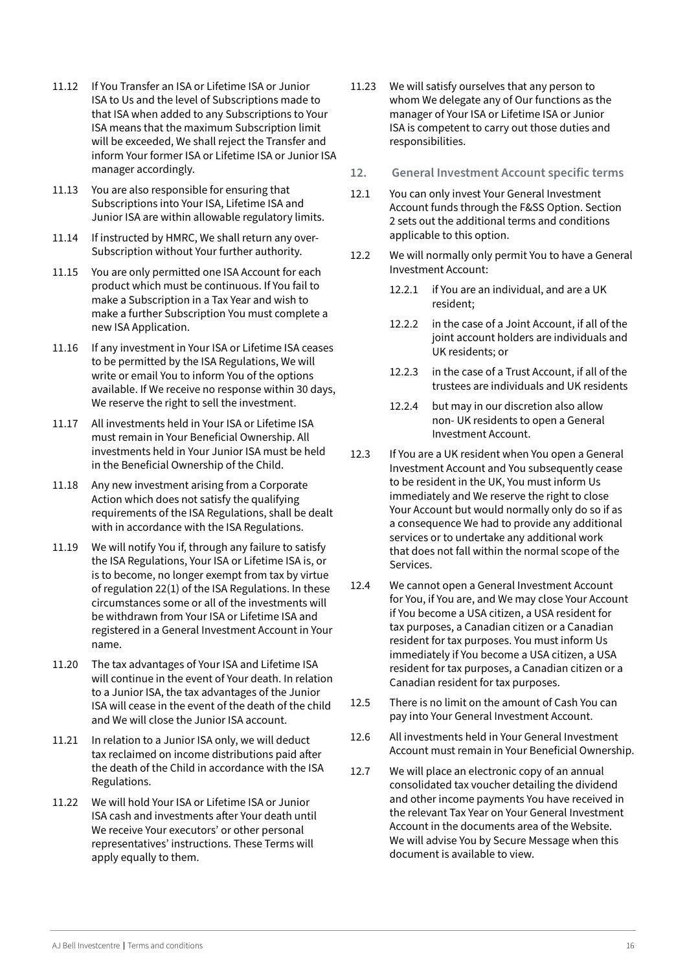- <span id="page-15-0"></span>11.12 If You Transfer an ISA or Lifetime ISA or Junior ISA to Us and the level of Subscriptions made to that ISA when added to any Subscriptions to Your ISA means that the maximum Subscription limit will be exceeded, We shall reject the Transfer and inform Your former ISA or Lifetime ISA or Junior ISA manager accordingly.
- 11.13 You are also responsible for ensuring that Subscriptions into Your ISA, Lifetime ISA and Junior ISA are within allowable regulatory limits.
- 11.14 If instructed by HMRC, We shall return any over-Subscription without Your further authority.
- 11.15 You are only permitted one ISA Account for each product which must be continuous. If You fail to make a Subscription in a Tax Year and wish to make a further Subscription You must complete a new ISA Application.
- 11.16 If any investment in Your ISA or Lifetime ISA ceases to be permitted by the ISA Regulations, We will write or email You to inform You of the options available. If We receive no response within 30 days, We reserve the right to sell the investment.
- 11.17 All investments held in Your ISA or Lifetime ISA must remain in Your Beneficial Ownership. All investments held in Your Junior ISA must be held in the Beneficial Ownership of the Child.
- 11.18 Any new investment arising from a Corporate Action which does not satisfy the qualifying requirements of the ISA Regulations, shall be dealt with in accordance with the ISA Regulations.
- 11.19 We will notify You if, through any failure to satisfy the ISA Regulations, Your ISA or Lifetime ISA is, or is to become, no longer exempt from tax by virtue of regulation 22(1) of the ISA Regulations. In these circumstances some or all of the investments will be withdrawn from Your ISA or Lifetime ISA and registered in a General Investment Account in Your name.
- 11.20 The tax advantages of Your ISA and Lifetime ISA will continue in the event of Your death. In relation to a Junior ISA, the tax advantages of the Junior ISA will cease in the event of the death of the child and We will close the Junior ISA account.
- 11.21 In relation to a Junior ISA only, we will deduct tax reclaimed on income distributions paid after the death of the Child in accordance with the ISA Regulations.
- 11.22 We will hold Your ISA or Lifetime ISA or Junior ISA cash and investments after Your death until We receive Your executors' or other personal representatives' instructions. These Terms will apply equally to them.
- 11.23 We will satisfy ourselves that any person to whom We delegate any of Our functions as the manager of Your ISA or Lifetime ISA or Junior ISA is competent to carry out those duties and responsibilities.
- **12. General Investment Account specific terms**
- 12.1 You can only invest Your General Investment Account funds through the F&SS Option. Section 2 sets out the additional terms and conditions applicable to this option.
- 12.2 We will normally only permit You to have a General Investment Account:
	- 12.2.1 if You are an individual, and are a UK resident;
	- 12.2.2 in the case of a Joint Account, if all of the joint account holders are individuals and UK residents; or
	- 12.2.3 in the case of a Trust Account, if all of the trustees are individuals and UK residents
	- 12.2.4 but may in our discretion also allow non- UK residents to open a General Investment Account.
- 12.3 If You are a UK resident when You open a General Investment Account and You subsequently cease to be resident in the UK, You must inform Us immediately and We reserve the right to close Your Account but would normally only do so if as a consequence We had to provide any additional services or to undertake any additional work that does not fall within the normal scope of the Services.
- 12.4 We cannot open a General Investment Account for You, if You are, and We may close Your Account if You become a USA citizen, a USA resident for tax purposes, a Canadian citizen or a Canadian resident for tax purposes. You must inform Us immediately if You become a USA citizen, a USA resident for tax purposes, a Canadian citizen or a Canadian resident for tax purposes.
- 12.5 There is no limit on the amount of Cash You can pay into Your General Investment Account.
- 12.6 All investments held in Your General Investment Account must remain in Your Beneficial Ownership.
- 12.7 We will place an electronic copy of an annual consolidated tax voucher detailing the dividend and other income payments You have received in the relevant Tax Year on Your General Investment Account in the documents area of the Website. We will advise You by Secure Message when this document is available to view.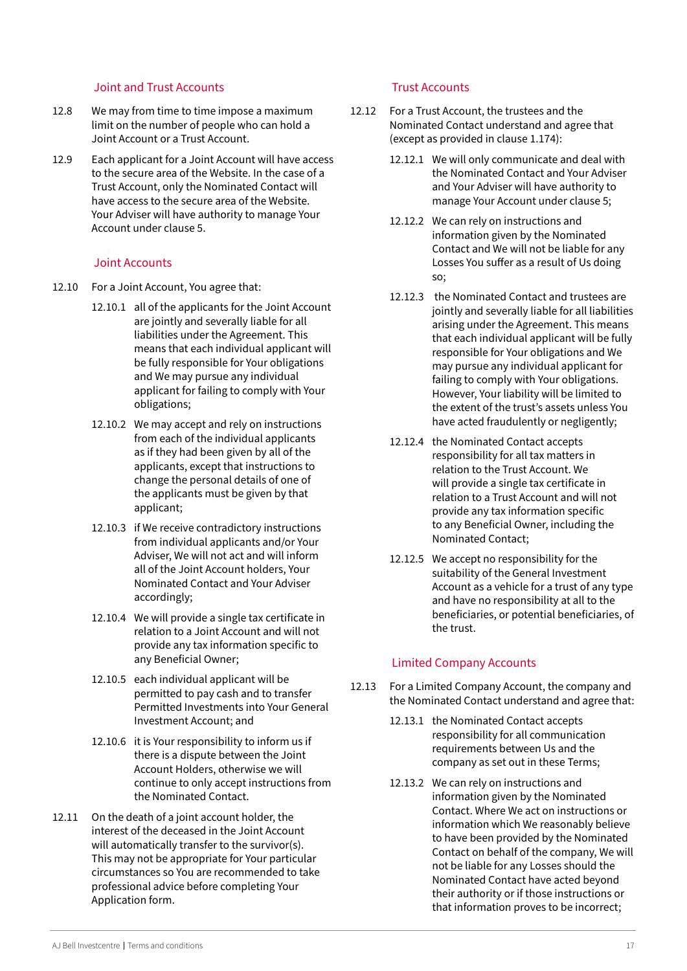#### Joint and Trust Accounts

- <span id="page-16-0"></span>12.8 We may from time to time impose a maximum limit on the number of people who can hold a Joint Account or a Trust Account.
- 12.9 Each applicant for a Joint Account will have access to the secure area of the Website. In the case of a Trust Account, only the Nominated Contact will have access to the secure area of the Website. Your Adviser will have authority to manage Your Account under clause 5.

#### Joint Accounts

- 12.10 For a Joint Account, You agree that:
	- 12.10.1 all of the applicants for the Joint Account are jointly and severally liable for all liabilities under the Agreement. This means that each individual applicant will be fully responsible for Your obligations and We may pursue any individual applicant for failing to comply with Your obligations;
	- 12.10.2 We may accept and rely on instructions from each of the individual applicants as if they had been given by all of the applicants, except that instructions to change the personal details of one of the applicants must be given by that applicant;
	- 12.10.3 if We receive contradictory instructions from individual applicants and/or Your Adviser, We will not act and will inform all of the Joint Account holders, Your Nominated Contact and Your Adviser accordingly;
	- 12.10.4 We will provide a single tax certificate in relation to a Joint Account and will not provide any tax information specific to any Beneficial Owner;
	- 12.10.5 each individual applicant will be permitted to pay cash and to transfer Permitted Investments into Your General Investment Account; and
	- 12.10.6 it is Your responsibility to inform us if there is a dispute between the Joint Account Holders, otherwise we will continue to only accept instructions from the Nominated Contact.
- 12.11 On the death of a joint account holder, the interest of the deceased in the Joint Account will automatically transfer to the survivor(s). This may not be appropriate for Your particular circumstances so You are recommended to take professional advice before completing Your Application form.

## Trust Accounts

- 12.12 For a Trust Account, the trustees and the Nominated Contact understand and agree that (except as provided in clause 1.174):
	- 12.12.1 We will only communicate and deal with the Nominated Contact and Your Adviser and Your Adviser will have authority to manage Your Account under clause 5;
	- 12.12.2 We can rely on instructions and information given by the Nominated Contact and We will not be liable for any Losses You suffer as a result of Us doing so;
	- 12.12.3 the Nominated Contact and trustees are jointly and severally liable for all liabilities arising under the Agreement. This means that each individual applicant will be fully responsible for Your obligations and We may pursue any individual applicant for failing to comply with Your obligations. However, Your liability will be limited to the extent of the trust's assets unless You have acted fraudulently or negligently;
	- 12.12.4 the Nominated Contact accepts responsibility for all tax matters in relation to the Trust Account. We will provide a single tax certificate in relation to a Trust Account and will not provide any tax information specific to any Beneficial Owner, including the Nominated Contact;
	- 12.12.5 We accept no responsibility for the suitability of the General Investment Account as a vehicle for a trust of any type and have no responsibility at all to the beneficiaries, or potential beneficiaries, of the trust.

# Limited Company Accounts

- 12.13 For a Limited Company Account, the company and the Nominated Contact understand and agree that:
	- 12.13.1 the Nominated Contact accepts responsibility for all communication requirements between Us and the company as set out in these Terms;
	- 12.13.2 We can rely on instructions and information given by the Nominated Contact. Where We act on instructions or information which We reasonably believe to have been provided by the Nominated Contact on behalf of the company, We will not be liable for any Losses should the Nominated Contact have acted beyond their authority or if those instructions or that information proves to be incorrect;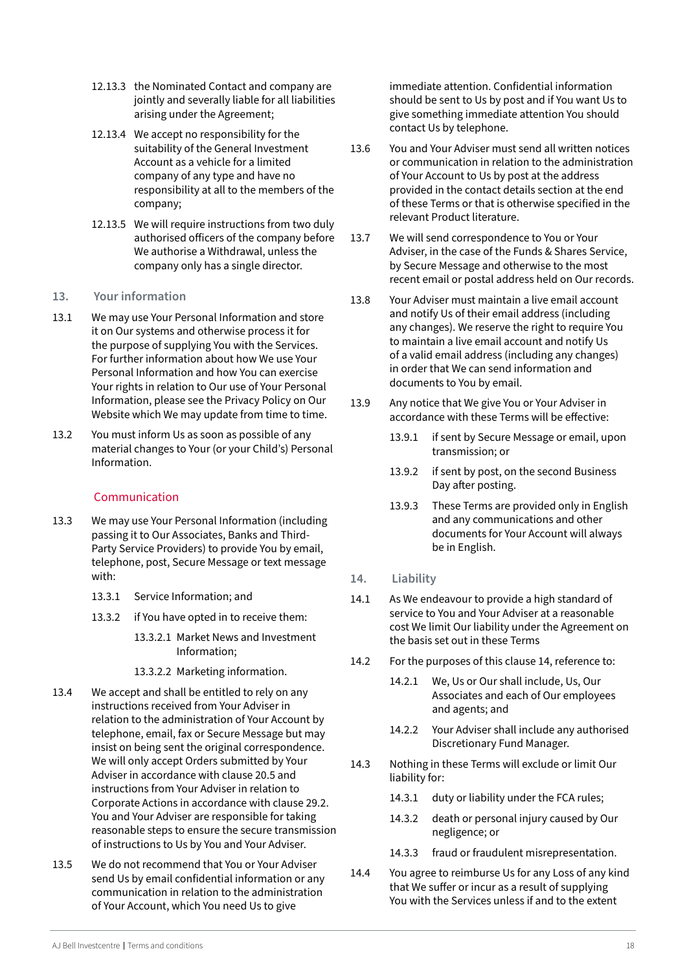- <span id="page-17-0"></span>12.13.3 the Nominated Contact and company are jointly and severally liable for all liabilities arising under the Agreement;
- 12.13.4 We accept no responsibility for the suitability of the General Investment Account as a vehicle for a limited company of any type and have no responsibility at all to the members of the company;
- 12.13.5 We will require instructions from two duly authorised officers of the company before We authorise a Withdrawal, unless the company only has a single director.

# **13. Your information**

- 13.1 We may use Your Personal Information and store it on Our systems and otherwise process it for the purpose of supplying You with the Services. For further information about how We use Your Personal Information and how You can exercise Your rights in relation to Our use of Your Personal Information, please see the Privacy Policy on Our Website which We may update from time to time.
- 13.2 You must inform Us as soon as possible of any material changes to Your (or your Child's) Personal Information.

# Communication

- 13.3 We may use Your Personal Information (including passing it to Our Associates, Banks and Third-Party Service Providers) to provide You by email, telephone, post, Secure Message or text message with:
	- 13.3.1 Service Information; and
	- 13.3.2 if You have opted in to receive them:
		- 13.3.2.1 Market News and Investment Information;
		- 13.3.2.2 Marketing information.
- 13.4 We accept and shall be entitled to rely on any instructions received from Your Adviser in relation to the administration of Your Account by telephone, email, fax or Secure Message but may insist on being sent the original correspondence. We will only accept Orders submitted by Your Adviser in accordance with clause 20.5 and instructions from Your Adviser in relation to Corporate Actions in accordance with clause 29.2. You and Your Adviser are responsible for taking reasonable steps to ensure the secure transmission of instructions to Us by You and Your Adviser.
- 13.5 We do not recommend that You or Your Adviser send Us by email confidential information or any communication in relation to the administration of Your Account, which You need Us to give

immediate attention. Confidential information should be sent to Us by post and if You want Us to give something immediate attention You should contact Us by telephone.

- 13.6 You and Your Adviser must send all written notices or communication in relation to the administration of Your Account to Us by post at the address provided in the contact details section at the end of these Terms or that is otherwise specified in the relevant Product literature.
- 13.7 We will send correspondence to You or Your Adviser, in the case of the Funds & Shares Service, by Secure Message and otherwise to the most recent email or postal address held on Our records.
- 13.8 Your Adviser must maintain a live email account and notify Us of their email address (including any changes). We reserve the right to require You to maintain a live email account and notify Us of a valid email address (including any changes) in order that We can send information and documents to You by email.
- 13.9 Any notice that We give You or Your Adviser in accordance with these Terms will be effective:
	- 13.9.1 if sent by Secure Message or email, upon transmission; or
	- 13.9.2 if sent by post, on the second Business Day after posting.
	- 13.9.3 These Terms are provided only in English and any communications and other documents for Your Account will always be in English.
- **14. Liability**
- 14.1 As We endeavour to provide a high standard of service to You and Your Adviser at a reasonable cost We limit Our liability under the Agreement on the basis set out in these Terms
- 14.2 For the purposes of this clause 14, reference to:
	- 14.2.1 We, Us or Our shall include, Us, Our Associates and each of Our employees and agents; and
	- 14.2.2 Your Adviser shall include any authorised Discretionary Fund Manager.
- 14.3 Nothing in these Terms will exclude or limit Our liability for:
	- 14.3.1 duty or liability under the FCA rules;
	- 14.3.2 death or personal injury caused by Our negligence; or
	- 14.3.3 fraud or fraudulent misrepresentation.
- 14.4 You agree to reimburse Us for any Loss of any kind that We suffer or incur as a result of supplying You with the Services unless if and to the extent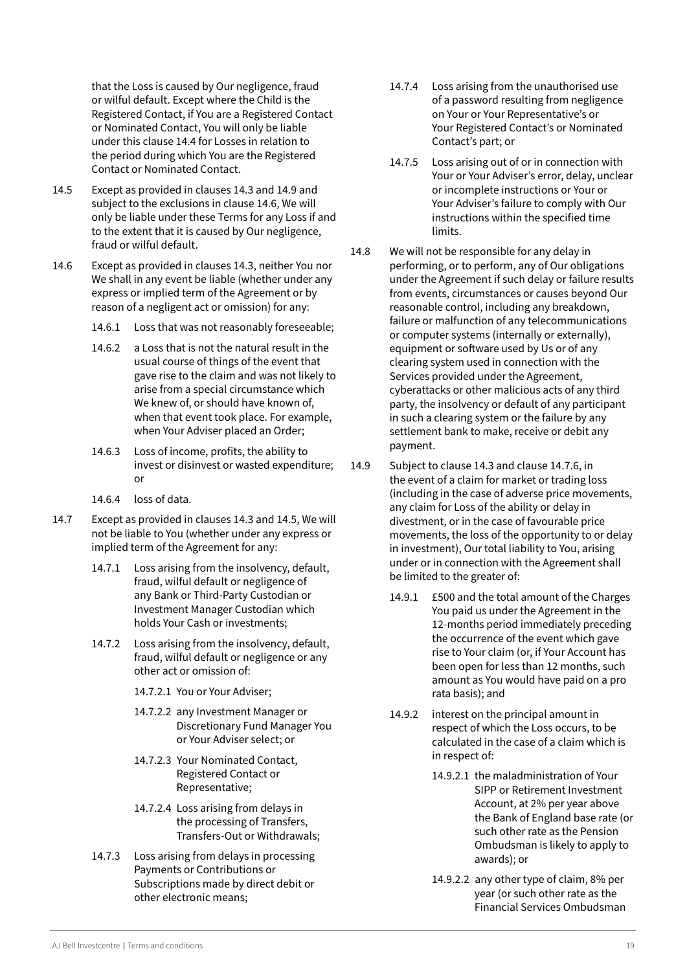that the Loss is caused by Our negligence, fraud or wilful default. Except where the Child is the Registered Contact, if You are a Registered Contact or Nominated Contact, You will only be liable under this clause 14.4 for Losses in relation to the period during which You are the Registered Contact or Nominated Contact.

- 14.5 Except as provided in clauses 14.3 and 14.9 and subject to the exclusions in clause 14.6, We will only be liable under these Terms for any Loss if and to the extent that it is caused by Our negligence, fraud or wilful default.
- 14.6 Except as provided in clauses 14.3, neither You nor We shall in any event be liable (whether under any express or implied term of the Agreement or by reason of a negligent act or omission) for any:
	- 14.6.1 Loss that was not reasonably foreseeable;
	- 14.6.2 a Loss that is not the natural result in the usual course of things of the event that gave rise to the claim and was not likely to arise from a special circumstance which We knew of, or should have known of, when that event took place. For example, when Your Adviser placed an Order;
	- 14.6.3 Loss of income, profits, the ability to invest or disinvest or wasted expenditure; or
	- 14.6.4 loss of data.
- 14.7 Except as provided in clauses 14.3 and 14.5, We will not be liable to You (whether under any express or implied term of the Agreement for any:
	- 14.7.1 Loss arising from the insolvency, default, fraud, wilful default or negligence of any Bank or Third-Party Custodian or Investment Manager Custodian which holds Your Cash or investments;
	- 14.7.2 Loss arising from the insolvency, default, fraud, wilful default or negligence or any other act or omission of:
		- 14.7.2.1 You or Your Adviser;
		- 14.7.2.2 any Investment Manager or Discretionary Fund Manager You or Your Adviser select; or
		- 14.7.2.3 Your Nominated Contact, Registered Contact or Representative;
		- 14.7.2.4 Loss arising from delays in the processing of Transfers, Transfers-Out or Withdrawals;
	- 14.7.3 Loss arising from delays in processing Payments or Contributions or Subscriptions made by direct debit or other electronic means;
- 14.7.4 Loss arising from the unauthorised use of a password resulting from negligence on Your or Your Representative's or Your Registered Contact's or Nominated Contact's part; or
- 14.7.5 Loss arising out of or in connection with Your or Your Adviser's error, delay, unclear or incomplete instructions or Your or Your Adviser's failure to comply with Our instructions within the specified time limits.
- 14.8 We will not be responsible for any delay in performing, or to perform, any of Our obligations under the Agreement if such delay or failure results from events, circumstances or causes beyond Our reasonable control, including any breakdown, failure or malfunction of any telecommunications or computer systems (internally or externally), equipment or software used by Us or of any clearing system used in connection with the Services provided under the Agreement, cyberattacks or other malicious acts of any third party, the insolvency or default of any participant in such a clearing system or the failure by any settlement bank to make, receive or debit any payment.
- 14.9 Subject to clause 14.3 and clause 14.7.6, in the event of a claim for market or trading loss (including in the case of adverse price movements, any claim for Loss of the ability or delay in divestment, or in the case of favourable price movements, the loss of the opportunity to or delay in investment), Our total liability to You, arising under or in connection with the Agreement shall be limited to the greater of:
	- 14.9.1 £500 and the total amount of the Charges You paid us under the Agreement in the 12-months period immediately preceding the occurrence of the event which gave rise to Your claim (or, if Your Account has been open for less than 12 months, such amount as You would have paid on a pro rata basis); and
	- 14.9.2 interest on the principal amount in respect of which the Loss occurs, to be calculated in the case of a claim which is in respect of:
		- 14.9.2.1 the maladministration of Your SIPP or Retirement Investment Account, at 2% per year above the Bank of England base rate (or such other rate as the Pension Ombudsman is likely to apply to awards); or
		- 14.9.2.2 any other type of claim, 8% per year (or such other rate as the Financial Services Ombudsman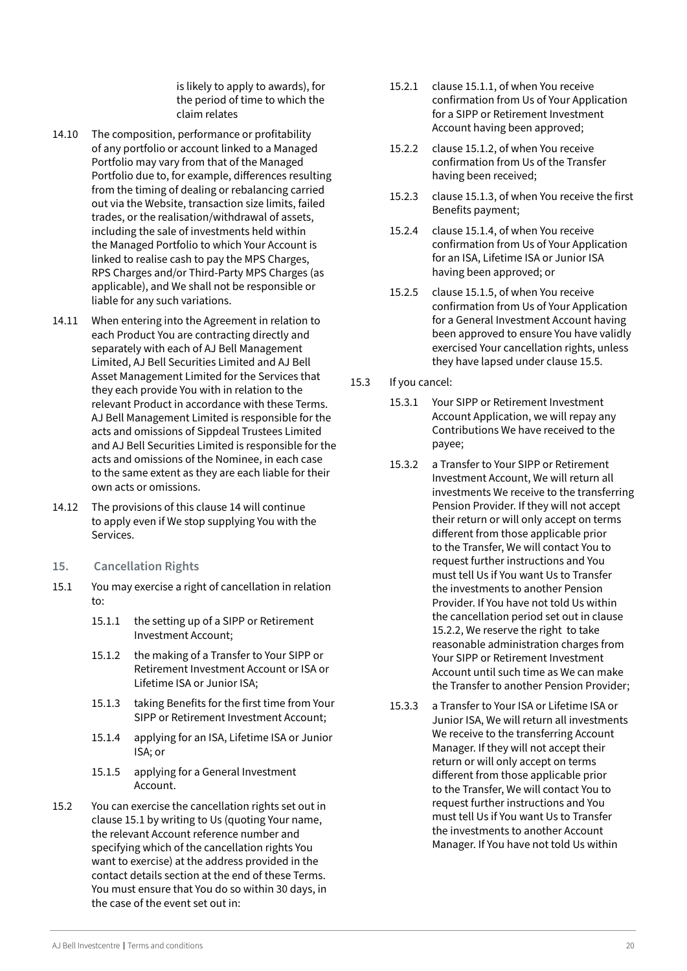is likely to apply to awards), for the period of time to which the claim relates

- <span id="page-19-0"></span>14.10 The composition, performance or profitability of any portfolio or account linked to a Managed Portfolio may vary from that of the Managed Portfolio due to, for example, differences resulting from the timing of dealing or rebalancing carried out via the Website, transaction size limits, failed trades, or the realisation/withdrawal of assets, including the sale of investments held within the Managed Portfolio to which Your Account is linked to realise cash to pay the MPS Charges, RPS Charges and/or Third-Party MPS Charges (as applicable), and We shall not be responsible or liable for any such variations.
- 14.11 When entering into the Agreement in relation to each Product You are contracting directly and separately with each of AJ Bell Management Limited, AJ Bell Securities Limited and AJ Bell Asset Management Limited for the Services that they each provide You with in relation to the relevant Product in accordance with these Terms. AJ Bell Management Limited is responsible for the acts and omissions of Sippdeal Trustees Limited and AJ Bell Securities Limited is responsible for the acts and omissions of the Nominee, in each case to the same extent as they are each liable for their own acts or omissions.
- 14.12 The provisions of this clause 14 will continue to apply even if We stop supplying You with the Services.
- **15. Cancellation Rights**
- 15.1 You may exercise a right of cancellation in relation to:
	- 15.1.1 the setting up of a SIPP or Retirement Investment Account;
	- 15.1.2 the making of a Transfer to Your SIPP or Retirement Investment Account or ISA or Lifetime ISA or Junior ISA;
	- 15.1.3 taking Benefits for the first time from Your SIPP or Retirement Investment Account;
	- 15.1.4 applying for an ISA, Lifetime ISA or Junior ISA; or
	- 15.1.5 applying for a General Investment Account.
- 15.2 You can exercise the cancellation rights set out in clause 15.1 by writing to Us (quoting Your name, the relevant Account reference number and specifying which of the cancellation rights You want to exercise) at the address provided in the contact details section at the end of these Terms. You must ensure that You do so within 30 days, in the case of the event set out in:
- 15.2.1 clause 15.1.1, of when You receive confirmation from Us of Your Application for a SIPP or Retirement Investment Account having been approved;
- 15.2.2 clause 15.1.2, of when You receive confirmation from Us of the Transfer having been received;
- 15.2.3 clause 15.1.3, of when You receive the first Benefits payment;
- 15.2.4 clause 15.1.4, of when You receive confirmation from Us of Your Application for an ISA, Lifetime ISA or Junior ISA having been approved; or
- 15.2.5 clause 15.1.5, of when You receive confirmation from Us of Your Application for a General Investment Account having been approved to ensure You have validly exercised Your cancellation rights, unless they have lapsed under clause 15.5.
- 15.3 If you cancel:
	- 15.3.1 Your SIPP or Retirement Investment Account Application, we will repay any Contributions We have received to the payee;
	- 15.3.2 a Transfer to Your SIPP or Retirement Investment Account, We will return all investments We receive to the transferring Pension Provider. If they will not accept their return or will only accept on terms different from those applicable prior to the Transfer, We will contact You to request further instructions and You must tell Us if You want Us to Transfer the investments to another Pension Provider. If You have not told Us within the cancellation period set out in clause 15.2.2, We reserve the right to take reasonable administration charges from Your SIPP or Retirement Investment Account until such time as We can make the Transfer to another Pension Provider;
	- 15.3.3 a Transfer to Your ISA or Lifetime ISA or Junior ISA, We will return all investments We receive to the transferring Account Manager. If they will not accept their return or will only accept on terms different from those applicable prior to the Transfer, We will contact You to request further instructions and You must tell Us if You want Us to Transfer the investments to another Account Manager. If You have not told Us within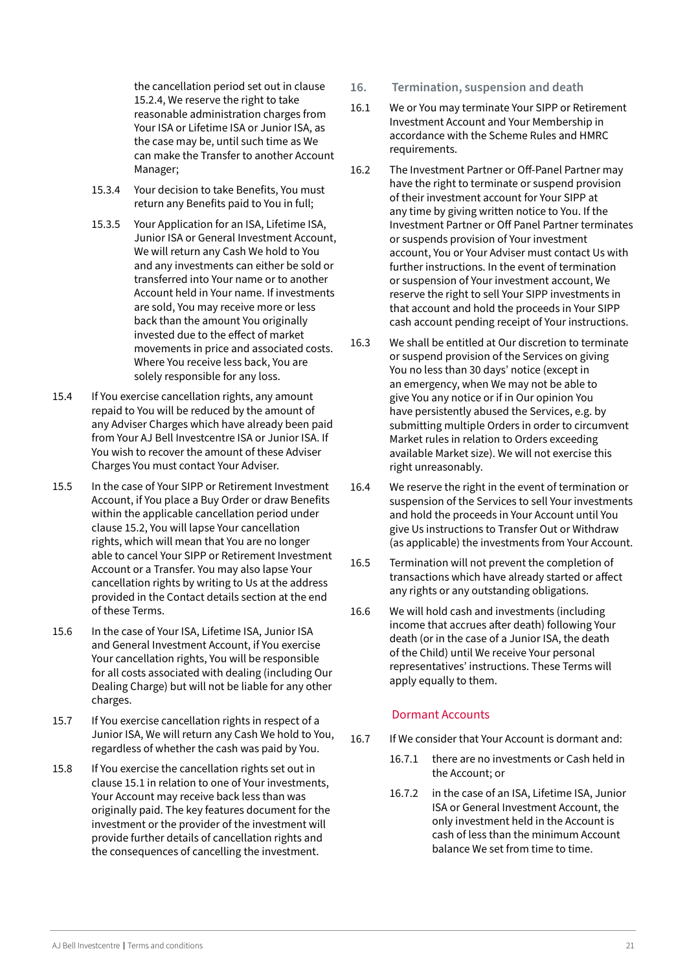<span id="page-20-0"></span>the cancellation period set out in clause 15.2.4, We reserve the right to take reasonable administration charges from Your ISA or Lifetime ISA or Junior ISA, as the case may be, until such time as We can make the Transfer to another Account Manager;

- 15.3.4 Your decision to take Benefits, You must return any Benefits paid to You in full;
- 15.3.5 Your Application for an ISA, Lifetime ISA, Junior ISA or General Investment Account, We will return any Cash We hold to You and any investments can either be sold or transferred into Your name or to another Account held in Your name. If investments are sold, You may receive more or less back than the amount You originally invested due to the effect of market movements in price and associated costs. Where You receive less back, You are solely responsible for any loss.
- 15.4 If You exercise cancellation rights, any amount repaid to You will be reduced by the amount of any Adviser Charges which have already been paid from Your A I Bell Investcentre ISA or Junior ISA. If You wish to recover the amount of these Adviser Charges You must contact Your Adviser.
- 15.5 In the case of Your SIPP or Retirement Investment Account, if You place a Buy Order or draw Benefits within the applicable cancellation period under clause 15.2, You will lapse Your cancellation rights, which will mean that You are no longer able to cancel Your SIPP or Retirement Investment Account or a Transfer. You may also lapse Your cancellation rights by writing to Us at the address provided in the Contact details section at the end of these Terms.
- 15.6 In the case of Your ISA, Lifetime ISA, Junior ISA and General Investment Account, if You exercise Your cancellation rights, You will be responsible for all costs associated with dealing (including Our Dealing Charge) but will not be liable for any other charges.
- 15.7 If You exercise cancellation rights in respect of a Junior ISA, We will return any Cash We hold to You, regardless of whether the cash was paid by You.
- 15.8 If You exercise the cancellation rights set out in clause 15.1 in relation to one of Your investments, Your Account may receive back less than was originally paid. The key features document for the investment or the provider of the investment will provide further details of cancellation rights and the consequences of cancelling the investment.
- **16. Termination, suspension and death**
- 16.1 We or You may terminate Your SIPP or Retirement Investment Account and Your Membership in accordance with the Scheme Rules and HMRC requirements.
- 16.2 The Investment Partner or Off-Panel Partner may have the right to terminate or suspend provision of their investment account for Your SIPP at any time by giving written notice to You. If the Investment Partner or Off Panel Partner terminates or suspends provision of Your investment account, You or Your Adviser must contact Us with further instructions. In the event of termination or suspension of Your investment account, We reserve the right to sell Your SIPP investments in that account and hold the proceeds in Your SIPP cash account pending receipt of Your instructions.
- 16.3 We shall be entitled at Our discretion to terminate or suspend provision of the Services on giving You no less than 30 days' notice (except in an emergency, when We may not be able to give You any notice or if in Our opinion You have persistently abused the Services, e.g. by submitting multiple Orders in order to circumvent Market rules in relation to Orders exceeding available Market size). We will not exercise this right unreasonably.
- 16.4 We reserve the right in the event of termination or suspension of the Services to sell Your investments and hold the proceeds in Your Account until You give Us instructions to Transfer Out or Withdraw (as applicable) the investments from Your Account.
- 16.5 Termination will not prevent the completion of transactions which have already started or affect any rights or any outstanding obligations.
- 16.6 We will hold cash and investments (including income that accrues after death) following Your death (or in the case of a Junior ISA, the death of the Child) until We receive Your personal representatives' instructions. These Terms will apply equally to them.

# Dormant Accounts

- 16.7 If We consider that Your Account is dormant and:
	- 16.7.1 there are no investments or Cash held in the Account; or
	- 16.7.2 in the case of an ISA, Lifetime ISA, Junior ISA or General Investment Account, the only investment held in the Account is cash of less than the minimum Account balance We set from time to time.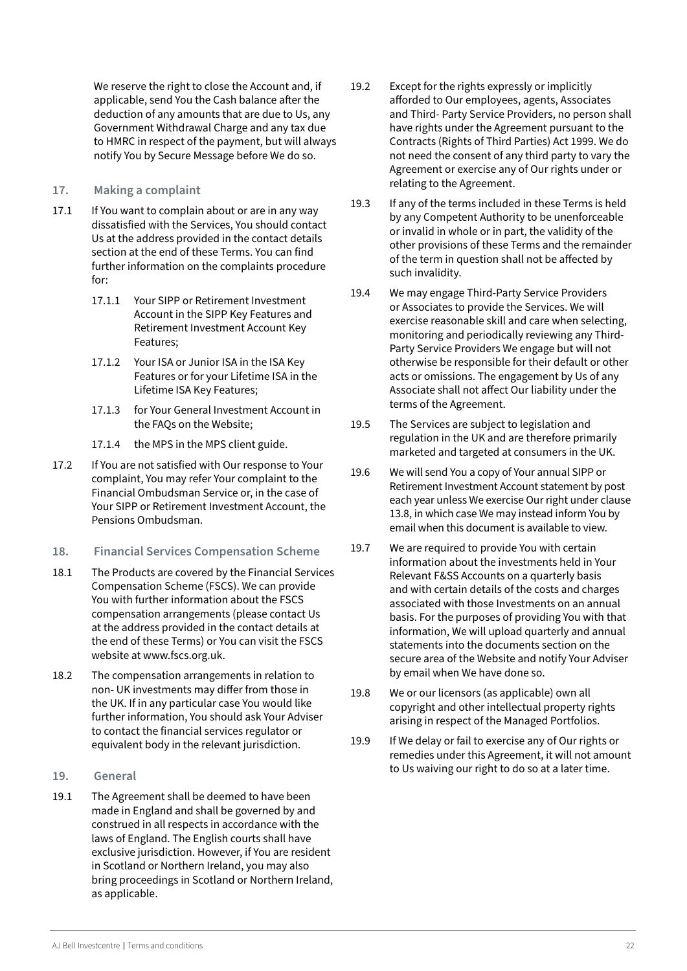<span id="page-21-0"></span>We reserve the right to close the Account and, if applicable, send You the Cash balance after the deduction of any amounts that are due to Us, any Government Withdrawal Charge and any tax due to HMRC in respect of the payment, but will always notify You by Secure Message before We do so.

#### **17. Making a complaint**

- 17.1 If You want to complain about or are in any way dissatisfied with the Services, You should contact Us at the address provided in the contact details section at the end of these Terms. You can find further information on the complaints procedure for:
	- 17.1.1 Your SIPP or Retirement Investment Account in the SIPP Key Features and Retirement Investment Account Key Features;
	- 17.1.2 Your ISA or Junior ISA in the ISA Key Features or for your Lifetime ISA in the Lifetime ISA Key Features;
	- 17.1.3 for Your General Investment Account in the FAQs on the Website;
	- 17.1.4 the MPS in the MPS client guide.
- 17.2 If You are not satisfied with Our response to Your complaint, You may refer Your complaint to the Financial Ombudsman Service or, in the case of Your SIPP or Retirement Investment Account, the Pensions Ombudsman.
- **18. Financial Services Compensation Scheme**
- 18.1 The Products are covered by the Financial Services Compensation Scheme (FSCS). We can provide You with further information about the FSCS compensation arrangements (please contact Us at the address provided in the contact details at the end of these Terms) or You can visit the FSCS website at www.fscs.org.uk.
- 18.2 The compensation arrangements in relation to non- UK investments may differ from those in the UK. If in any particular case You would like further information, You should ask Your Adviser to contact the financial services regulator or equivalent body in the relevant jurisdiction.
- **19. General**
- 19.1 The Agreement shall be deemed to have been made in England and shall be governed by and construed in all respects in accordance with the laws of England. The English courts shall have exclusive jurisdiction. However, if You are resident in Scotland or Northern Ireland, you may also bring proceedings in Scotland or Northern Ireland, as applicable.
- 19.2 Except for the rights expressly or implicitly afforded to Our employees, agents, Associates and Third- Party Service Providers, no person shall have rights under the Agreement pursuant to the Contracts (Rights of Third Parties) Act 1999. We do not need the consent of any third party to vary the Agreement or exercise any of Our rights under or relating to the Agreement.
- 19.3 If any of the terms included in these Terms is held by any Competent Authority to be unenforceable or invalid in whole or in part, the validity of the other provisions of these Terms and the remainder of the term in question shall not be affected by such invalidity.
- 19.4 We may engage Third-Party Service Providers or Associates to provide the Services. We will exercise reasonable skill and care when selecting, monitoring and periodically reviewing any Third-Party Service Providers We engage but will not otherwise be responsible for their default or other acts or omissions. The engagement by Us of any Associate shall not affect Our liability under the terms of the Agreement.
- 19.5 The Services are subject to legislation and regulation in the UK and are therefore primarily marketed and targeted at consumers in the UK.
- 19.6 We will send You a copy of Your annual SIPP or Retirement Investment Account statement by post each year unless We exercise Our right under clause 13.8, in which case We may instead inform You by email when this document is available to view.
- 19.7 We are required to provide You with certain information about the investments held in Your Relevant F&SS Accounts on a quarterly basis and with certain details of the costs and charges associated with those Investments on an annual basis. For the purposes of providing You with that information, We will upload quarterly and annual statements into the documents section on the secure area of the Website and notify Your Adviser by email when We have done so.
- 19.8 We or our licensors (as applicable) own all copyright and other intellectual property rights arising in respect of the Managed Portfolios.
- 19.9 If We delay or fail to exercise any of Our rights or remedies under this Agreement, it will not amount to Us waiving our right to do so at a later time.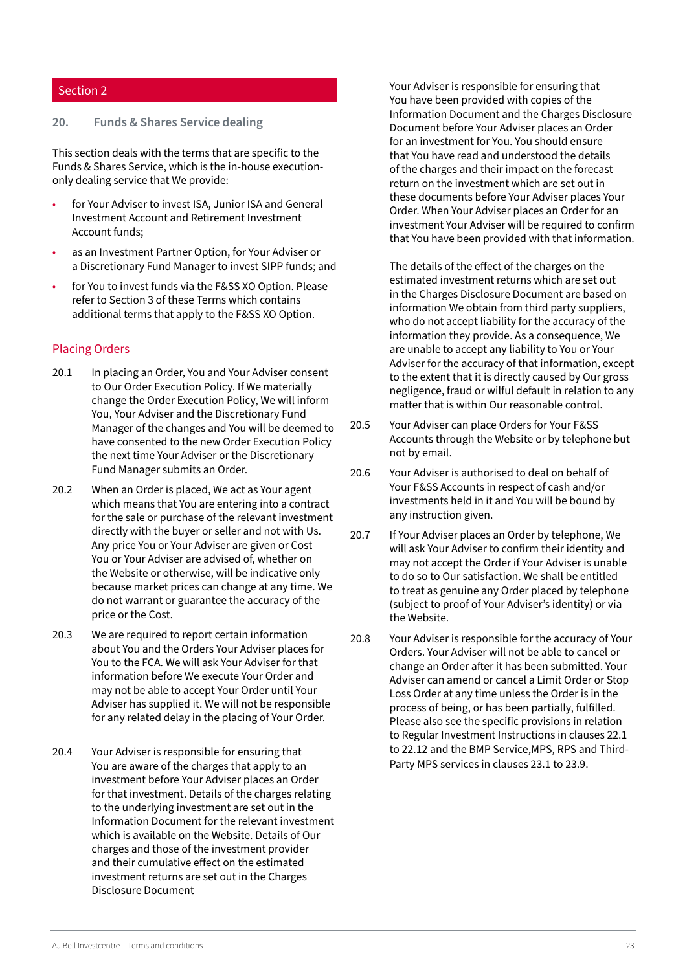#### <span id="page-22-0"></span>Section 2

#### **20. Funds & Shares Service dealing**

This section deals with the terms that are specific to the Funds & Shares Service, which is the in-house executiononly dealing service that We provide:

- for Your Adviser to invest ISA, Junior ISA and General Investment Account and Retirement Investment Account funds;
- as an Investment Partner Option, for Your Adviser or a Discretionary Fund Manager to invest SIPP funds; and
- for You to invest funds via the F&SS XO Option. Please refer to Section 3 of these Terms which contains additional terms that apply to the F&SS XO Option.

# Placing Orders

- 20.1 In placing an Order, You and Your Adviser consent to Our Order Execution Policy. If We materially change the Order Execution Policy, We will inform You, Your Adviser and the Discretionary Fund Manager of the changes and You will be deemed to have consented to the new Order Execution Policy the next time Your Adviser or the Discretionary Fund Manager submits an Order.
- 20.2 When an Order is placed, We act as Your agent which means that You are entering into a contract for the sale or purchase of the relevant investment directly with the buyer or seller and not with Us. Any price You or Your Adviser are given or Cost You or Your Adviser are advised of, whether on the Website or otherwise, will be indicative only because market prices can change at any time. We do not warrant or guarantee the accuracy of the price or the Cost.
- 20.3 We are required to report certain information about You and the Orders Your Adviser places for You to the FCA. We will ask Your Adviser for that information before We execute Your Order and may not be able to accept Your Order until Your Adviser has supplied it. We will not be responsible for any related delay in the placing of Your Order.
- 20.4 Your Adviser is responsible for ensuring that You are aware of the charges that apply to an investment before Your Adviser places an Order for that investment. Details of the charges relating to the underlying investment are set out in the Information Document for the relevant investment which is available on the Website. Details of Our charges and those of the investment provider and their cumulative effect on the estimated investment returns are set out in the Charges Disclosure Document

Your Adviser is responsible for ensuring that You have been provided with copies of the Information Document and the Charges Disclosure Document before Your Adviser places an Order for an investment for You. You should ensure that You have read and understood the details of the charges and their impact on the forecast return on the investment which are set out in these documents before Your Adviser places Your Order. When Your Adviser places an Order for an investment Your Adviser will be required to confirm that You have been provided with that information.

The details of the effect of the charges on the estimated investment returns which are set out in the Charges Disclosure Document are based on information We obtain from third party suppliers, who do not accept liability for the accuracy of the information they provide. As a consequence, We are unable to accept any liability to You or Your Adviser for the accuracy of that information, except to the extent that it is directly caused by Our gross negligence, fraud or wilful default in relation to any matter that is within Our reasonable control.

- 20.5 Your Adviser can place Orders for Your F&SS Accounts through the Website or by telephone but not by email.
- 20.6 Your Adviser is authorised to deal on behalf of Your F&SS Accounts in respect of cash and/or investments held in it and You will be bound by any instruction given.
- 20.7 If Your Adviser places an Order by telephone, We will ask Your Adviser to confirm their identity and may not accept the Order if Your Adviser is unable to do so to Our satisfaction. We shall be entitled to treat as genuine any Order placed by telephone (subject to proof of Your Adviser's identity) or via the Website.
- 20.8 Your Adviser is responsible for the accuracy of Your Orders. Your Adviser will not be able to cancel or change an Order after it has been submitted. Your Adviser can amend or cancel a Limit Order or Stop Loss Order at any time unless the Order is in the process of being, or has been partially, fulfilled. Please also see the specific provisions in relation to Regular Investment Instructions in clauses 22.1 to 22.12 and the BMP Service,MPS, RPS and Third-Party MPS services in clauses 23.1 to 23.9.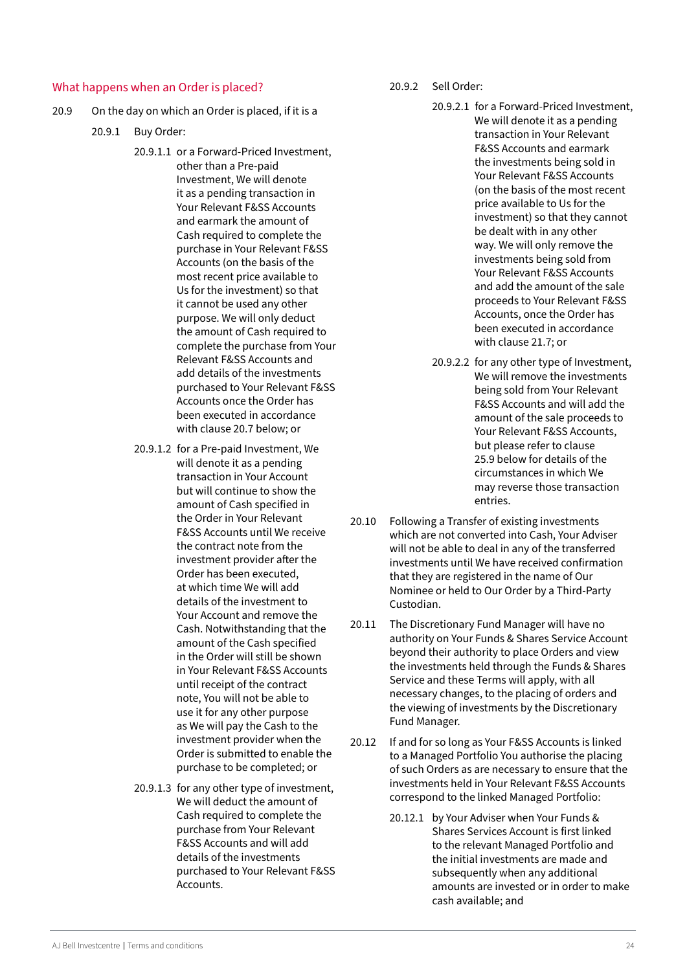#### <span id="page-23-0"></span>What happens when an Order is placed?

- 20.9 On the day on which an Order is placed, if it is a
	- 20.9.1 Buy Order:
		- 20.9.1.1 or a Forward-Priced Investment, other than a Pre-paid Investment, We will denote it as a pending transaction in Your Relevant F&SS Accounts and earmark the amount of Cash required to complete the purchase in Your Relevant F&SS Accounts (on the basis of the most recent price available to Us for the investment) so that it cannot be used any other purpose. We will only deduct the amount of Cash required to complete the purchase from Your Relevant F&SS Accounts and add details of the investments purchased to Your Relevant F&SS Accounts once the Order has been executed in accordance with clause 20.7 below; or
		- 20.9.1.2 for a Pre-paid Investment, We will denote it as a pending transaction in Your Account but will continue to show the amount of Cash specified in the Order in Your Relevant F&SS Accounts until We receive the contract note from the investment provider after the Order has been executed, at which time We will add details of the investment to Your Account and remove the Cash. Notwithstanding that the amount of the Cash specified in the Order will still be shown in Your Relevant F&SS Accounts until receipt of the contract note, You will not be able to use it for any other purpose as We will pay the Cash to the investment provider when the Order is submitted to enable the purchase to be completed; or
		- 20.9.1.3 for any other type of investment, We will deduct the amount of Cash required to complete the purchase from Your Relevant F&SS Accounts and will add details of the investments purchased to Your Relevant F&SS Accounts.

20.9.2 Sell Order:

- 20.9.2.1 for a Forward-Priced Investment, We will denote it as a pending transaction in Your Relevant F&SS Accounts and earmark the investments being sold in Your Relevant F&SS Accounts (on the basis of the most recent price available to Us for the investment) so that they cannot be dealt with in any other way. We will only remove the investments being sold from Your Relevant F&SS Accounts and add the amount of the sale proceeds to Your Relevant F&SS Accounts, once the Order has been executed in accordance with clause 21.7; or
- 20.9.2.2 for any other type of Investment, We will remove the investments being sold from Your Relevant F&SS Accounts and will add the amount of the sale proceeds to Your Relevant F&SS Accounts, but please refer to clause 25.9 below for details of the circumstances in which We may reverse those transaction entries.
- 20.10 Following a Transfer of existing investments which are not converted into Cash, Your Adviser will not be able to deal in any of the transferred investments until We have received confirmation that they are registered in the name of Our Nominee or held to Our Order by a Third-Party Custodian.
- 20.11 The Discretionary Fund Manager will have no authority on Your Funds & Shares Service Account beyond their authority to place Orders and view the investments held through the Funds & Shares Service and these Terms will apply, with all necessary changes, to the placing of orders and the viewing of investments by the Discretionary Fund Manager.
- 20.12 If and for so long as Your F&SS Accounts is linked to a Managed Portfolio You authorise the placing of such Orders as are necessary to ensure that the investments held in Your Relevant F&SS Accounts correspond to the linked Managed Portfolio:
	- 20.12.1 by Your Adviser when Your Funds & Shares Services Account is first linked to the relevant Managed Portfolio and the initial investments are made and subsequently when any additional amounts are invested or in order to make cash available; and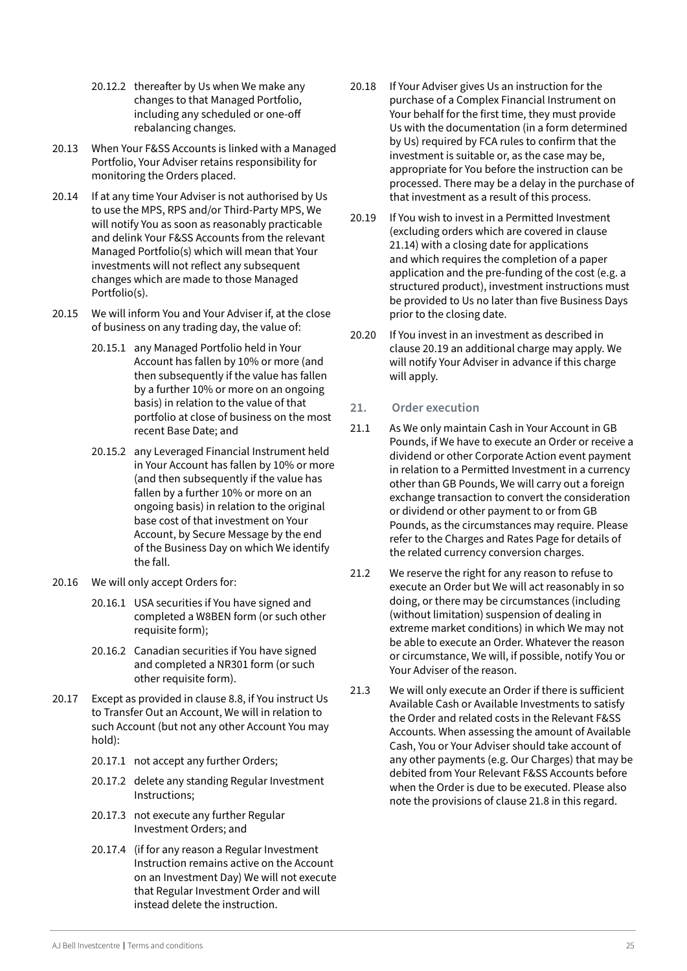- <span id="page-24-0"></span>20.12.2 thereafter by Us when We make any changes to that Managed Portfolio, including any scheduled or one-off rebalancing changes.
- 20.13 When Your F&SS Accounts is linked with a Managed Portfolio, Your Adviser retains responsibility for monitoring the Orders placed.
- 20.14 If at any time Your Adviser is not authorised by Us to use the MPS, RPS and/or Third-Party MPS, We will notify You as soon as reasonably practicable and delink Your F&SS Accounts from the relevant Managed Portfolio(s) which will mean that Your investments will not reflect any subsequent changes which are made to those Managed Portfolio(s).
- 20.15 We will inform You and Your Adviser if, at the close of business on any trading day, the value of:
	- 20.15.1 any Managed Portfolio held in Your Account has fallen by 10% or more (and then subsequently if the value has fallen by a further 10% or more on an ongoing basis) in relation to the value of that portfolio at close of business on the most recent Base Date; and
	- 20.15.2 any Leveraged Financial Instrument held in Your Account has fallen by 10% or more (and then subsequently if the value has fallen by a further 10% or more on an ongoing basis) in relation to the original base cost of that investment on Your Account, by Secure Message by the end of the Business Day on which We identify the fall.
- 20.16 We will only accept Orders for:
	- 20.16.1 USA securities if You have signed and completed a W8BEN form (or such other requisite form);
	- 20.16.2 Canadian securities if You have signed and completed a NR301 form (or such other requisite form).
- 20.17 Except as provided in clause 8.8, if You instruct Us to Transfer Out an Account, We will in relation to such Account (but not any other Account You may hold):
	- 20.17.1 not accept any further Orders;
	- 20.17.2 delete any standing Regular Investment Instructions;
	- 20.17.3 not execute any further Regular Investment Orders; and
	- 20.17.4 (if for any reason a Regular Investment Instruction remains active on the Account on an Investment Day) We will not execute that Regular Investment Order and will instead delete the instruction.
- 20.18 If Your Adviser gives Us an instruction for the purchase of a Complex Financial Instrument on Your behalf for the first time, they must provide Us with the documentation (in a form determined by Us) required by FCA rules to confirm that the investment is suitable or, as the case may be, appropriate for You before the instruction can be processed. There may be a delay in the purchase of that investment as a result of this process.
- 20.19 If You wish to invest in a Permitted Investment (excluding orders which are covered in clause 21.14) with a closing date for applications and which requires the completion of a paper application and the pre-funding of the cost (e.g. a structured product), investment instructions must be provided to Us no later than five Business Days prior to the closing date.
- 20.20 If You invest in an investment as described in clause 20.19 an additional charge may apply. We will notify Your Adviser in advance if this charge will apply.

#### **21. Order execution**

- 21.1 As We only maintain Cash in Your Account in GB Pounds, if We have to execute an Order or receive a dividend or other Corporate Action event payment in relation to a Permitted Investment in a currency other than GB Pounds, We will carry out a foreign exchange transaction to convert the consideration or dividend or other payment to or from GB Pounds, as the circumstances may require. Please refer to the Charges and Rates Page for details of the related currency conversion charges.
- 21.2 We reserve the right for any reason to refuse to execute an Order but We will act reasonably in so doing, or there may be circumstances (including (without limitation) suspension of dealing in extreme market conditions) in which We may not be able to execute an Order. Whatever the reason or circumstance, We will, if possible, notify You or Your Adviser of the reason.
- 21.3 We will only execute an Order if there is sufficient Available Cash or Available Investments to satisfy the Order and related costs in the Relevant F&SS Accounts. When assessing the amount of Available Cash, You or Your Adviser should take account of any other payments (e.g. Our Charges) that may be debited from Your Relevant F&SS Accounts before when the Order is due to be executed. Please also note the provisions of clause 21.8 in this regard.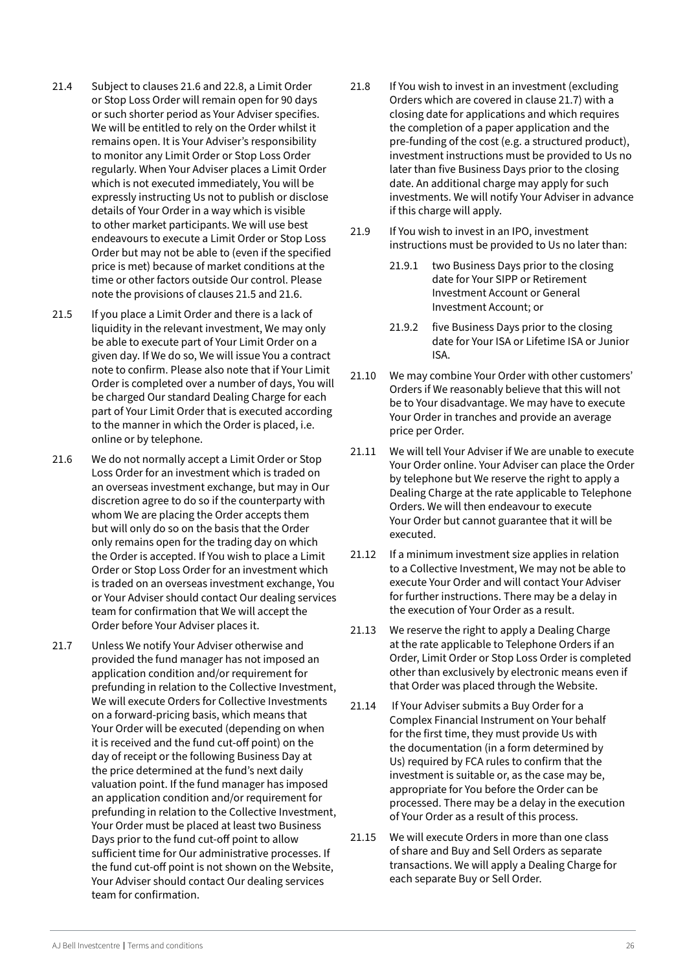- 21.4 Subject to clauses 21.6 and 22.8, a Limit Order or Stop Loss Order will remain open for 90 days or such shorter period as Your Adviser specifies. We will be entitled to rely on the Order whilst it remains open. It is Your Adviser's responsibility to monitor any Limit Order or Stop Loss Order regularly. When Your Adviser places a Limit Order which is not executed immediately, You will be expressly instructing Us not to publish or disclose details of Your Order in a way which is visible to other market participants. We will use best endeavours to execute a Limit Order or Stop Loss Order but may not be able to (even if the specified price is met) because of market conditions at the time or other factors outside Our control. Please note the provisions of clauses 21.5 and 21.6.
- 21.5 If you place a Limit Order and there is a lack of liquidity in the relevant investment, We may only be able to execute part of Your Limit Order on a given day. If We do so, We will issue You a contract note to confirm. Please also note that if Your Limit Order is completed over a number of days, You will be charged Our standard Dealing Charge for each part of Your Limit Order that is executed according to the manner in which the Order is placed, i.e. online or by telephone.
- 21.6 We do not normally accept a Limit Order or Stop Loss Order for an investment which is traded on an overseas investment exchange, but may in Our discretion agree to do so if the counterparty with whom We are placing the Order accepts them but will only do so on the basis that the Order only remains open for the trading day on which the Order is accepted. If You wish to place a Limit Order or Stop Loss Order for an investment which is traded on an overseas investment exchange, You or Your Adviser should contact Our dealing services team for confirmation that We will accept the Order before Your Adviser places it.
- 21.7 Unless We notify Your Adviser otherwise and provided the fund manager has not imposed an application condition and/or requirement for prefunding in relation to the Collective Investment, We will execute Orders for Collective Investments on a forward-pricing basis, which means that Your Order will be executed (depending on when it is received and the fund cut-off point) on the day of receipt or the following Business Day at the price determined at the fund's next daily valuation point. If the fund manager has imposed an application condition and/or requirement for prefunding in relation to the Collective Investment, Your Order must be placed at least two Business Days prior to the fund cut-off point to allow sufficient time for Our administrative processes. If the fund cut-off point is not shown on the Website, Your Adviser should contact Our dealing services team for confirmation.
- 21.8 If You wish to invest in an investment (excluding Orders which are covered in clause 21.7) with a closing date for applications and which requires the completion of a paper application and the pre-funding of the cost (e.g. a structured product), investment instructions must be provided to Us no later than five Business Days prior to the closing date. An additional charge may apply for such investments. We will notify Your Adviser in advance if this charge will apply.
- 21.9 If You wish to invest in an IPO, investment instructions must be provided to Us no later than:
	- 21.9.1 two Business Days prior to the closing date for Your SIPP or Retirement Investment Account or General Investment Account; or
	- 21.9.2 five Business Days prior to the closing date for Your ISA or Lifetime ISA or Junior ISA.
- 21.10 We may combine Your Order with other customers' Orders if We reasonably believe that this will not be to Your disadvantage. We may have to execute Your Order in tranches and provide an average price per Order.
- 21.11 We will tell Your Adviser if We are unable to execute Your Order online. Your Adviser can place the Order by telephone but We reserve the right to apply a Dealing Charge at the rate applicable to Telephone Orders. We will then endeavour to execute Your Order but cannot guarantee that it will be executed.
- 21.12 If a minimum investment size applies in relation to a Collective Investment, We may not be able to execute Your Order and will contact Your Adviser for further instructions. There may be a delay in the execution of Your Order as a result.
- 21.13 We reserve the right to apply a Dealing Charge at the rate applicable to Telephone Orders if an Order, Limit Order or Stop Loss Order is completed other than exclusively by electronic means even if that Order was placed through the Website.
- 21.14 If Your Adviser submits a Buy Order for a Complex Financial Instrument on Your behalf for the first time, they must provide Us with the documentation (in a form determined by Us) required by FCA rules to confirm that the investment is suitable or, as the case may be, appropriate for You before the Order can be processed. There may be a delay in the execution of Your Order as a result of this process.
- 21.15 We will execute Orders in more than one class of share and Buy and Sell Orders as separate transactions. We will apply a Dealing Charge for each separate Buy or Sell Order.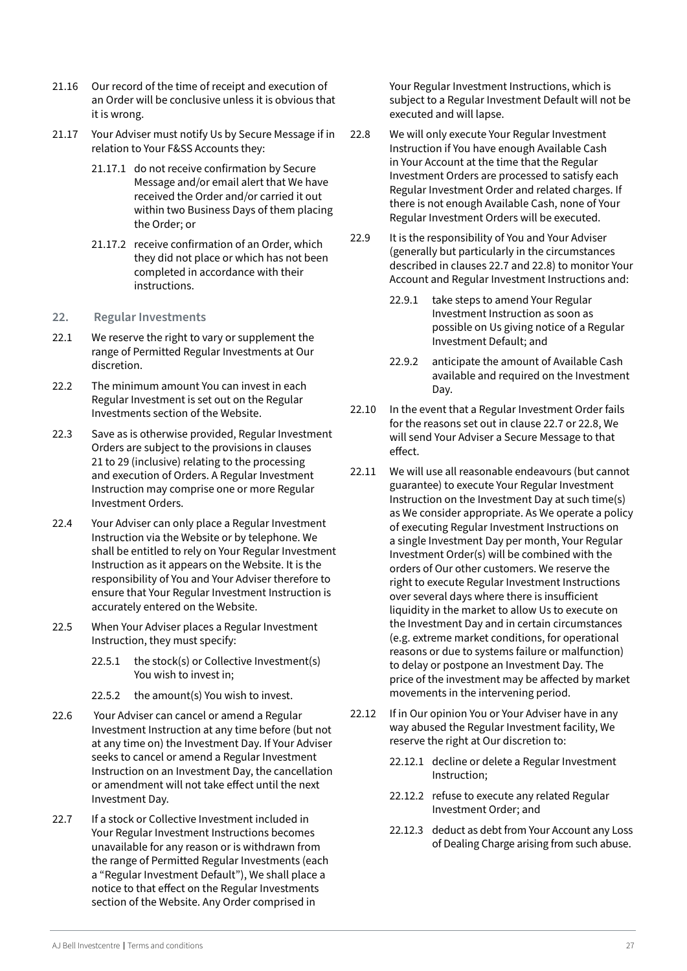- <span id="page-26-0"></span>21.16 Our record of the time of receipt and execution of an Order will be conclusive unless it is obvious that it is wrong.
- 21.17 Your Adviser must notify Us by Secure Message if in relation to Your F&SS Accounts they:
	- 21.17.1 do not receive confirmation by Secure Message and/or email alert that We have received the Order and/or carried it out within two Business Days of them placing the Order; or
	- 21.17.2 receive confirmation of an Order, which they did not place or which has not been completed in accordance with their instructions.
- **22. Regular Investments**
- 22.1 We reserve the right to vary or supplement the range of Permitted Regular Investments at Our discretion.
- 22.2 The minimum amount You can invest in each Regular Investment is set out on the Regular Investments section of the Website.
- 22.3 Save as is otherwise provided, Regular Investment Orders are subject to the provisions in clauses 21 to 29 (inclusive) relating to the processing and execution of Orders. A Regular Investment Instruction may comprise one or more Regular Investment Orders.
- 22.4 Your Adviser can only place a Regular Investment Instruction via the Website or by telephone. We shall be entitled to rely on Your Regular Investment Instruction as it appears on the Website. It is the responsibility of You and Your Adviser therefore to ensure that Your Regular Investment Instruction is accurately entered on the Website.
- 22.5 When Your Adviser places a Regular Investment Instruction, they must specify:
	- 22.5.1 the stock(s) or Collective Investment(s) You wish to invest in;
	- 22.5.2 the amount(s) You wish to invest.
- 22.6 Your Adviser can cancel or amend a Regular Investment Instruction at any time before (but not at any time on) the Investment Day. If Your Adviser seeks to cancel or amend a Regular Investment Instruction on an Investment Day, the cancellation or amendment will not take effect until the next Investment Day.
- 22.7 If a stock or Collective Investment included in Your Regular Investment Instructions becomes unavailable for any reason or is withdrawn from the range of Permitted Regular Investments (each a "Regular Investment Default"), We shall place a notice to that effect on the Regular Investments section of the Website. Any Order comprised in

Your Regular Investment Instructions, which is subject to a Regular Investment Default will not be executed and will lapse.

- 22.8 We will only execute Your Regular Investment Instruction if You have enough Available Cash in Your Account at the time that the Regular Investment Orders are processed to satisfy each Regular Investment Order and related charges. If there is not enough Available Cash, none of Your Regular Investment Orders will be executed.
- 22.9 It is the responsibility of You and Your Adviser (generally but particularly in the circumstances described in clauses 22.7 and 22.8) to monitor Your Account and Regular Investment Instructions and:
	- 22.9.1 take steps to amend Your Regular Investment Instruction as soon as possible on Us giving notice of a Regular Investment Default; and
	- 22.9.2 anticipate the amount of Available Cash available and required on the Investment Day.
- 22.10 In the event that a Regular Investment Order fails for the reasons set out in clause 22.7 or 22.8, We will send Your Adviser a Secure Message to that effect.
- 22.11 We will use all reasonable endeavours (but cannot guarantee) to execute Your Regular Investment Instruction on the Investment Day at such time(s) as We consider appropriate. As We operate a policy of executing Regular Investment Instructions on a single Investment Day per month, Your Regular Investment Order(s) will be combined with the orders of Our other customers. We reserve the right to execute Regular Investment Instructions over several days where there is insufficient liquidity in the market to allow Us to execute on the Investment Day and in certain circumstances (e.g. extreme market conditions, for operational reasons or due to systems failure or malfunction) to delay or postpone an Investment Day. The price of the investment may be affected by market movements in the intervening period.
- 22.12 If in Our opinion You or Your Adviser have in any way abused the Regular Investment facility, We reserve the right at Our discretion to:
	- 22.12.1 decline or delete a Regular Investment Instruction;
	- 22.12.2 refuse to execute any related Regular Investment Order; and
	- 22.12.3 deduct as debt from Your Account any Loss of Dealing Charge arising from such abuse.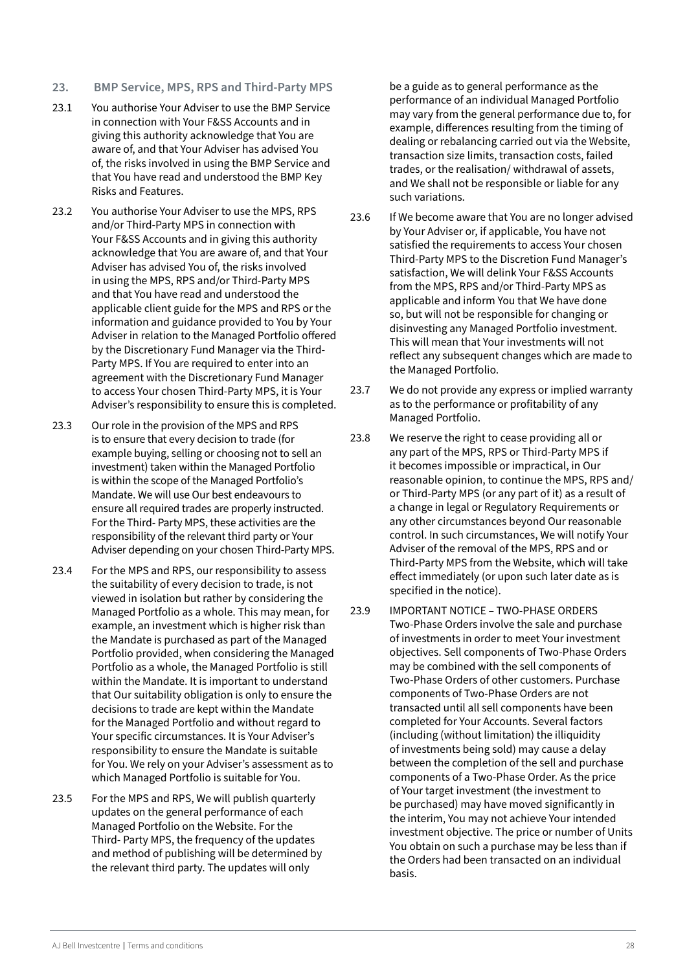- <span id="page-27-0"></span>**23. BMP Service, MPS, RPS and Third-Party MPS**
- 23.1 You authorise Your Adviser to use the BMP Service in connection with Your F&SS Accounts and in giving this authority acknowledge that You are aware of, and that Your Adviser has advised You of, the risks involved in using the BMP Service and that You have read and understood the BMP Key Risks and Features.
- 23.2 You authorise Your Adviser to use the MPS, RPS and/or Third-Party MPS in connection with Your F&SS Accounts and in giving this authority acknowledge that You are aware of, and that Your Adviser has advised You of, the risks involved in using the MPS, RPS and/or Third-Party MPS and that You have read and understood the applicable client guide for the MPS and RPS or the information and guidance provided to You by Your Adviser in relation to the Managed Portfolio offered by the Discretionary Fund Manager via the Third-Party MPS. If You are required to enter into an agreement with the Discretionary Fund Manager to access Your chosen Third-Party MPS, it is Your Adviser's responsibility to ensure this is completed.
- 23.3 Our role in the provision of the MPS and RPS is to ensure that every decision to trade (for example buying, selling or choosing not to sell an investment) taken within the Managed Portfolio is within the scope of the Managed Portfolio's Mandate. We will use Our best endeavours to ensure all required trades are properly instructed. For the Third- Party MPS, these activities are the responsibility of the relevant third party or Your Adviser depending on your chosen Third-Party MPS.
- 23.4 For the MPS and RPS, our responsibility to assess the suitability of every decision to trade, is not viewed in isolation but rather by considering the Managed Portfolio as a whole. This may mean, for example, an investment which is higher risk than the Mandate is purchased as part of the Managed Portfolio provided, when considering the Managed Portfolio as a whole, the Managed Portfolio is still within the Mandate. It is important to understand that Our suitability obligation is only to ensure the decisions to trade are kept within the Mandate for the Managed Portfolio and without regard to Your specific circumstances. It is Your Adviser's responsibility to ensure the Mandate is suitable for You. We rely on your Adviser's assessment as to which Managed Portfolio is suitable for You.
- 23.5 For the MPS and RPS, We will publish quarterly updates on the general performance of each Managed Portfolio on the Website. For the Third- Party MPS, the frequency of the updates and method of publishing will be determined by the relevant third party. The updates will only

be a guide as to general performance as the performance of an individual Managed Portfolio may vary from the general performance due to, for example, differences resulting from the timing of dealing or rebalancing carried out via the Website, transaction size limits, transaction costs, failed trades, or the realisation/ withdrawal of assets, and We shall not be responsible or liable for any such variations.

- 23.6 If We become aware that You are no longer advised by Your Adviser or, if applicable, You have not satisfied the requirements to access Your chosen Third-Party MPS to the Discretion Fund Manager's satisfaction, We will delink Your F&SS Accounts from the MPS, RPS and/or Third-Party MPS as applicable and inform You that We have done so, but will not be responsible for changing or disinvesting any Managed Portfolio investment. This will mean that Your investments will not reflect any subsequent changes which are made to the Managed Portfolio.
- 23.7 We do not provide any express or implied warranty as to the performance or profitability of any Managed Portfolio.
- 23.8 We reserve the right to cease providing all or any part of the MPS, RPS or Third-Party MPS if it becomes impossible or impractical, in Our reasonable opinion, to continue the MPS, RPS and/ or Third-Party MPS (or any part of it) as a result of a change in legal or Regulatory Requirements or any other circumstances beyond Our reasonable control. In such circumstances, We will notify Your Adviser of the removal of the MPS, RPS and or Third-Party MPS from the Website, which will take effect immediately (or upon such later date as is specified in the notice).
- 23.9 IMPORTANT NOTICE TWO-PHASE ORDERS Two-Phase Orders involve the sale and purchase of investments in order to meet Your investment objectives. Sell components of Two-Phase Orders may be combined with the sell components of Two-Phase Orders of other customers. Purchase components of Two-Phase Orders are not transacted until all sell components have been completed for Your Accounts. Several factors (including (without limitation) the illiquidity of investments being sold) may cause a delay between the completion of the sell and purchase components of a Two-Phase Order. As the price of Your target investment (the investment to be purchased) may have moved significantly in the interim, You may not achieve Your intended investment objective. The price or number of Units You obtain on such a purchase may be less than if the Orders had been transacted on an individual basis.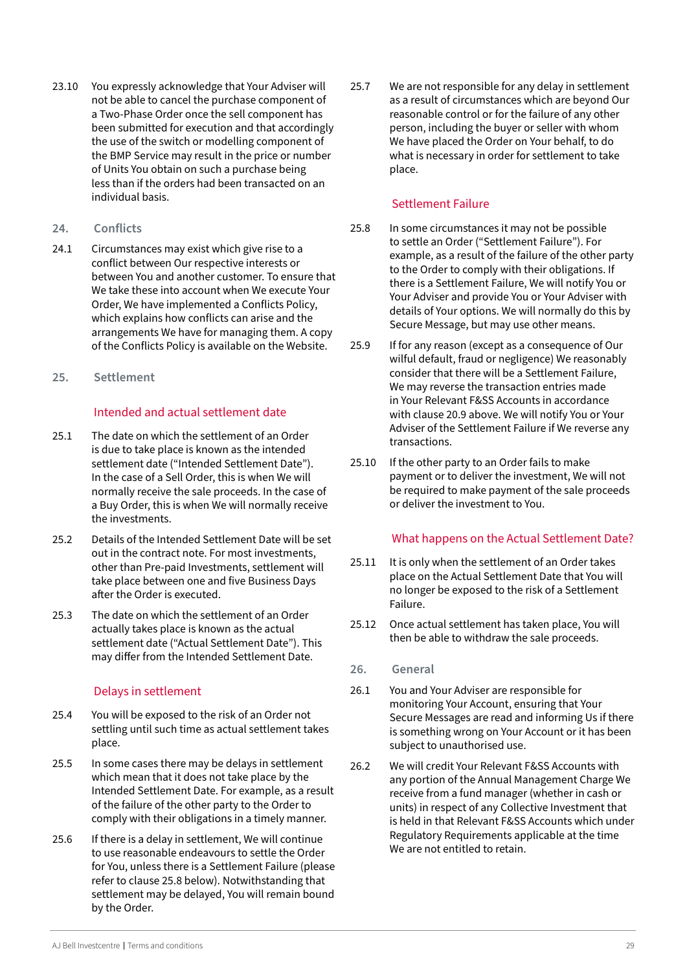- <span id="page-28-0"></span>23.10 You expressly acknowledge that Your Adviser will not be able to cancel the purchase component of a Two-Phase Order once the sell component has been submitted for execution and that accordingly the use of the switch or modelling component of the BMP Service may result in the price or number of Units You obtain on such a purchase being less than if the orders had been transacted on an individual basis.
- **24. Conflicts**
- 24.1 Circumstances may exist which give rise to a conflict between Our respective interests or between You and another customer. To ensure that We take these into account when We execute Your Order, We have implemented a Conflicts Policy, which explains how conflicts can arise and the arrangements We have for managing them. A copy of the Conflicts Policy is available on the Website.
- **25. Settlement**

#### Intended and actual settlement date

- 25.1 The date on which the settlement of an Order is due to take place is known as the intended settlement date ("Intended Settlement Date"). In the case of a Sell Order, this is when We will normally receive the sale proceeds. In the case of a Buy Order, this is when We will normally receive the investments.
- 25.2 Details of the Intended Settlement Date will be set out in the contract note. For most investments, other than Pre-paid Investments, settlement will take place between one and five Business Days after the Order is executed.
- 25.3 The date on which the settlement of an Order actually takes place is known as the actual settlement date ("Actual Settlement Date"). This may differ from the Intended Settlement Date.

# Delays in settlement

- 25.4 You will be exposed to the risk of an Order not settling until such time as actual settlement takes place.
- 25.5 In some cases there may be delays in settlement which mean that it does not take place by the Intended Settlement Date. For example, as a result of the failure of the other party to the Order to comply with their obligations in a timely manner.
- 25.6 If there is a delay in settlement, We will continue to use reasonable endeavours to settle the Order for You, unless there is a Settlement Failure (please refer to clause 25.8 below). Notwithstanding that settlement may be delayed, You will remain bound by the Order.

25.7 We are not responsible for any delay in settlement as a result of circumstances which are beyond Our reasonable control or for the failure of any other person, including the buyer or seller with whom We have placed the Order on Your behalf, to do what is necessary in order for settlement to take place.

#### Settlement Failure

- 25.8 In some circumstances it may not be possible to settle an Order ("Settlement Failure"). For example, as a result of the failure of the other party to the Order to comply with their obligations. If there is a Settlement Failure, We will notify You or Your Adviser and provide You or Your Adviser with details of Your options. We will normally do this by Secure Message, but may use other means.
- 25.9 If for any reason (except as a consequence of Our wilful default, fraud or negligence) We reasonably consider that there will be a Settlement Failure, We may reverse the transaction entries made in Your Relevant F&SS Accounts in accordance with clause 20.9 above. We will notify You or Your Adviser of the Settlement Failure if We reverse any transactions.
- 25.10 If the other party to an Order fails to make payment or to deliver the investment, We will not be required to make payment of the sale proceeds or deliver the investment to You.

#### What happens on the Actual Settlement Date?

- 25.11 It is only when the settlement of an Order takes place on the Actual Settlement Date that You will no longer be exposed to the risk of a Settlement Failure.
- 25.12 Once actual settlement has taken place, You will then be able to withdraw the sale proceeds.

#### **26. General**

- 26.1 You and Your Adviser are responsible for monitoring Your Account, ensuring that Your Secure Messages are read and informing Us if there is something wrong on Your Account or it has been subject to unauthorised use.
- 26.2 We will credit Your Relevant F&SS Accounts with any portion of the Annual Management Charge We receive from a fund manager (whether in cash or units) in respect of any Collective Investment that is held in that Relevant F&SS Accounts which under Regulatory Requirements applicable at the time We are not entitled to retain.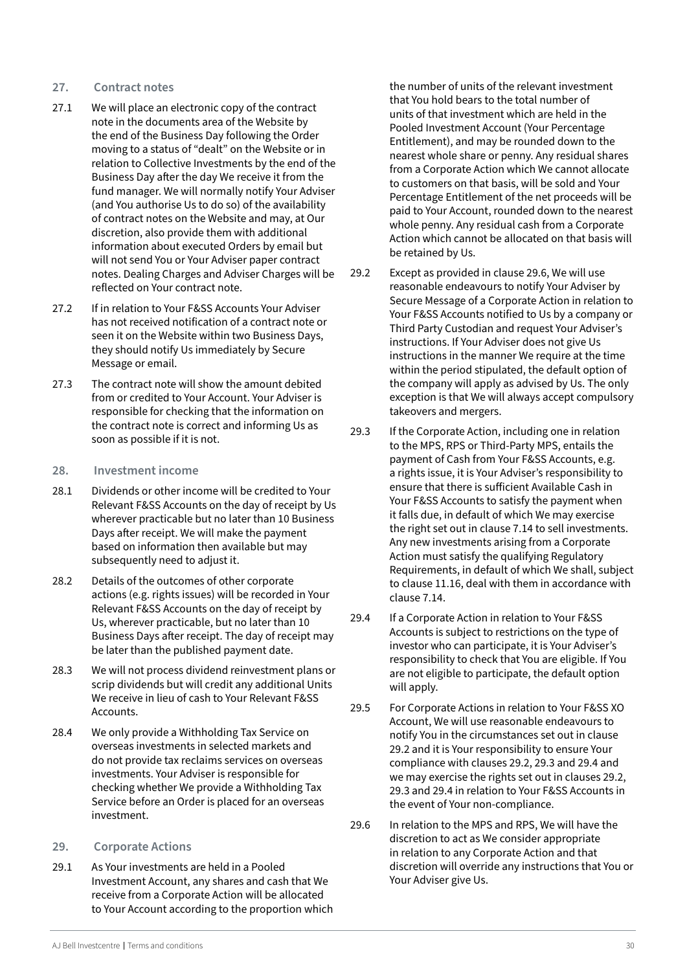#### <span id="page-29-0"></span>**27. Contract notes**

- 27.1 We will place an electronic copy of the contract note in the documents area of the Website by the end of the Business Day following the Order moving to a status of "dealt" on the Website or in relation to Collective Investments by the end of the Business Day after the day We receive it from the fund manager. We will normally notify Your Adviser (and You authorise Us to do so) of the availability of contract notes on the Website and may, at Our discretion, also provide them with additional information about executed Orders by email but will not send You or Your Adviser paper contract notes. Dealing Charges and Adviser Charges will be reflected on Your contract note.
- 27.2 If in relation to Your F&SS Accounts Your Adviser has not received notification of a contract note or seen it on the Website within two Business Days, they should notify Us immediately by Secure Message or email.
- 27.3 The contract note will show the amount debited from or credited to Your Account. Your Adviser is responsible for checking that the information on the contract note is correct and informing Us as soon as possible if it is not.

#### **28. Investment income**

- 28.1 Dividends or other income will be credited to Your Relevant F&SS Accounts on the day of receipt by Us wherever practicable but no later than 10 Business Days after receipt. We will make the payment based on information then available but may subsequently need to adjust it.
- 28.2 Details of the outcomes of other corporate actions (e.g. rights issues) will be recorded in Your Relevant F&SS Accounts on the day of receipt by Us, wherever practicable, but no later than 10 Business Days after receipt. The day of receipt may be later than the published payment date.
- 28.3 We will not process dividend reinvestment plans or scrip dividends but will credit any additional Units We receive in lieu of cash to Your Relevant F&SS Accounts.
- 28.4 We only provide a Withholding Tax Service on overseas investments in selected markets and do not provide tax reclaims services on overseas investments. Your Adviser is responsible for checking whether We provide a Withholding Tax Service before an Order is placed for an overseas investment.

#### **29. Corporate Actions**

29.1 As Your investments are held in a Pooled Investment Account, any shares and cash that We receive from a Corporate Action will be allocated to Your Account according to the proportion which the number of units of the relevant investment that You hold bears to the total number of units of that investment which are held in the Pooled Investment Account (Your Percentage Entitlement), and may be rounded down to the nearest whole share or penny. Any residual shares from a Corporate Action which We cannot allocate to customers on that basis, will be sold and Your Percentage Entitlement of the net proceeds will be paid to Your Account, rounded down to the nearest whole penny. Any residual cash from a Corporate Action which cannot be allocated on that basis will be retained by Us.

- 29.2 Except as provided in clause 29.6, We will use reasonable endeavours to notify Your Adviser by Secure Message of a Corporate Action in relation to Your F&SS Accounts notified to Us by a company or Third Party Custodian and request Your Adviser's instructions. If Your Adviser does not give Us instructions in the manner We require at the time within the period stipulated, the default option of the company will apply as advised by Us. The only exception is that We will always accept compulsory takeovers and mergers.
- 29.3 If the Corporate Action, including one in relation to the MPS, RPS or Third-Party MPS, entails the payment of Cash from Your F&SS Accounts, e.g. a rights issue, it is Your Adviser's responsibility to ensure that there is sufficient Available Cash in Your F&SS Accounts to satisfy the payment when it falls due, in default of which We may exercise the right set out in clause 7.14 to sell investments. Any new investments arising from a Corporate Action must satisfy the qualifying Regulatory Requirements, in default of which We shall, subject to clause 11.16, deal with them in accordance with clause 7.14.
- 29.4 If a Corporate Action in relation to Your F&SS Accounts is subject to restrictions on the type of investor who can participate, it is Your Adviser's responsibility to check that You are eligible. If You are not eligible to participate, the default option will apply.
- 29.5 For Corporate Actions in relation to Your F&SS XO Account, We will use reasonable endeavours to notify You in the circumstances set out in clause 29.2 and it is Your responsibility to ensure Your compliance with clauses 29.2, 29.3 and 29.4 and we may exercise the rights set out in clauses 29.2, 29.3 and 29.4 in relation to Your F&SS Accounts in the event of Your non-compliance.
- 29.6 In relation to the MPS and RPS, We will have the discretion to act as We consider appropriate in relation to any Corporate Action and that discretion will override any instructions that You or Your Adviser give Us.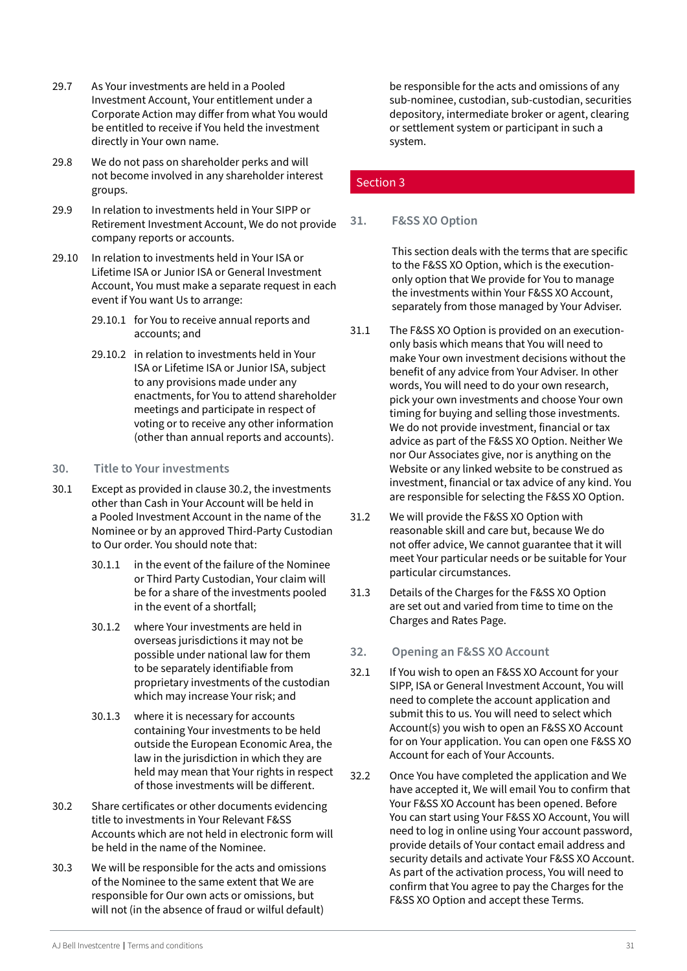- <span id="page-30-0"></span>29.7 As Your investments are held in a Pooled Investment Account, Your entitlement under a Corporate Action may differ from what You would be entitled to receive if You held the investment directly in Your own name.
- 29.8 We do not pass on shareholder perks and will not become involved in any shareholder interest groups.
- 29.9 In relation to investments held in Your SIPP or Retirement Investment Account, We do not provide company reports or accounts.
- 29.10 In relation to investments held in Your ISA or Lifetime ISA or Junior ISA or General Investment Account, You must make a separate request in each event if You want Us to arrange:
	- 29.10.1 for You to receive annual reports and accounts; and
	- 29.10.2 in relation to investments held in Your ISA or Lifetime ISA or Junior ISA, subject to any provisions made under any enactments, for You to attend shareholder meetings and participate in respect of voting or to receive any other information (other than annual reports and accounts).

#### **30. Title to Your investments**

- 30.1 Except as provided in clause 30.2, the investments other than Cash in Your Account will be held in a Pooled Investment Account in the name of the Nominee or by an approved Third-Party Custodian to Our order. You should note that:
	- 30.1.1 in the event of the failure of the Nominee or Third Party Custodian, Your claim will be for a share of the investments pooled in the event of a shortfall;
	- 30.1.2 where Your investments are held in overseas jurisdictions it may not be possible under national law for them to be separately identifiable from proprietary investments of the custodian which may increase Your risk; and
	- 30.1.3 where it is necessary for accounts containing Your investments to be held outside the European Economic Area, the law in the jurisdiction in which they are held may mean that Your rights in respect of those investments will be different.
- 30.2 Share certificates or other documents evidencing title to investments in Your Relevant F&SS Accounts which are not held in electronic form will be held in the name of the Nominee.
- 30.3 We will be responsible for the acts and omissions of the Nominee to the same extent that We are responsible for Our own acts or omissions, but will not (in the absence of fraud or wilful default)

be responsible for the acts and omissions of any sub-nominee, custodian, sub-custodian, securities depository, intermediate broker or agent, clearing or settlement system or participant in such a system.

#### Section 3

#### **31. F&SS XO Option**

This section deals with the terms that are specific to the F&SS XO Option, which is the executiononly option that We provide for You to manage the investments within Your F&SS XO Account, separately from those managed by Your Adviser.

- 31.1 The F&SS XO Option is provided on an executiononly basis which means that You will need to make Your own investment decisions without the benefit of any advice from Your Adviser. In other words, You will need to do your own research, pick your own investments and choose Your own timing for buying and selling those investments. We do not provide investment, financial or tax advice as part of the F&SS XO Option. Neither We nor Our Associates give, nor is anything on the Website or any linked website to be construed as investment, financial or tax advice of any kind. You are responsible for selecting the F&SS XO Option.
- 31.2 We will provide the F&SS XO Option with reasonable skill and care but, because We do not offer advice, We cannot guarantee that it will meet Your particular needs or be suitable for Your particular circumstances.
- 31.3 Details of the Charges for the F&SS XO Option are set out and varied from time to time on the Charges and Rates Page.
- **32. Opening an F&SS XO Account**
- 32.1 If You wish to open an F&SS XO Account for your SIPP, ISA or General Investment Account, You will need to complete the account application and submit this to us. You will need to select which Account(s) you wish to open an F&SS XO Account for on Your application. You can open one F&SS XO Account for each of Your Accounts.
- 32.2 Once You have completed the application and We have accepted it, We will email You to confirm that Your F&SS XO Account has been opened. Before You can start using Your F&SS XO Account, You will need to log in online using Your account password, provide details of Your contact email address and security details and activate Your F&SS XO Account. As part of the activation process, You will need to confirm that You agree to pay the Charges for the F&SS XO Option and accept these Terms.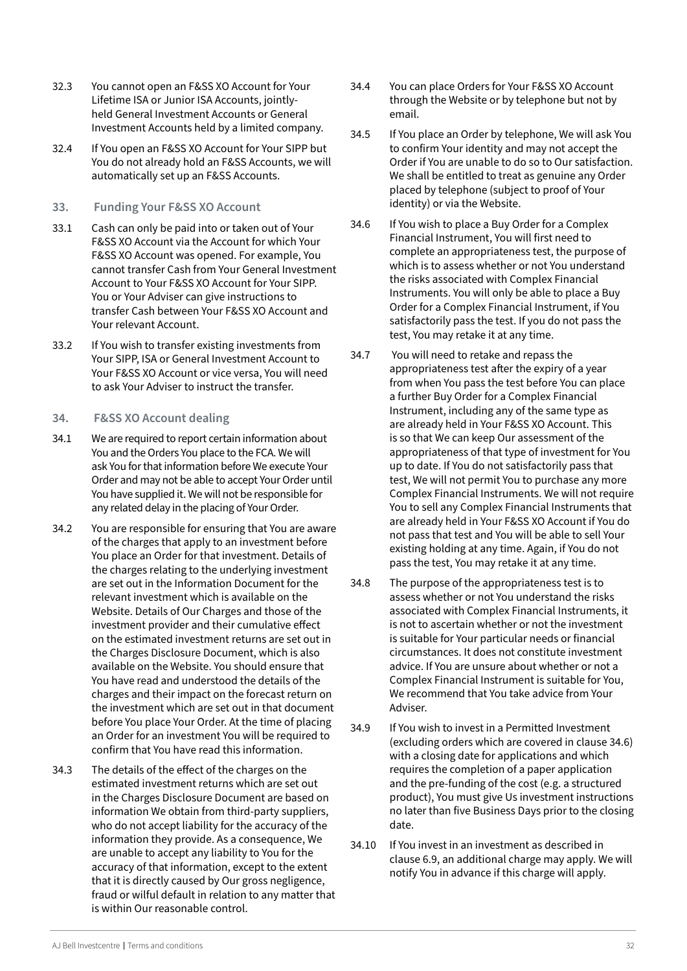- <span id="page-31-0"></span>32.3 You cannot open an F&SS XO Account for Your Lifetime ISA or Junior ISA Accounts, jointlyheld General Investment Accounts or General Investment Accounts held by a limited company.
- 32.4 If You open an F&SS XO Account for Your SIPP but You do not already hold an F&SS Accounts, we will automatically set up an F&SS Accounts.

#### **33. Funding Your F&SS XO Account**

- 33.1 Cash can only be paid into or taken out of Your F&SS XO Account via the Account for which Your F&SS XO Account was opened. For example, You cannot transfer Cash from Your General Investment Account to Your F&SS XO Account for Your SIPP. You or Your Adviser can give instructions to transfer Cash between Your F&SS XO Account and Your relevant Account.
- 33.2 If You wish to transfer existing investments from Your SIPP, ISA or General Investment Account to Your F&SS XO Account or vice versa, You will need to ask Your Adviser to instruct the transfer.

#### **34. F&SS XO Account dealing**

- 34.1 We are required to report certain information about You and the Orders You place to the FCA. We will ask You for that information before We execute Your Order and may not be able to accept Your Order until You have supplied it. We will not be responsible for any related delay in the placing of Your Order.
- 34.2 You are responsible for ensuring that You are aware of the charges that apply to an investment before You place an Order for that investment. Details of the charges relating to the underlying investment are set out in the Information Document for the relevant investment which is available on the Website. Details of Our Charges and those of the investment provider and their cumulative effect on the estimated investment returns are set out in the Charges Disclosure Document, which is also available on the Website. You should ensure that You have read and understood the details of the charges and their impact on the forecast return on the investment which are set out in that document before You place Your Order. At the time of placing an Order for an investment You will be required to confirm that You have read this information.
- 34.3 The details of the effect of the charges on the estimated investment returns which are set out in the Charges Disclosure Document are based on information We obtain from third-party suppliers, who do not accept liability for the accuracy of the information they provide. As a consequence, We are unable to accept any liability to You for the accuracy of that information, except to the extent that it is directly caused by Our gross negligence, fraud or wilful default in relation to any matter that is within Our reasonable control.
- 34.4 You can place Orders for Your F&SS XO Account through the Website or by telephone but not by email.
- 34.5 If You place an Order by telephone, We will ask You to confirm Your identity and may not accept the Order if You are unable to do so to Our satisfaction. We shall be entitled to treat as genuine any Order placed by telephone (subject to proof of Your identity) or via the Website.
- 34.6 If You wish to place a Buy Order for a Complex Financial Instrument, You will first need to complete an appropriateness test, the purpose of which is to assess whether or not You understand the risks associated with Complex Financial Instruments. You will only be able to place a Buy Order for a Complex Financial Instrument, if You satisfactorily pass the test. If you do not pass the test, You may retake it at any time.
- 34.7 You will need to retake and repass the appropriateness test after the expiry of a year from when You pass the test before You can place a further Buy Order for a Complex Financial Instrument, including any of the same type as are already held in Your F&SS XO Account. This is so that We can keep Our assessment of the appropriateness of that type of investment for You up to date. If You do not satisfactorily pass that test, We will not permit You to purchase any more Complex Financial Instruments. We will not require You to sell any Complex Financial Instruments that are already held in Your F&SS XO Account if You do not pass that test and You will be able to sell Your existing holding at any time. Again, if You do not pass the test, You may retake it at any time.
- 34.8 The purpose of the appropriateness test is to assess whether or not You understand the risks associated with Complex Financial Instruments, it is not to ascertain whether or not the investment is suitable for Your particular needs or financial circumstances. It does not constitute investment advice. If You are unsure about whether or not a Complex Financial Instrument is suitable for You, We recommend that You take advice from Your Adviser.
- 34.9 If You wish to invest in a Permitted Investment (excluding orders which are covered in clause 34.6) with a closing date for applications and which requires the completion of a paper application and the pre-funding of the cost (e.g. a structured product), You must give Us investment instructions no later than five Business Days prior to the closing date.
- 34.10 If You invest in an investment as described in clause 6.9, an additional charge may apply. We will notify You in advance if this charge will apply.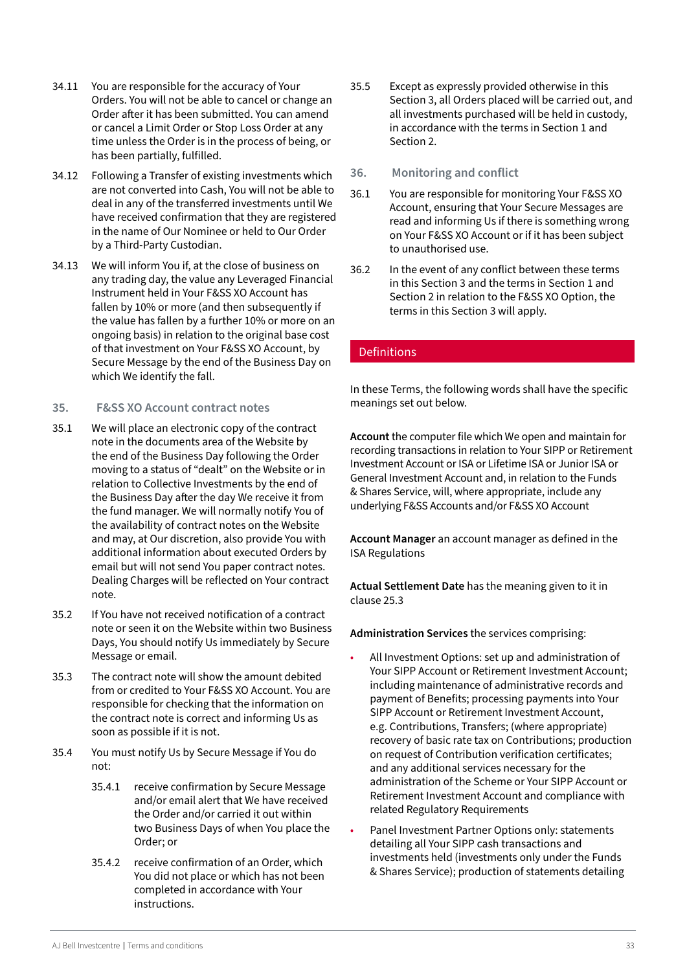- <span id="page-32-0"></span>34.11 You are responsible for the accuracy of Your Orders. You will not be able to cancel or change an Order after it has been submitted. You can amend or cancel a Limit Order or Stop Loss Order at any time unless the Order is in the process of being, or has been partially, fulfilled.
- 34.12 Following a Transfer of existing investments which are not converted into Cash, You will not be able to deal in any of the transferred investments until We have received confirmation that they are registered in the name of Our Nominee or held to Our Order by a Third-Party Custodian.
- 34.13 We will inform You if, at the close of business on any trading day, the value any Leveraged Financial Instrument held in Your F&SS XO Account has fallen by 10% or more (and then subsequently if the value has fallen by a further 10% or more on an ongoing basis) in relation to the original base cost of that investment on Your F&SS XO Account, by Secure Message by the end of the Business Day on which We identify the fall.

#### **35. F&SS XO Account contract notes**

- 35.1 We will place an electronic copy of the contract note in the documents area of the Website by the end of the Business Day following the Order moving to a status of "dealt" on the Website or in relation to Collective Investments by the end of the Business Day after the day We receive it from the fund manager. We will normally notify You of the availability of contract notes on the Website and may, at Our discretion, also provide You with additional information about executed Orders by email but will not send You paper contract notes. Dealing Charges will be reflected on Your contract note.
- 35.2 If You have not received notification of a contract note or seen it on the Website within two Business Days, You should notify Us immediately by Secure Message or email.
- 35.3 The contract note will show the amount debited from or credited to Your F&SS XO Account. You are responsible for checking that the information on the contract note is correct and informing Us as soon as possible if it is not.
- 35.4 You must notify Us by Secure Message if You do not:
	- 35.4.1 receive confirmation by Secure Message and/or email alert that We have received the Order and/or carried it out within two Business Days of when You place the Order; or
	- 35.4.2 receive confirmation of an Order, which You did not place or which has not been completed in accordance with Your instructions.
- 35.5 Except as expressly provided otherwise in this Section 3, all Orders placed will be carried out, and all investments purchased will be held in custody, in accordance with the terms in Section 1 and Section 2.
- **36. Monitoring and conflict**
- 36.1 You are responsible for monitoring Your F&SS XO Account, ensuring that Your Secure Messages are read and informing Us if there is something wrong on Your F&SS XO Account or if it has been subject to unauthorised use.
- 36.2 In the event of any conflict between these terms in this Section 3 and the terms in Section 1 and Section 2 in relation to the F&SS XO Option, the terms in this Section 3 will apply.

#### Definitions

In these Terms, the following words shall have the specific meanings set out below.

**Account** the computer file which We open and maintain for recording transactions in relation to Your SIPP or Retirement Investment Account or ISA or Lifetime ISA or Junior ISA or General Investment Account and, in relation to the Funds & Shares Service, will, where appropriate, include any underlying F&SS Accounts and/or F&SS XO Account

**Account Manager** an account manager as defined in the ISA Regulations

**Actual Settlement Date** has the meaning given to it in clause 25.3

**Administration Services** the services comprising:

- All Investment Options: set up and administration of Your SIPP Account or Retirement Investment Account; including maintenance of administrative records and payment of Benefits; processing payments into Your SIPP Account or Retirement Investment Account, e.g. Contributions, Transfers; (where appropriate) recovery of basic rate tax on Contributions; production on request of Contribution verification certificates; and any additional services necessary for the administration of the Scheme or Your SIPP Account or Retirement Investment Account and compliance with related Regulatory Requirements
- Panel Investment Partner Options only: statements detailing all Your SIPP cash transactions and investments held (investments only under the Funds & Shares Service); production of statements detailing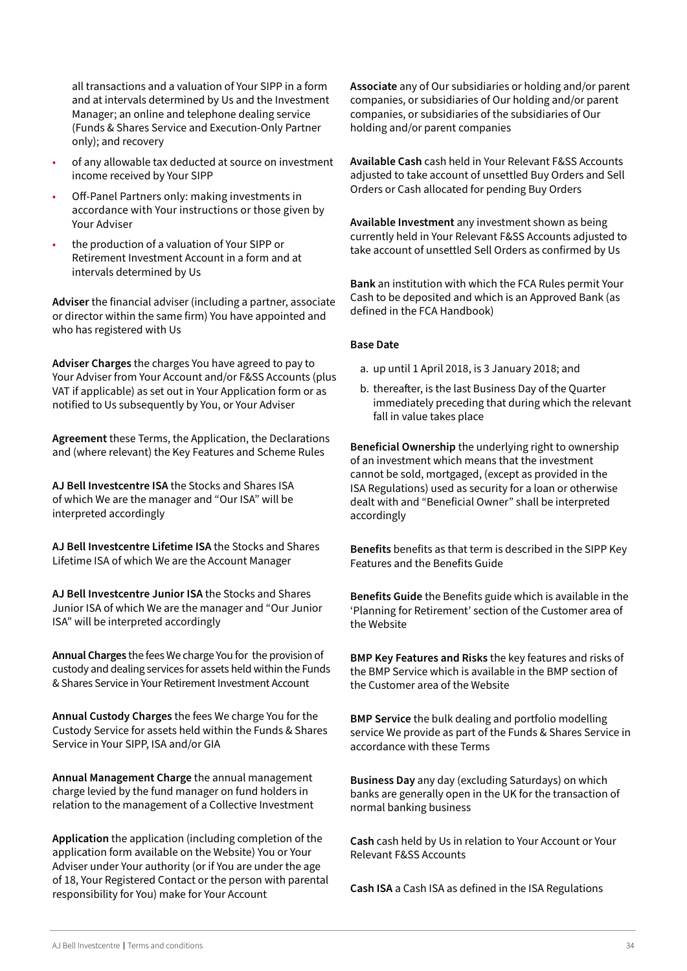all transactions and a valuation of Your SIPP in a form and at intervals determined by Us and the Investment Manager; an online and telephone dealing service (Funds & Shares Service and Execution-Only Partner only); and recovery

- of any allowable tax deducted at source on investment income received by Your SIPP
- Off-Panel Partners only: making investments in accordance with Your instructions or those given by Your Adviser
- the production of a valuation of Your SIPP or Retirement Investment Account in a form and at intervals determined by Us

**Adviser** the financial adviser (including a partner, associate or director within the same firm) You have appointed and who has registered with Us

**Adviser Charges** the charges You have agreed to pay to Your Adviser from Your Account and/or F&SS Accounts (plus VAT if applicable) as set out in Your Application form or as notified to Us subsequently by You, or Your Adviser

**Agreement** these Terms, the Application, the Declarations and (where relevant) the Key Features and Scheme Rules

**AJ Bell Investcentre ISA** the Stocks and Shares ISA of which We are the manager and "Our ISA" will be interpreted accordingly

**AJ Bell Investcentre Lifetime ISA** the Stocks and Shares Lifetime ISA of which We are the Account Manager

**AJ Bell Investcentre Junior ISA** the Stocks and Shares Junior ISA of which We are the manager and "Our Junior ISA" will be interpreted accordingly

**Annual Charges** the fees We charge You for the provision of custody and dealing services for assets held within the Funds & Shares Service in Your Retirement Investment Account

**Annual Custody Charges** the fees We charge You for the Custody Service for assets held within the Funds & Shares Service in Your SIPP, ISA and/or GIA

**Annual Management Charge** the annual management charge levied by the fund manager on fund holders in relation to the management of a Collective Investment

**Application** the application (including completion of the application form available on the Website) You or Your Adviser under Your authority (or if You are under the age of 18, Your Registered Contact or the person with parental responsibility for You) make for Your Account

**Associate** any of Our subsidiaries or holding and/or parent companies, or subsidiaries of Our holding and/or parent companies, or subsidiaries of the subsidiaries of Our holding and/or parent companies

**Available Cash** cash held in Your Relevant F&SS Accounts adjusted to take account of unsettled Buy Orders and Sell Orders or Cash allocated for pending Buy Orders

**Available Investment** any investment shown as being currently held in Your Relevant F&SS Accounts adjusted to take account of unsettled Sell Orders as confirmed by Us

**Bank** an institution with which the FCA Rules permit Your Cash to be deposited and which is an Approved Bank (as defined in the FCA Handbook)

#### **Base Date**

- a. up until 1 April 2018, is 3 January 2018; and
- b. thereafter, is the last Business Day of the Quarter immediately preceding that during which the relevant fall in value takes place

**Beneficial Ownership** the underlying right to ownership of an investment which means that the investment cannot be sold, mortgaged, (except as provided in the ISA Regulations) used as security for a loan or otherwise dealt with and "Beneficial Owner" shall be interpreted accordingly

**Benefits** benefits as that term is described in the SIPP Key Features and the Benefits Guide

**Benefits Guide** the Benefits guide which is available in the 'Planning for Retirement' section of the Customer area of the Website

**BMP Key Features and Risks** the key features and risks of the BMP Service which is available in the BMP section of the Customer area of the Website

**BMP Service** the bulk dealing and portfolio modelling service We provide as part of the Funds & Shares Service in accordance with these Terms

**Business Day** any day (excluding Saturdays) on which banks are generally open in the UK for the transaction of normal banking business

**Cash** cash held by Us in relation to Your Account or Your Relevant F&SS Accounts

**Cash ISA** a Cash ISA as defined in the ISA Regulations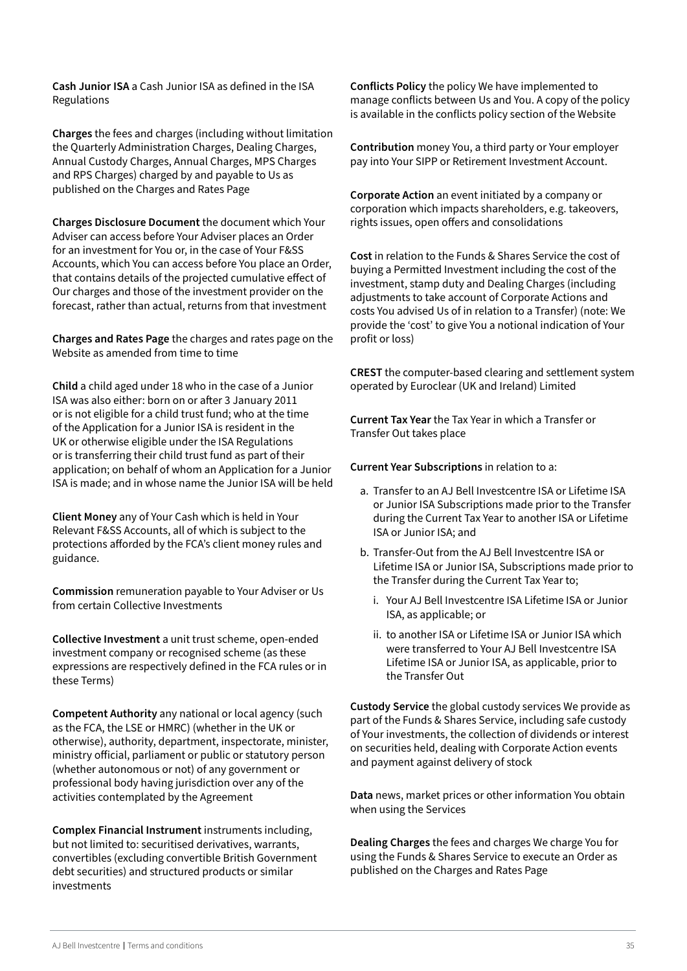**Cash Junior ISA** a Cash Junior ISA as defined in the ISA Regulations

**Charges** the fees and charges (including without limitation the Quarterly Administration Charges, Dealing Charges, Annual Custody Charges, Annual Charges, MPS Charges and RPS Charges) charged by and payable to Us as published on the Charges and Rates Page

**Charges Disclosure Document** the document which Your Adviser can access before Your Adviser places an Order for an investment for You or, in the case of Your F&SS Accounts, which You can access before You place an Order, that contains details of the projected cumulative effect of Our charges and those of the investment provider on the forecast, rather than actual, returns from that investment

**Charges and Rates Page** the charges and rates page on the Website as amended from time to time

**Child** a child aged under 18 who in the case of a Junior ISA was also either: born on or after 3 January 2011 or is not eligible for a child trust fund; who at the time of the Application for a Junior ISA is resident in the UK or otherwise eligible under the ISA Regulations or is transferring their child trust fund as part of their application; on behalf of whom an Application for a Junior ISA is made; and in whose name the Junior ISA will be held

**Client Money** any of Your Cash which is held in Your Relevant F&SS Accounts, all of which is subject to the protections afforded by the FCA's client money rules and guidance.

**Commission** remuneration payable to Your Adviser or Us from certain Collective Investments

**Collective Investment** a unit trust scheme, open-ended investment company or recognised scheme (as these expressions are respectively defined in the FCA rules or in these Terms)

**Competent Authority** any national or local agency (such as the FCA, the LSE or HMRC) (whether in the UK or otherwise), authority, department, inspectorate, minister, ministry official, parliament or public or statutory person (whether autonomous or not) of any government or professional body having jurisdiction over any of the activities contemplated by the Agreement

**Complex Financial Instrument** instruments including, but not limited to: securitised derivatives, warrants, convertibles (excluding convertible British Government debt securities) and structured products or similar investments

**Conflicts Policy** the policy We have implemented to manage conflicts between Us and You. A copy of the policy is available in the conflicts policy section of the Website

**Contribution** money You, a third party or Your employer pay into Your SIPP or Retirement Investment Account.

**Corporate Action** an event initiated by a company or corporation which impacts shareholders, e.g. takeovers, rights issues, open offers and consolidations

**Cost** in relation to the Funds & Shares Service the cost of buying a Permitted Investment including the cost of the investment, stamp duty and Dealing Charges (including adjustments to take account of Corporate Actions and costs You advised Us of in relation to a Transfer) (note: We provide the 'cost' to give You a notional indication of Your profit or loss)

**CREST** the computer-based clearing and settlement system operated by Euroclear (UK and Ireland) Limited

**Current Tax Year** the Tax Year in which a Transfer or Transfer Out takes place

**Current Year Subscriptions** in relation to a:

- a. Transfer to an AJ Bell Investcentre ISA or Lifetime ISA or Junior ISA Subscriptions made prior to the Transfer during the Current Tax Year to another ISA or Lifetime ISA or Junior ISA; and
- b. Transfer-Out from the AJ Bell Investcentre ISA or Lifetime ISA or Junior ISA, Subscriptions made prior to the Transfer during the Current Tax Year to;
	- i. Your AJ Bell Investcentre ISA Lifetime ISA or Junior ISA, as applicable; or
	- ii. to another ISA or Lifetime ISA or Junior ISA which were transferred to Your AJ Bell Investcentre ISA Lifetime ISA or Junior ISA, as applicable, prior to the Transfer Out

**Custody Service** the global custody services We provide as part of the Funds & Shares Service, including safe custody of Your investments, the collection of dividends or interest on securities held, dealing with Corporate Action events and payment against delivery of stock

**Data** news, market prices or other information You obtain when using the Services

**Dealing Charges** the fees and charges We charge You for using the Funds & Shares Service to execute an Order as published on the Charges and Rates Page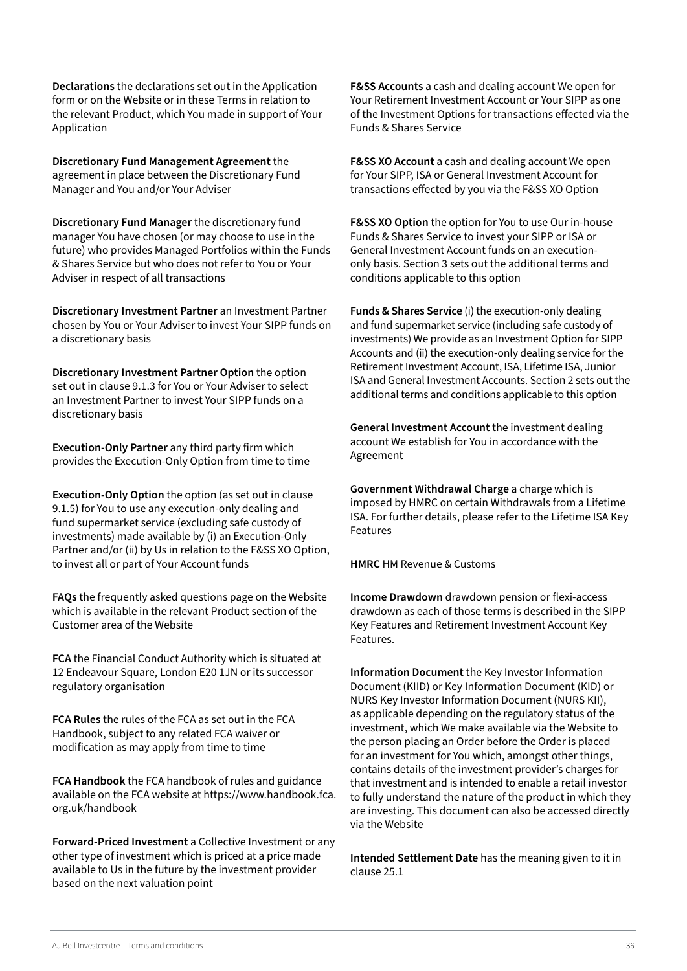**Declarations** the declarations set out in the Application form or on the Website or in these Terms in relation to the relevant Product, which You made in support of Your Application

**Discretionary Fund Management Agreement** the agreement in place between the Discretionary Fund Manager and You and/or Your Adviser

**Discretionary Fund Manager** the discretionary fund manager You have chosen (or may choose to use in the future) who provides Managed Portfolios within the Funds & Shares Service but who does not refer to You or Your Adviser in respect of all transactions

**Discretionary Investment Partner** an Investment Partner chosen by You or Your Adviser to invest Your SIPP funds on a discretionary basis

**Discretionary Investment Partner Option** the option set out in clause 9.1.3 for You or Your Adviser to select an Investment Partner to invest Your SIPP funds on a discretionary basis

**Execution-Only Partner** any third party firm which provides the Execution-Only Option from time to time

**Execution-Only Option** the option (as set out in clause 9.1.5) for You to use any execution-only dealing and fund supermarket service (excluding safe custody of investments) made available by (i) an Execution-Only Partner and/or (ii) by Us in relation to the F&SS XO Option, to invest all or part of Your Account funds

**FAQs** the frequently asked questions page on the Website which is available in the relevant Product section of the Customer area of the Website

**FCA** the Financial Conduct Authority which is situated at 12 Endeavour Square, London E20 1JN or its successor regulatory organisation

**FCA Rules** the rules of the FCA as set out in the FCA Handbook, subject to any related FCA waiver or modification as may apply from time to time

**FCA Handbook** the FCA handbook of rules and guidance available on the FCA website at https://www.handbook.fca. org.uk/handbook

**Forward-Priced Investment** a Collective Investment or any other type of investment which is priced at a price made available to Us in the future by the investment provider based on the next valuation point

**F&SS Accounts** a cash and dealing account We open for Your Retirement Investment Account or Your SIPP as one of the Investment Options for transactions effected via the Funds & Shares Service

**F&SS XO Account** a cash and dealing account We open for Your SIPP, ISA or General Investment Account for transactions effected by you via the F&SS XO Option

**F&SS XO Option** the option for You to use Our in-house Funds & Shares Service to invest your SIPP or ISA or General Investment Account funds on an executiononly basis. Section 3 sets out the additional terms and conditions applicable to this option

**Funds & Shares Service** (i) the execution-only dealing and fund supermarket service (including safe custody of investments) We provide as an Investment Option for SIPP Accounts and (ii) the execution-only dealing service for the Retirement Investment Account, ISA, Lifetime ISA, Junior ISA and General Investment Accounts. Section 2 sets out the additional terms and conditions applicable to this option

**General Investment Account** the investment dealing account We establish for You in accordance with the Agreement

**Government Withdrawal Charge** a charge which is imposed by HMRC on certain Withdrawals from a Lifetime ISA. For further details, please refer to the Lifetime ISA Key Features

**HMRC** HM Revenue & Customs

**Income Drawdown** drawdown pension or flexi-access drawdown as each of those terms is described in the SIPP Key Features and Retirement Investment Account Key Features.

**Information Document** the Key Investor Information Document (KIID) or Key Information Document (KID) or NURS Key Investor Information Document (NURS KII), as applicable depending on the regulatory status of the investment, which We make available via the Website to the person placing an Order before the Order is placed for an investment for You which, amongst other things, contains details of the investment provider's charges for that investment and is intended to enable a retail investor to fully understand the nature of the product in which they are investing. This document can also be accessed directly via the Website

**Intended Settlement Date** has the meaning given to it in clause 25.1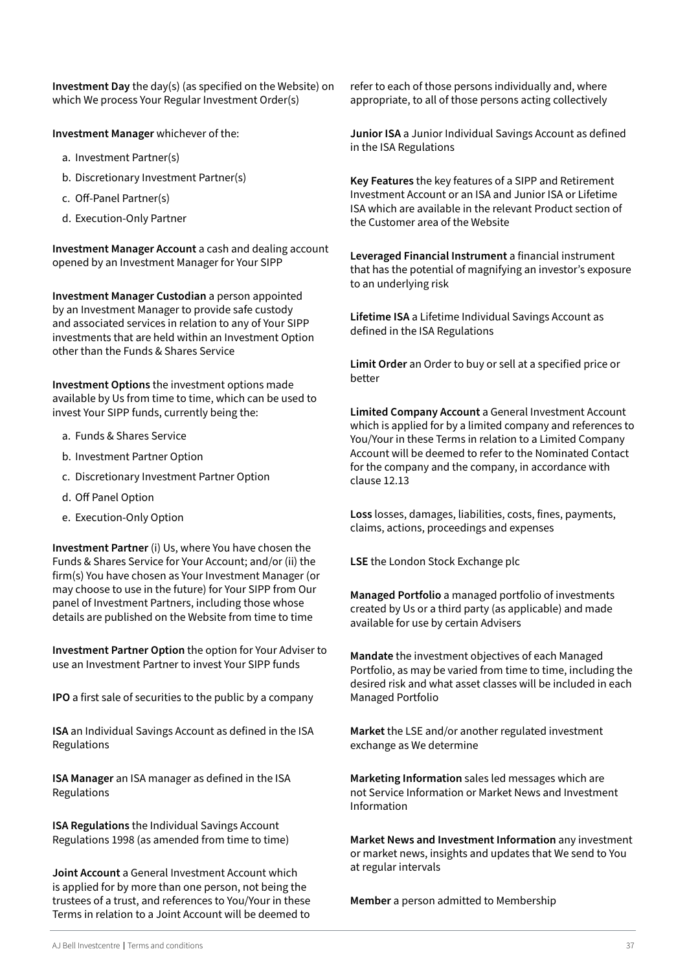**Investment Day** the day(s) (as specified on the Website) on which We process Your Regular Investment Order(s)

**Investment Manager** whichever of the:

- a. Investment Partner(s)
- b. Discretionary Investment Partner(s)
- c. Off-Panel Partner(s)
- d. Execution-Only Partner

**Investment Manager Account** a cash and dealing account opened by an Investment Manager for Your SIPP

**Investment Manager Custodian** a person appointed by an Investment Manager to provide safe custody and associated services in relation to any of Your SIPP investments that are held within an Investment Option other than the Funds & Shares Service

**Investment Options** the investment options made available by Us from time to time, which can be used to invest Your SIPP funds, currently being the:

- a. Funds & Shares Service
- b. Investment Partner Option
- c. Discretionary Investment Partner Option
- d. Off Panel Option
- e. Execution-Only Option

**Investment Partner** (i) Us, where You have chosen the Funds & Shares Service for Your Account; and/or (ii) the firm(s) You have chosen as Your Investment Manager (or may choose to use in the future) for Your SIPP from Our panel of Investment Partners, including those whose details are published on the Website from time to time

**Investment Partner Option** the option for Your Adviser to use an Investment Partner to invest Your SIPP funds

**IPO** a first sale of securities to the public by a company

**ISA** an Individual Savings Account as defined in the ISA Regulations

**ISA Manager** an ISA manager as defined in the ISA Regulations

**ISA Regulations** the Individual Savings Account Regulations 1998 (as amended from time to time)

**Joint Account** a General Investment Account which is applied for by more than one person, not being the trustees of a trust, and references to You/Your in these Terms in relation to a Joint Account will be deemed to refer to each of those persons individually and, where appropriate, to all of those persons acting collectively

**Junior ISA** a Junior Individual Savings Account as defined in the ISA Regulations

**Key Features** the key features of a SIPP and Retirement Investment Account or an ISA and Junior ISA or Lifetime ISA which are available in the relevant Product section of the Customer area of the Website

**Leveraged Financial Instrument** a financial instrument that has the potential of magnifying an investor's exposure to an underlying risk

**Lifetime ISA** a Lifetime Individual Savings Account as defined in the ISA Regulations

**Limit Order** an Order to buy or sell at a specified price or better

**Limited Company Account** a General Investment Account which is applied for by a limited company and references to You/Your in these Terms in relation to a Limited Company Account will be deemed to refer to the Nominated Contact for the company and the company, in accordance with clause 12.13

**Loss** losses, damages, liabilities, costs, fines, payments, claims, actions, proceedings and expenses

**LSE** the London Stock Exchange plc

**Managed Portfolio** a managed portfolio of investments created by Us or a third party (as applicable) and made available for use by certain Advisers

**Mandate** the investment objectives of each Managed Portfolio, as may be varied from time to time, including the desired risk and what asset classes will be included in each Managed Portfolio

**Market** the LSE and/or another regulated investment exchange as We determine

**Marketing Information** sales led messages which are not Service Information or Market News and Investment Information

**Market News and Investment Information** any investment or market news, insights and updates that We send to You at regular intervals

**Member** a person admitted to Membership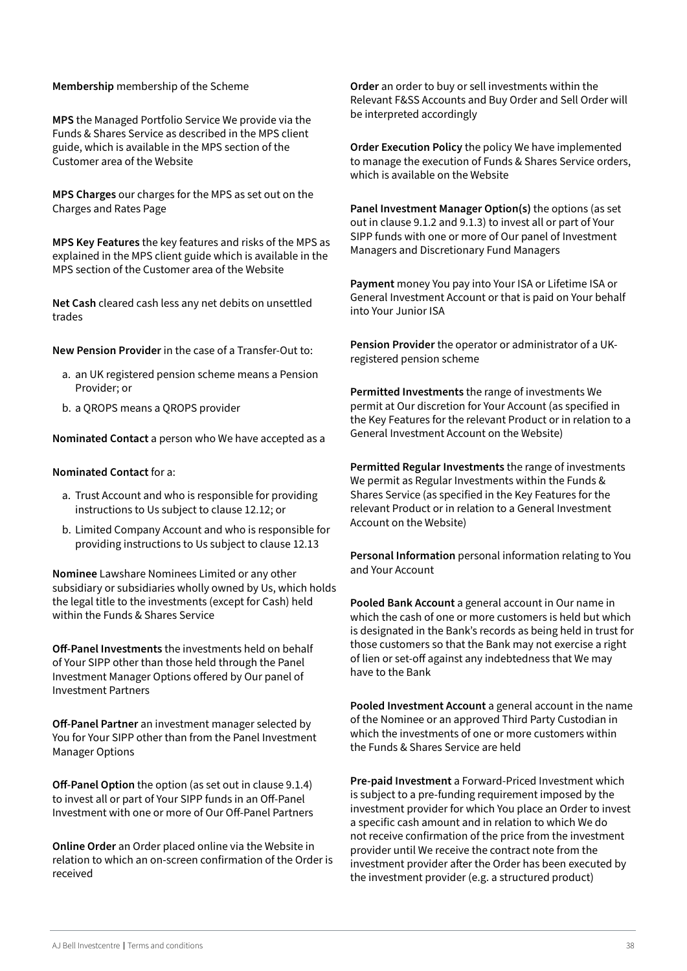#### **Membership** membership of the Scheme

**MPS** the Managed Portfolio Service We provide via the Funds & Shares Service as described in the MPS client guide, which is available in the MPS section of the Customer area of the Website

**MPS Charges** our charges for the MPS as set out on the Charges and Rates Page

**MPS Key Features** the key features and risks of the MPS as explained in the MPS client guide which is available in the MPS section of the Customer area of the Website

**Net Cash** cleared cash less any net debits on unsettled trades

**New Pension Provider** in the case of a Transfer-Out to:

- a. an UK registered pension scheme means a Pension Provider; or
- b. a QROPS means a QROPS provider

**Nominated Contact** a person who We have accepted as a

#### **Nominated Contact** for a:

- a. Trust Account and who is responsible for providing instructions to Us subject to clause 12.12; or
- b. Limited Company Account and who is responsible for providing instructions to Us subject to clause 12.13

**Nominee** Lawshare Nominees Limited or any other subsidiary or subsidiaries wholly owned by Us, which holds the legal title to the investments (except for Cash) held within the Funds & Shares Service

**Off-Panel Investments** the investments held on behalf of Your SIPP other than those held through the Panel Investment Manager Options offered by Our panel of Investment Partners

**Off-Panel Partner** an investment manager selected by You for Your SIPP other than from the Panel Investment Manager Options

**Off-Panel Option** the option (as set out in clause 9.1.4) to invest all or part of Your SIPP funds in an Off-Panel Investment with one or more of Our Off-Panel Partners

**Online Order** an Order placed online via the Website in relation to which an on-screen confirmation of the Order is received

**Order** an order to buy or sell investments within the Relevant F&SS Accounts and Buy Order and Sell Order will be interpreted accordingly

**Order Execution Policy** the policy We have implemented to manage the execution of Funds & Shares Service orders, which is available on the Website

**Panel Investment Manager Option(s)** the options (as set out in clause 9.1.2 and 9.1.3) to invest all or part of Your SIPP funds with one or more of Our panel of Investment Managers and Discretionary Fund Managers

**Payment** money You pay into Your ISA or Lifetime ISA or General Investment Account or that is paid on Your behalf into Your Junior ISA

**Pension Provider** the operator or administrator of a UKregistered pension scheme

**Permitted Investments** the range of investments We permit at Our discretion for Your Account (as specified in the Key Features for the relevant Product or in relation to a General Investment Account on the Website)

**Permitted Regular Investments** the range of investments We permit as Regular Investments within the Funds & Shares Service (as specified in the Key Features for the relevant Product or in relation to a General Investment Account on the Website)

**Personal Information** personal information relating to You and Your Account

**Pooled Bank Account** a general account in Our name in which the cash of one or more customers is held but which is designated in the Bank's records as being held in trust for those customers so that the Bank may not exercise a right of lien or set-off against any indebtedness that We may have to the Bank

**Pooled Investment Account** a general account in the name of the Nominee or an approved Third Party Custodian in which the investments of one or more customers within the Funds & Shares Service are held

**Pre-paid Investment** a Forward-Priced Investment which is subject to a pre-funding requirement imposed by the investment provider for which You place an Order to invest a specific cash amount and in relation to which We do not receive confirmation of the price from the investment provider until We receive the contract note from the investment provider after the Order has been executed by the investment provider (e.g. a structured product)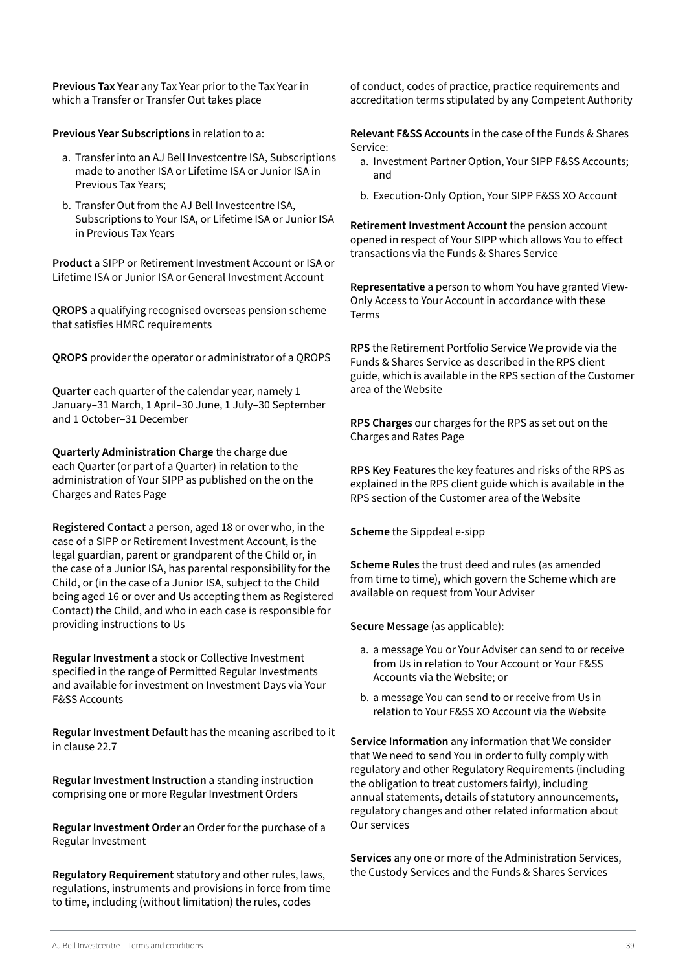**Previous Tax Year** any Tax Year prior to the Tax Year in which a Transfer or Transfer Out takes place

**Previous Year Subscriptions** in relation to a:

- a. Transfer into an AJ Bell Investcentre ISA, Subscriptions made to another ISA or Lifetime ISA or Junior ISA in Previous Tax Years;
- b. Transfer Out from the AJ Bell Investcentre ISA, Subscriptions to Your ISA, or Lifetime ISA or Junior ISA in Previous Tax Years

**Product** a SIPP or Retirement Investment Account or ISA or Lifetime ISA or Junior ISA or General Investment Account

**QROPS** a qualifying recognised overseas pension scheme that satisfies HMRC requirements

**QROPS** provider the operator or administrator of a QROPS

**Quarter** each quarter of the calendar year, namely 1 January–31 March, 1 April–30 June, 1 July–30 September and 1 October–31 December

**Quarterly Administration Charge** the charge due each Quarter (or part of a Quarter) in relation to the administration of Your SIPP as published on the on the Charges and Rates Page

**Registered Contact** a person, aged 18 or over who, in the case of a SIPP or Retirement Investment Account, is the legal guardian, parent or grandparent of the Child or, in the case of a Junior ISA, has parental responsibility for the Child, or (in the case of a Junior ISA, subject to the Child being aged 16 or over and Us accepting them as Registered Contact) the Child, and who in each case is responsible for providing instructions to Us

**Regular Investment** a stock or Collective Investment specified in the range of Permitted Regular Investments and available for investment on Investment Days via Your F&SS Accounts

**Regular Investment Default** has the meaning ascribed to it in clause 22.7

**Regular Investment Instruction** a standing instruction comprising one or more Regular Investment Orders

**Regular Investment Order** an Order for the purchase of a Regular Investment

**Regulatory Requirement** statutory and other rules, laws, regulations, instruments and provisions in force from time to time, including (without limitation) the rules, codes

of conduct, codes of practice, practice requirements and accreditation terms stipulated by any Competent Authority

**Relevant F&SS Accounts** in the case of the Funds & Shares Service:

- a. Investment Partner Option, Your SIPP F&SS Accounts; and
- b. Execution-Only Option, Your SIPP F&SS XO Account

**Retirement Investment Account** the pension account opened in respect of Your SIPP which allows You to effect transactions via the Funds & Shares Service

**Representative** a person to whom You have granted View-Only Access to Your Account in accordance with these Terms

**RPS** the Retirement Portfolio Service We provide via the Funds & Shares Service as described in the RPS client guide, which is available in the RPS section of the Customer area of the Website

**RPS Charges** our charges for the RPS as set out on the Charges and Rates Page

**RPS Key Features** the key features and risks of the RPS as explained in the RPS client guide which is available in the RPS section of the Customer area of the Website

**Scheme** the Sippdeal e-sipp

**Scheme Rules** the trust deed and rules (as amended from time to time), which govern the Scheme which are available on request from Your Adviser

**Secure Message** (as applicable):

- a. a message You or Your Adviser can send to or receive from Us in relation to Your Account or Your F&SS Accounts via the Website; or
- b. a message You can send to or receive from Us in relation to Your F&SS XO Account via the Website

**Service Information** any information that We consider that We need to send You in order to fully comply with regulatory and other Regulatory Requirements (including the obligation to treat customers fairly), including annual statements, details of statutory announcements, regulatory changes and other related information about Our services

**Services** any one or more of the Administration Services, the Custody Services and the Funds & Shares Services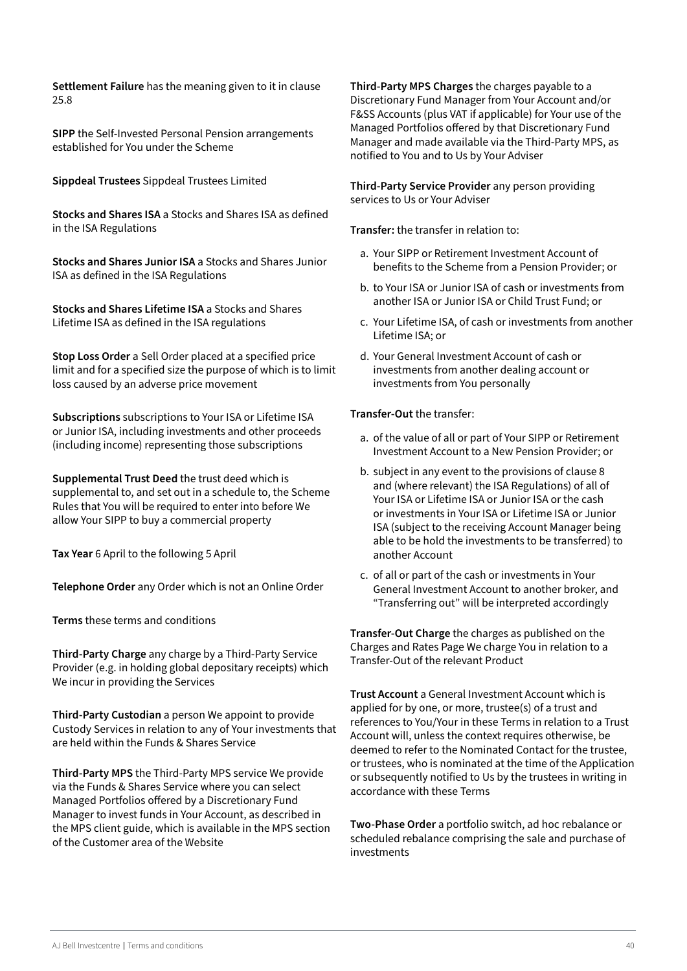**Settlement Failure** has the meaning given to it in clause 25.8

**SIPP** the Self-Invested Personal Pension arrangements established for You under the Scheme

**Sippdeal Trustees** Sippdeal Trustees Limited

**Stocks and Shares ISA** a Stocks and Shares ISA as defined in the ISA Regulations

**Stocks and Shares Junior ISA** a Stocks and Shares Junior ISA as defined in the ISA Regulations

**Stocks and Shares Lifetime ISA** a Stocks and Shares Lifetime ISA as defined in the ISA regulations

**Stop Loss Order** a Sell Order placed at a specified price limit and for a specified size the purpose of which is to limit loss caused by an adverse price movement

**Subscriptions** subscriptions to Your ISA or Lifetime ISA or Junior ISA, including investments and other proceeds (including income) representing those subscriptions

**Supplemental Trust Deed** the trust deed which is supplemental to, and set out in a schedule to, the Scheme Rules that You will be required to enter into before We allow Your SIPP to buy a commercial property

**Tax Year** 6 April to the following 5 April

**Telephone Order** any Order which is not an Online Order

**Terms** these terms and conditions

**Third-Party Charge** any charge by a Third-Party Service Provider (e.g. in holding global depositary receipts) which We incur in providing the Services

**Third-Party Custodian** a person We appoint to provide Custody Services in relation to any of Your investments that are held within the Funds & Shares Service

**Third-Party MPS** the Third-Party MPS service We provide via the Funds & Shares Service where you can select Managed Portfolios offered by a Discretionary Fund Manager to invest funds in Your Account, as described in the MPS client guide, which is available in the MPS section of the Customer area of the Website

**Third-Party MPS Charges** the charges payable to a Discretionary Fund Manager from Your Account and/or F&SS Accounts (plus VAT if applicable) for Your use of the Managed Portfolios offered by that Discretionary Fund Manager and made available via the Third-Party MPS, as notified to You and to Us by Your Adviser

**Third-Party Service Provider** any person providing services to Us or Your Adviser

**Transfer:** the transfer in relation to:

- a. Your SIPP or Retirement Investment Account of benefits to the Scheme from a Pension Provider; or
- b. to Your ISA or Junior ISA of cash or investments from another ISA or Junior ISA or Child Trust Fund; or
- c. Your Lifetime ISA, of cash or investments from another Lifetime ISA; or
- d. Your General Investment Account of cash or investments from another dealing account or investments from You personally

#### **Transfer-Out** the transfer:

- a. of the value of all or part of Your SIPP or Retirement Investment Account to a New Pension Provider; or
- b. subject in any event to the provisions of clause 8 and (where relevant) the ISA Regulations) of all of Your ISA or Lifetime ISA or Junior ISA or the cash or investments in Your ISA or Lifetime ISA or Junior ISA (subject to the receiving Account Manager being able to be hold the investments to be transferred) to another Account
- c. of all or part of the cash or investments in Your General Investment Account to another broker, and "Transferring out" will be interpreted accordingly

**Transfer-Out Charge** the charges as published on the Charges and Rates Page We charge You in relation to a Transfer-Out of the relevant Product

**Trust Account** a General Investment Account which is applied for by one, or more, trustee(s) of a trust and references to You/Your in these Terms in relation to a Trust Account will, unless the context requires otherwise, be deemed to refer to the Nominated Contact for the trustee, or trustees, who is nominated at the time of the Application or subsequently notified to Us by the trustees in writing in accordance with these Terms

**Two-Phase Order** a portfolio switch, ad hoc rebalance or scheduled rebalance comprising the sale and purchase of investments